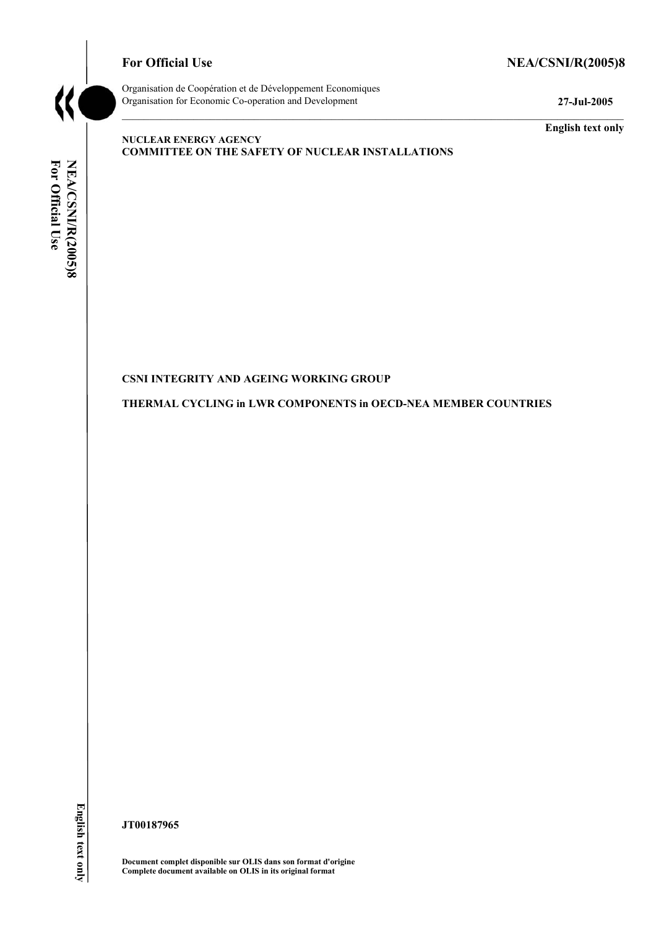# For Official Use NEA/CSNI/R(2005)8



Organisation de Coopération et de Développement Economiques Organisation for Economic Co-operation and Development **27-Jul-2005** 

**English text only** 

### **NUCLEAR ENERGY AGENCY COMMITTEE ON THE SAFETY OF NUCLEAR INSTALLATIONS**

For Official Use NEA/CSNI/R(2005)8 **For Official Use NEA/CSNI/R(2005)8 English text only** 

### **CSNI INTEGRITY AND AGEING WORKING GROUP**

**THERMAL CYCLING in LWR COMPONENTS in OECD-NEA MEMBER COUNTRIES** 

**JT00187965** 

**Document complet disponible sur OLIS dans son format d'origine Complete document available on OLIS in its original format**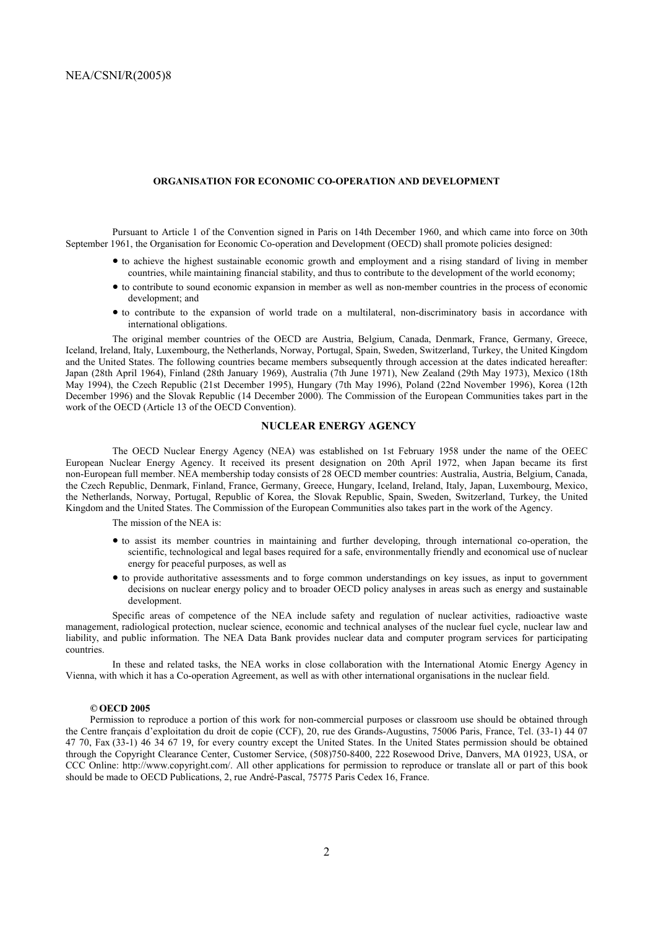#### **ORGANISATION FOR ECONOMIC CO-OPERATION AND DEVELOPMENT**

 Pursuant to Article 1 of the Convention signed in Paris on 14th December 1960, and which came into force on 30th September 1961, the Organisation for Economic Co-operation and Development (OECD) shall promote policies designed:

- to achieve the highest sustainable economic growth and employment and a rising standard of living in member countries, while maintaining financial stability, and thus to contribute to the development of the world economy;
- to contribute to sound economic expansion in member as well as non-member countries in the process of economic development; and
- to contribute to the expansion of world trade on a multilateral, non-discriminatory basis in accordance with international obligations.

 The original member countries of the OECD are Austria, Belgium, Canada, Denmark, France, Germany, Greece, Iceland, Ireland, Italy, Luxembourg, the Netherlands, Norway, Portugal, Spain, Sweden, Switzerland, Turkey, the United Kingdom and the United States. The following countries became members subsequently through accession at the dates indicated hereafter: Japan (28th April 1964), Finland (28th January 1969), Australia (7th June 1971), New Zealand (29th May 1973), Mexico (18th May 1994), the Czech Republic (21st December 1995), Hungary (7th May 1996), Poland (22nd November 1996), Korea (12th December 1996) and the Slovak Republic (14 December 2000). The Commission of the European Communities takes part in the work of the OECD (Article 13 of the OECD Convention).

#### **NUCLEAR ENERGY AGENCY**

 The OECD Nuclear Energy Agency (NEA) was established on 1st February 1958 under the name of the OEEC European Nuclear Energy Agency. It received its present designation on 20th April 1972, when Japan became its first non-European full member. NEA membership today consists of 28 OECD member countries: Australia, Austria, Belgium, Canada, the Czech Republic, Denmark, Finland, France, Germany, Greece, Hungary, Iceland, Ireland, Italy, Japan, Luxembourg, Mexico, the Netherlands, Norway, Portugal, Republic of Korea, the Slovak Republic, Spain, Sweden, Switzerland, Turkey, the United Kingdom and the United States. The Commission of the European Communities also takes part in the work of the Agency.

The mission of the NEA is:

- to assist its member countries in maintaining and further developing, through international co-operation, the scientific, technological and legal bases required for a safe, environmentally friendly and economical use of nuclear energy for peaceful purposes, as well as
- to provide authoritative assessments and to forge common understandings on key issues, as input to government decisions on nuclear energy policy and to broader OECD policy analyses in areas such as energy and sustainable development.

 Specific areas of competence of the NEA include safety and regulation of nuclear activities, radioactive waste management, radiological protection, nuclear science, economic and technical analyses of the nuclear fuel cycle, nuclear law and liability, and public information. The NEA Data Bank provides nuclear data and computer program services for participating countries.

 In these and related tasks, the NEA works in close collaboration with the International Atomic Energy Agency in Vienna, with which it has a Co-operation Agreement, as well as with other international organisations in the nuclear field.

#### *©* **OECD 2005**

Permission to reproduce a portion of this work for non-commercial purposes or classroom use should be obtained through the Centre français d'exploitation du droit de copie (CCF), 20, rue des Grands-Augustins, 75006 Paris, France, Tel. (33-1) 44 07 47 70, Fax (33-1) 46 34 67 19, for every country except the United States. In the United States permission should be obtained through the Copyright Clearance Center, Customer Service, (508)750-8400, 222 Rosewood Drive, Danvers, MA 01923, USA, or CCC Online: http://www.copyright.com/. All other applications for permission to reproduce or translate all or part of this book should be made to OECD Publications, 2, rue André-Pascal, 75775 Paris Cedex 16, France.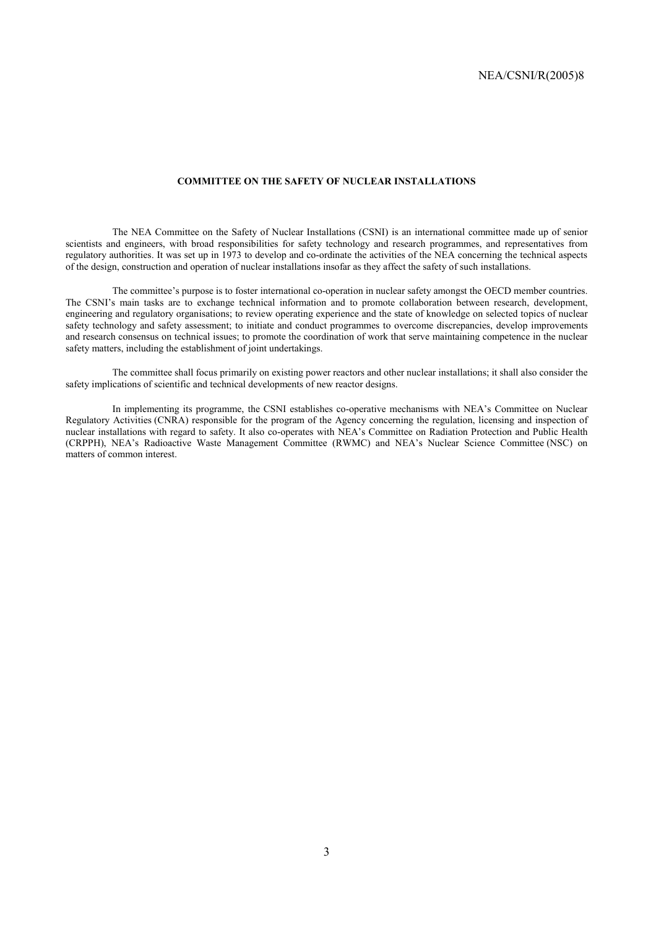#### **COMMITTEE ON THE SAFETY OF NUCLEAR INSTALLATIONS**

 The NEA Committee on the Safety of Nuclear Installations (CSNI) is an international committee made up of senior scientists and engineers, with broad responsibilities for safety technology and research programmes, and representatives from regulatory authorities. It was set up in 1973 to develop and co-ordinate the activities of the NEA concerning the technical aspects of the design, construction and operation of nuclear installations insofar as they affect the safety of such installations.

 The committee's purpose is to foster international co-operation in nuclear safety amongst the OECD member countries. The CSNI's main tasks are to exchange technical information and to promote collaboration between research, development, engineering and regulatory organisations; to review operating experience and the state of knowledge on selected topics of nuclear safety technology and safety assessment; to initiate and conduct programmes to overcome discrepancies, develop improvements and research consensus on technical issues; to promote the coordination of work that serve maintaining competence in the nuclear safety matters, including the establishment of joint undertakings.

 The committee shall focus primarily on existing power reactors and other nuclear installations; it shall also consider the safety implications of scientific and technical developments of new reactor designs.

 In implementing its programme, the CSNI establishes co-operative mechanisms with NEA's Committee on Nuclear Regulatory Activities (CNRA) responsible for the program of the Agency concerning the regulation, licensing and inspection of nuclear installations with regard to safety. It also co-operates with NEA's Committee on Radiation Protection and Public Health (CRPPH), NEA's Radioactive Waste Management Committee (RWMC) and NEA's Nuclear Science Committee (NSC) on matters of common interest.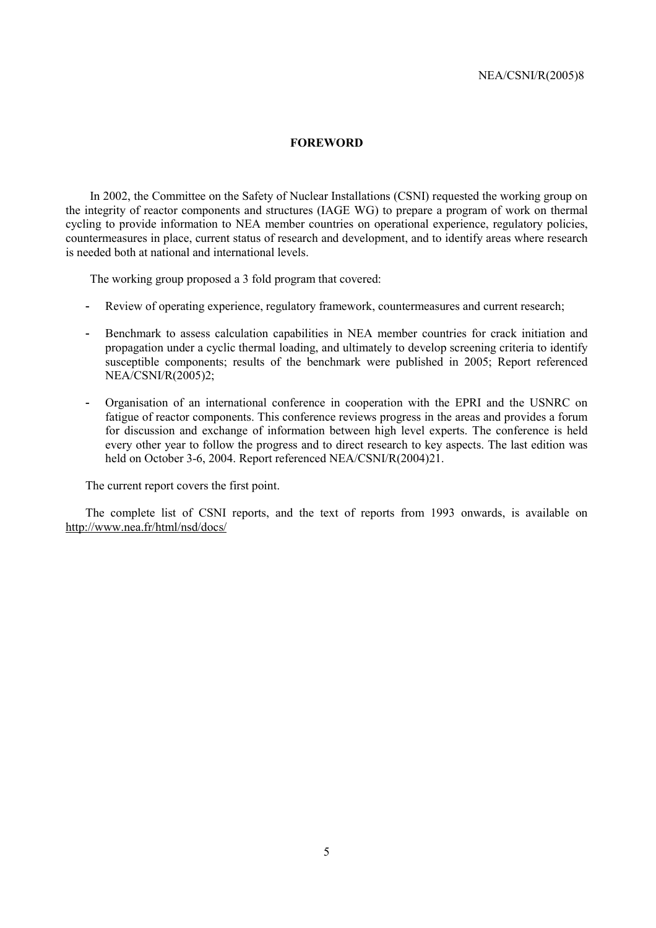### **FOREWORD**

In 2002, the Committee on the Safety of Nuclear Installations (CSNI) requested the working group on the integrity of reactor components and structures (IAGE WG) to prepare a program of work on thermal cycling to provide information to NEA member countries on operational experience, regulatory policies, countermeasures in place, current status of research and development, and to identify areas where research is needed both at national and international levels.

The working group proposed a 3 fold program that covered:

- Review of operating experience, regulatory framework, countermeasures and current research;
- Benchmark to assess calculation capabilities in NEA member countries for crack initiation and propagation under a cyclic thermal loading, and ultimately to develop screening criteria to identify susceptible components; results of the benchmark were published in 2005; Report referenced NEA/CSNI/R(2005)2;
- Organisation of an international conference in cooperation with the EPRI and the USNRC on fatigue of reactor components. This conference reviews progress in the areas and provides a forum for discussion and exchange of information between high level experts. The conference is held every other year to follow the progress and to direct research to key aspects. The last edition was held on October 3-6, 2004. Report referenced NEA/CSNI/R(2004)21.

The current report covers the first point.

The complete list of CSNI reports, and the text of reports from 1993 onwards, is available on http://www.nea.fr/html/nsd/docs/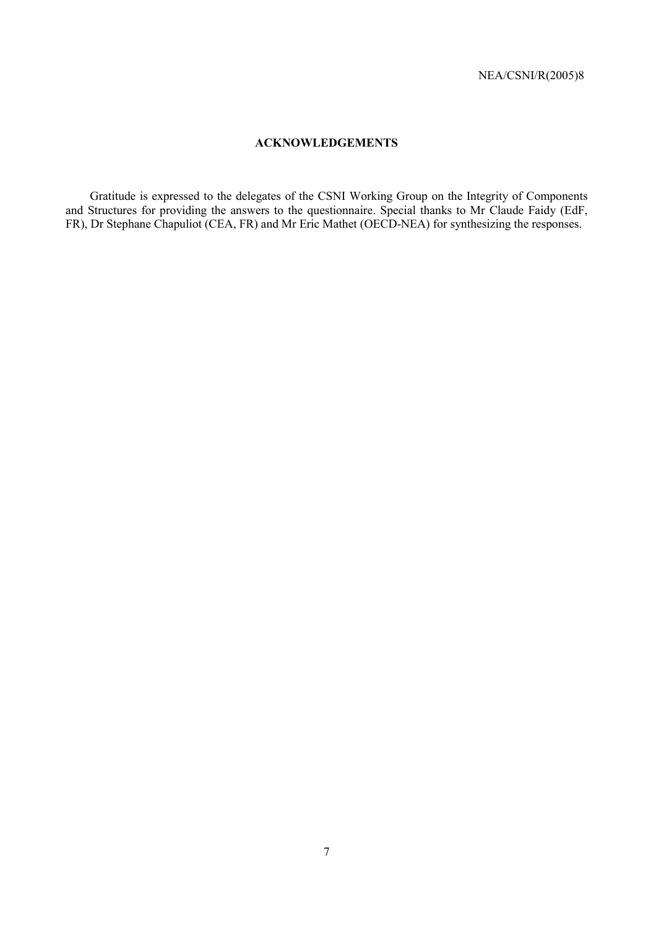## **ACKNOWLEDGEMENTS**

Gratitude is expressed to the delegates of the CSNI Working Group on the Integrity of Components and Structures for providing the answers to the questionnaire. Special thanks to Mr Claude Faidy (EdF, FR), Dr Stephane Chapuliot (CEA, FR) and Mr Eric Mathet (OECD-NEA) for synthesizing the responses.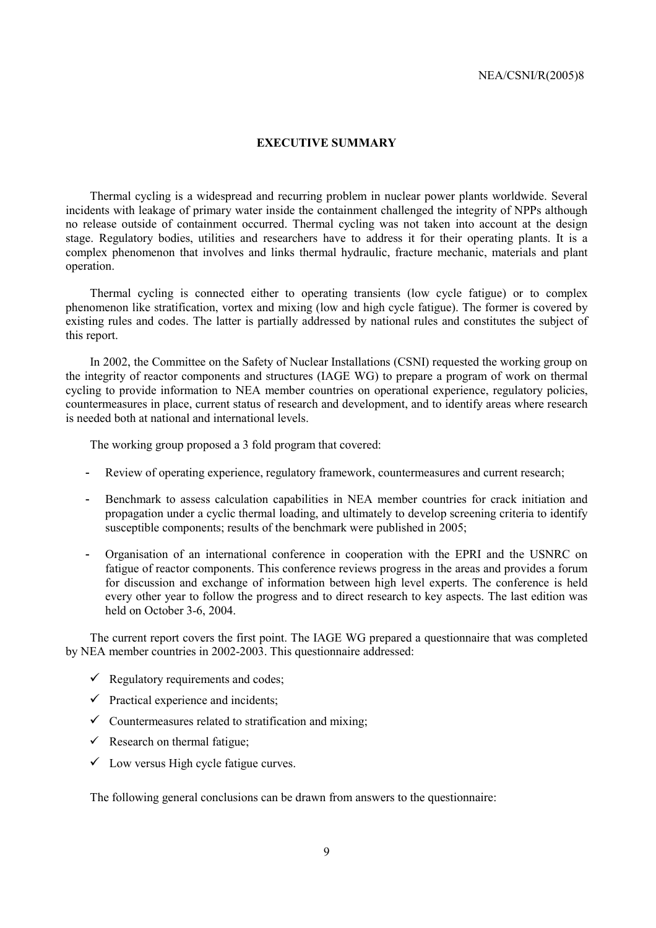### **EXECUTIVE SUMMARY**

Thermal cycling is a widespread and recurring problem in nuclear power plants worldwide. Several incidents with leakage of primary water inside the containment challenged the integrity of NPPs although no release outside of containment occurred. Thermal cycling was not taken into account at the design stage. Regulatory bodies, utilities and researchers have to address it for their operating plants. It is a complex phenomenon that involves and links thermal hydraulic, fracture mechanic, materials and plant operation.

Thermal cycling is connected either to operating transients (low cycle fatigue) or to complex phenomenon like stratification, vortex and mixing (low and high cycle fatigue). The former is covered by existing rules and codes. The latter is partially addressed by national rules and constitutes the subject of this report.

In 2002, the Committee on the Safety of Nuclear Installations (CSNI) requested the working group on the integrity of reactor components and structures (IAGE WG) to prepare a program of work on thermal cycling to provide information to NEA member countries on operational experience, regulatory policies, countermeasures in place, current status of research and development, and to identify areas where research is needed both at national and international levels.

The working group proposed a 3 fold program that covered:

- Review of operating experience, regulatory framework, countermeasures and current research;
- Benchmark to assess calculation capabilities in NEA member countries for crack initiation and propagation under a cyclic thermal loading, and ultimately to develop screening criteria to identify susceptible components; results of the benchmark were published in 2005;
- Organisation of an international conference in cooperation with the EPRI and the USNRC on fatigue of reactor components. This conference reviews progress in the areas and provides a forum for discussion and exchange of information between high level experts. The conference is held every other year to follow the progress and to direct research to key aspects. The last edition was held on October 3-6, 2004.

The current report covers the first point. The IAGE WG prepared a questionnaire that was completed by NEA member countries in 2002-2003. This questionnaire addressed:

- $\checkmark$  Regulatory requirements and codes;
- $\checkmark$  Practical experience and incidents:
- $\checkmark$  Countermeasures related to stratification and mixing;
- $\checkmark$  Research on thermal fatigue;
- $\checkmark$  Low versus High cycle fatigue curves.

The following general conclusions can be drawn from answers to the questionnaire: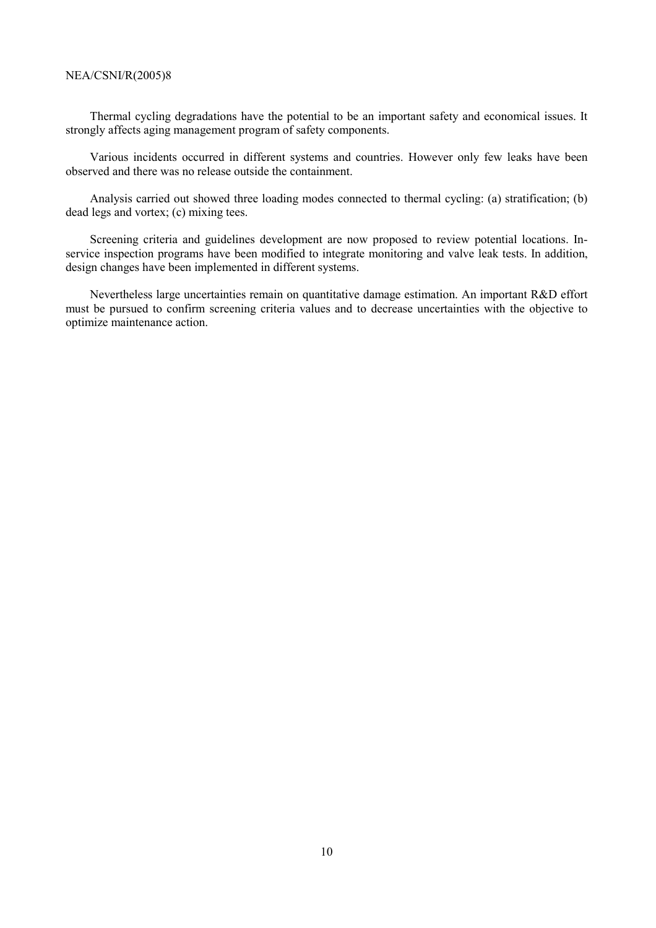Thermal cycling degradations have the potential to be an important safety and economical issues. It strongly affects aging management program of safety components.

Various incidents occurred in different systems and countries. However only few leaks have been observed and there was no release outside the containment.

Analysis carried out showed three loading modes connected to thermal cycling: (a) stratification; (b) dead legs and vortex; (c) mixing tees.

Screening criteria and guidelines development are now proposed to review potential locations. Inservice inspection programs have been modified to integrate monitoring and valve leak tests. In addition, design changes have been implemented in different systems.

Nevertheless large uncertainties remain on quantitative damage estimation. An important R&D effort must be pursued to confirm screening criteria values and to decrease uncertainties with the objective to optimize maintenance action.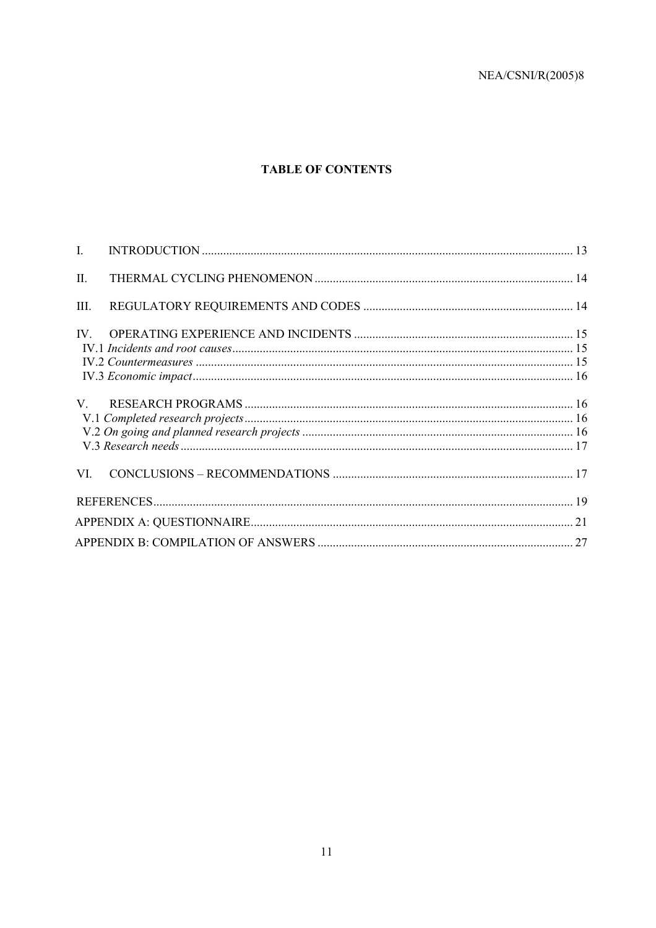# **TABLE OF CONTENTS**

| $\Pi$ . |  |
|---------|--|
| III.    |  |
| IV      |  |
| V —     |  |
| VI.     |  |
|         |  |
|         |  |
|         |  |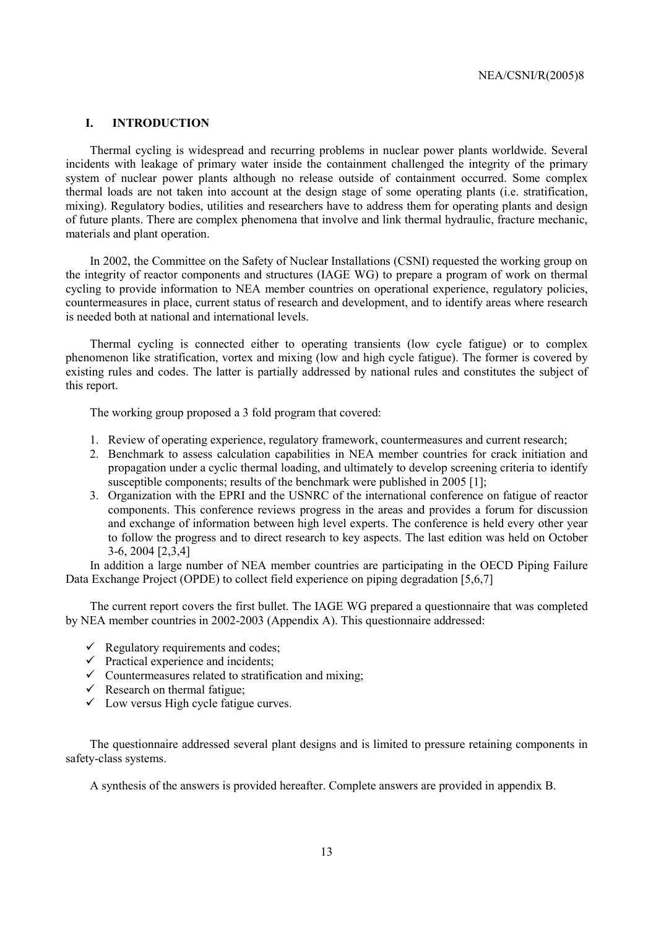### **I. INTRODUCTION**

Thermal cycling is widespread and recurring problems in nuclear power plants worldwide. Several incidents with leakage of primary water inside the containment challenged the integrity of the primary system of nuclear power plants although no release outside of containment occurred. Some complex thermal loads are not taken into account at the design stage of some operating plants (i.e. stratification, mixing). Regulatory bodies, utilities and researchers have to address them for operating plants and design of future plants. There are complex phenomena that involve and link thermal hydraulic, fracture mechanic, materials and plant operation.

In 2002, the Committee on the Safety of Nuclear Installations (CSNI) requested the working group on the integrity of reactor components and structures (IAGE WG) to prepare a program of work on thermal cycling to provide information to NEA member countries on operational experience, regulatory policies, countermeasures in place, current status of research and development, and to identify areas where research is needed both at national and international levels.

Thermal cycling is connected either to operating transients (low cycle fatigue) or to complex phenomenon like stratification, vortex and mixing (low and high cycle fatigue). The former is covered by existing rules and codes. The latter is partially addressed by national rules and constitutes the subject of this report.

The working group proposed a 3 fold program that covered:

- 1. Review of operating experience, regulatory framework, countermeasures and current research;
- 2. Benchmark to assess calculation capabilities in NEA member countries for crack initiation and propagation under a cyclic thermal loading, and ultimately to develop screening criteria to identify susceptible components; results of the benchmark were published in 2005 [1];
- 3. Organization with the EPRI and the USNRC of the international conference on fatigue of reactor components. This conference reviews progress in the areas and provides a forum for discussion and exchange of information between high level experts. The conference is held every other year to follow the progress and to direct research to key aspects. The last edition was held on October 3-6, 2004 [2,3,4]

In addition a large number of NEA member countries are participating in the OECD Piping Failure Data Exchange Project (OPDE) to collect field experience on piping degradation [5,6,7]

The current report covers the first bullet. The IAGE WG prepared a questionnaire that was completed by NEA member countries in 2002-2003 (Appendix A). This questionnaire addressed:

- $\checkmark$  Regulatory requirements and codes;
- $\checkmark$  Practical experience and incidents;
- $\checkmark$  Countermeasures related to stratification and mixing;
- $\checkmark$  Research on thermal fatigue:
- $\checkmark$  Low versus High cycle fatigue curves.

The questionnaire addressed several plant designs and is limited to pressure retaining components in safety-class systems.

A synthesis of the answers is provided hereafter. Complete answers are provided in appendix B.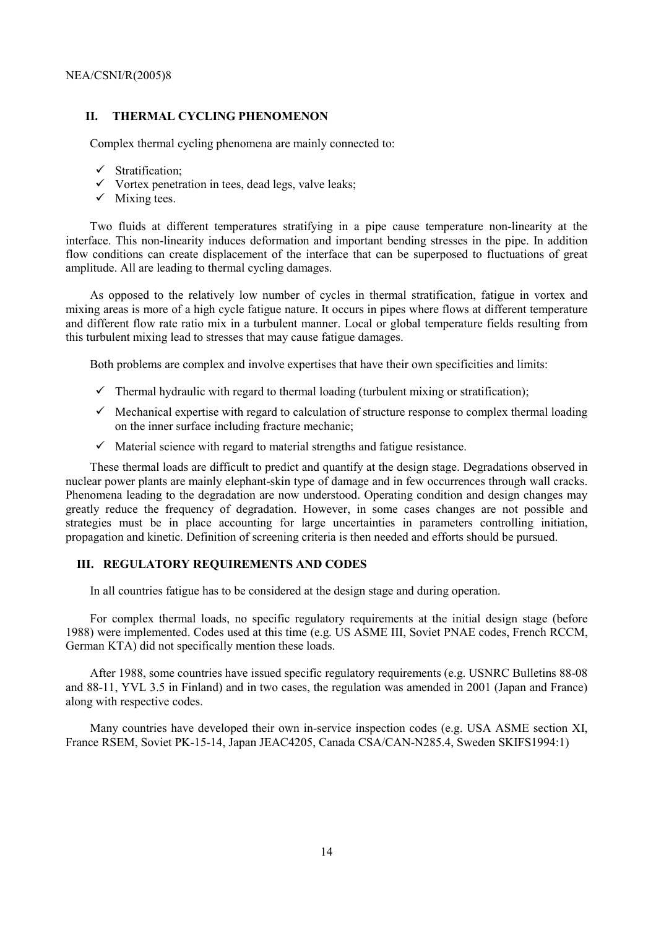### **II. THERMAL CYCLING PHENOMENON**

Complex thermal cycling phenomena are mainly connected to:

- $\checkmark$  Stratification;
- $\checkmark$  Vortex penetration in tees, dead legs, valve leaks;
- $\checkmark$  Mixing tees.

Two fluids at different temperatures stratifying in a pipe cause temperature non-linearity at the interface. This non-linearity induces deformation and important bending stresses in the pipe. In addition flow conditions can create displacement of the interface that can be superposed to fluctuations of great amplitude. All are leading to thermal cycling damages.

As opposed to the relatively low number of cycles in thermal stratification, fatigue in vortex and mixing areas is more of a high cycle fatigue nature. It occurs in pipes where flows at different temperature and different flow rate ratio mix in a turbulent manner. Local or global temperature fields resulting from this turbulent mixing lead to stresses that may cause fatigue damages.

Both problems are complex and involve expertises that have their own specificities and limits:

- $\checkmark$  Thermal hydraulic with regard to thermal loading (turbulent mixing or stratification);
- $\checkmark$  Mechanical expertise with regard to calculation of structure response to complex thermal loading on the inner surface including fracture mechanic;
- $\checkmark$  Material science with regard to material strengths and fatigue resistance.

These thermal loads are difficult to predict and quantify at the design stage. Degradations observed in nuclear power plants are mainly elephant-skin type of damage and in few occurrences through wall cracks. Phenomena leading to the degradation are now understood. Operating condition and design changes may greatly reduce the frequency of degradation. However, in some cases changes are not possible and strategies must be in place accounting for large uncertainties in parameters controlling initiation, propagation and kinetic. Definition of screening criteria is then needed and efforts should be pursued.

### **III. REGULATORY REQUIREMENTS AND CODES**

In all countries fatigue has to be considered at the design stage and during operation.

For complex thermal loads, no specific regulatory requirements at the initial design stage (before 1988) were implemented. Codes used at this time (e.g. US ASME III, Soviet PNAE codes, French RCCM, German KTA) did not specifically mention these loads.

After 1988, some countries have issued specific regulatory requirements (e.g. USNRC Bulletins 88-08 and 88-11, YVL 3.5 in Finland) and in two cases, the regulation was amended in 2001 (Japan and France) along with respective codes.

Many countries have developed their own in-service inspection codes (e.g. USA ASME section XI, France RSEM, Soviet PK-15-14, Japan JEAC4205, Canada CSA/CAN-N285.4, Sweden SKIFS1994:1)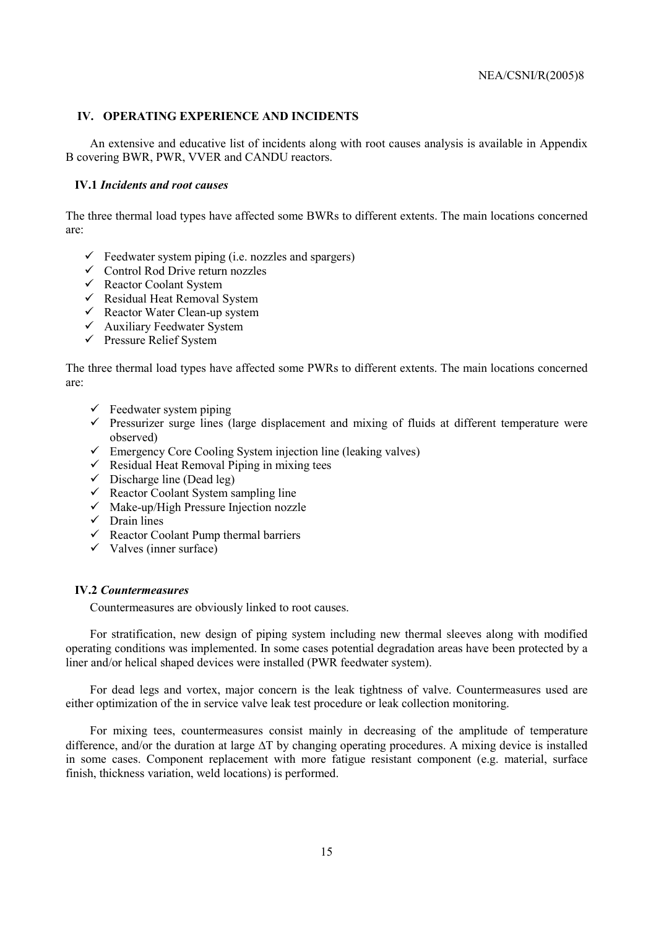### **IV. OPERATING EXPERIENCE AND INCIDENTS**

An extensive and educative list of incidents along with root causes analysis is available in Appendix B covering BWR, PWR, VVER and CANDU reactors.

### **IV.1** *Incidents and root causes*

The three thermal load types have affected some BWRs to different extents. The main locations concerned are:

- $\checkmark$  Feedwater system piping (i.e. nozzles and spargers)
- $\checkmark$  Control Rod Drive return nozzles
- $\checkmark$  Reactor Coolant System
- $\checkmark$  Residual Heat Removal System
- $\checkmark$  Reactor Water Clean-up system
- $\checkmark$  Auxiliary Feedwater System
- $\checkmark$  Pressure Relief System

The three thermal load types have affected some PWRs to different extents. The main locations concerned are:

- $\checkmark$  Feedwater system piping
- $\checkmark$  Pressurizer surge lines (large displacement and mixing of fluids at different temperature were observed)
- $\checkmark$  Emergency Core Cooling System injection line (leaking valves)
- $\checkmark$  Residual Heat Removal Piping in mixing tees
- $\checkmark$  Discharge line (Dead leg)
- $\checkmark$  Reactor Coolant System sampling line
- $\checkmark$  Make-up/High Pressure Injection nozzle
- $\checkmark$  Drain lines
- $\checkmark$  Reactor Coolant Pump thermal barriers
- $\checkmark$  Valves (inner surface)

#### **IV.2** *Countermeasures*

Countermeasures are obviously linked to root causes.

For stratification, new design of piping system including new thermal sleeves along with modified operating conditions was implemented. In some cases potential degradation areas have been protected by a liner and/or helical shaped devices were installed (PWR feedwater system).

For dead legs and vortex, major concern is the leak tightness of valve. Countermeasures used are either optimization of the in service valve leak test procedure or leak collection monitoring.

For mixing tees, countermeasures consist mainly in decreasing of the amplitude of temperature difference, and/or the duration at large ∆T by changing operating procedures. A mixing device is installed in some cases. Component replacement with more fatigue resistant component (e.g. material, surface finish, thickness variation, weld locations) is performed.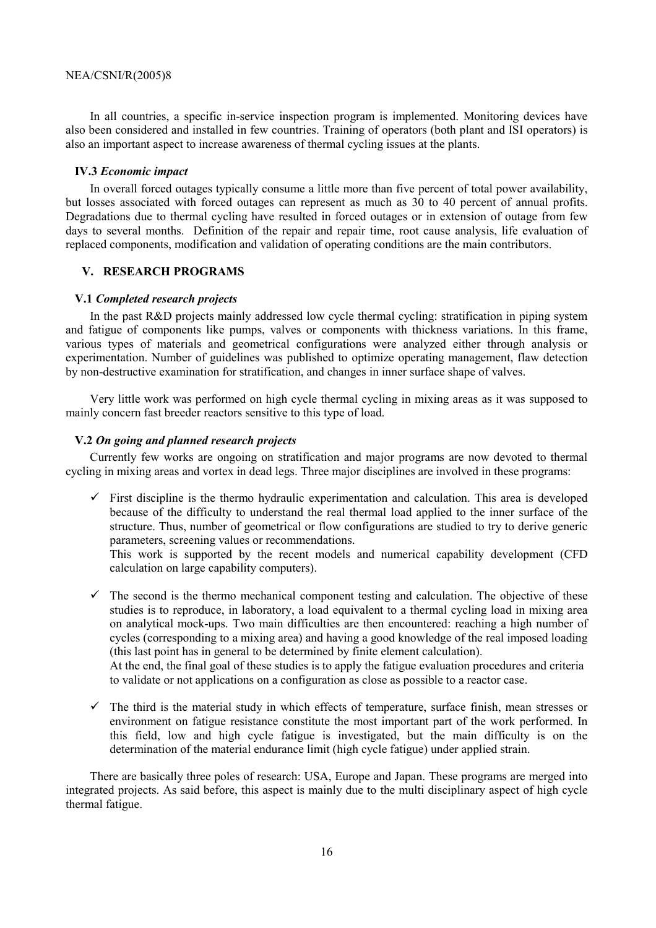In all countries, a specific in-service inspection program is implemented. Monitoring devices have also been considered and installed in few countries. Training of operators (both plant and ISI operators) is also an important aspect to increase awareness of thermal cycling issues at the plants.

#### **IV.3** *Economic impact*

In overall forced outages typically consume a little more than five percent of total power availability, but losses associated with forced outages can represent as much as 30 to 40 percent of annual profits. Degradations due to thermal cycling have resulted in forced outages or in extension of outage from few days to several months. Definition of the repair and repair time, root cause analysis, life evaluation of replaced components, modification and validation of operating conditions are the main contributors.

### **V. RESEARCH PROGRAMS**

#### **V.1** *Completed research projects*

In the past R&D projects mainly addressed low cycle thermal cycling: stratification in piping system and fatigue of components like pumps, valves or components with thickness variations. In this frame, various types of materials and geometrical configurations were analyzed either through analysis or experimentation. Number of guidelines was published to optimize operating management, flaw detection by non-destructive examination for stratification, and changes in inner surface shape of valves.

Very little work was performed on high cycle thermal cycling in mixing areas as it was supposed to mainly concern fast breeder reactors sensitive to this type of load.

### **V.2** *On going and planned research projects*

Currently few works are ongoing on stratification and major programs are now devoted to thermal cycling in mixing areas and vortex in dead legs. Three major disciplines are involved in these programs:

 $\checkmark$  First discipline is the thermo hydraulic experimentation and calculation. This area is developed because of the difficulty to understand the real thermal load applied to the inner surface of the structure. Thus, number of geometrical or flow configurations are studied to try to derive generic parameters, screening values or recommendations.

This work is supported by the recent models and numerical capability development (CFD calculation on large capability computers).

 $\checkmark$  The second is the thermo mechanical component testing and calculation. The objective of these studies is to reproduce, in laboratory, a load equivalent to a thermal cycling load in mixing area on analytical mock-ups. Two main difficulties are then encountered: reaching a high number of cycles (corresponding to a mixing area) and having a good knowledge of the real imposed loading (this last point has in general to be determined by finite element calculation).

At the end, the final goal of these studies is to apply the fatigue evaluation procedures and criteria to validate or not applications on a configuration as close as possible to a reactor case.

 $\checkmark$  The third is the material study in which effects of temperature, surface finish, mean stresses or environment on fatigue resistance constitute the most important part of the work performed. In this field, low and high cycle fatigue is investigated, but the main difficulty is on the determination of the material endurance limit (high cycle fatigue) under applied strain.

There are basically three poles of research: USA, Europe and Japan. These programs are merged into integrated projects. As said before, this aspect is mainly due to the multi disciplinary aspect of high cycle thermal fatigue.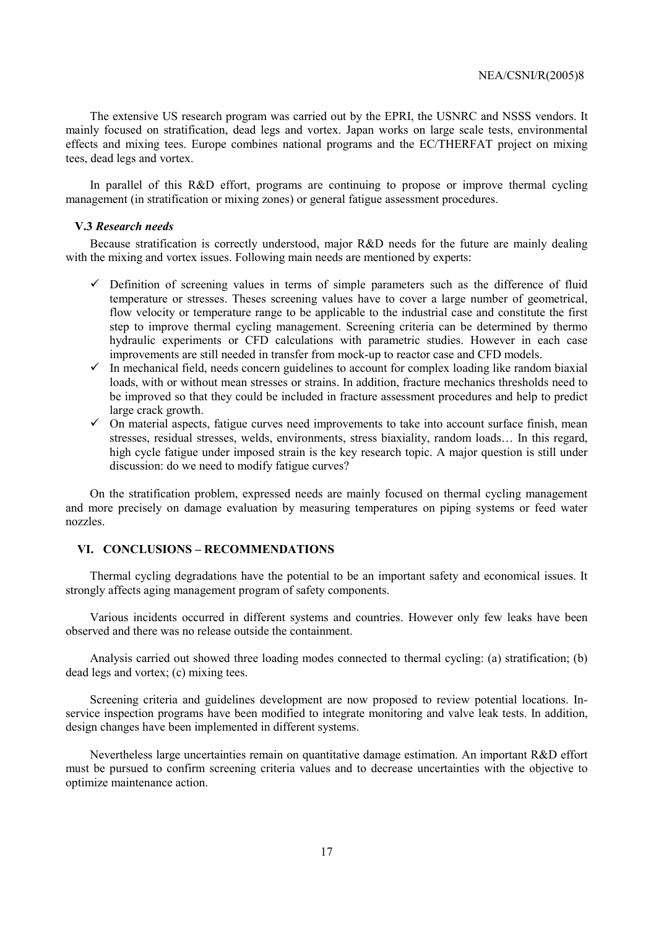The extensive US research program was carried out by the EPRI, the USNRC and NSSS vendors. It mainly focused on stratification, dead legs and vortex. Japan works on large scale tests, environmental effects and mixing tees. Europe combines national programs and the EC/THERFAT project on mixing tees, dead legs and vortex.

In parallel of this R&D effort, programs are continuing to propose or improve thermal cycling management (in stratification or mixing zones) or general fatigue assessment procedures.

#### **V.3** *Research needs*

Because stratification is correctly understood, major R&D needs for the future are mainly dealing with the mixing and vortex issues. Following main needs are mentioned by experts:

- $\checkmark$  Definition of screening values in terms of simple parameters such as the difference of fluid temperature or stresses. Theses screening values have to cover a large number of geometrical, flow velocity or temperature range to be applicable to the industrial case and constitute the first step to improve thermal cycling management. Screening criteria can be determined by thermo hydraulic experiments or CFD calculations with parametric studies. However in each case improvements are still needed in transfer from mock-up to reactor case and CFD models.
- $\checkmark$  In mechanical field, needs concern guidelines to account for complex loading like random biaxial loads, with or without mean stresses or strains. In addition, fracture mechanics thresholds need to be improved so that they could be included in fracture assessment procedures and help to predict large crack growth.
- $\checkmark$  On material aspects, fatigue curves need improvements to take into account surface finish, mean stresses, residual stresses, welds, environments, stress biaxiality, random loads… In this regard, high cycle fatigue under imposed strain is the key research topic. A major question is still under discussion: do we need to modify fatigue curves?

On the stratification problem, expressed needs are mainly focused on thermal cycling management and more precisely on damage evaluation by measuring temperatures on piping systems or feed water nozzles.

### **VI. CONCLUSIONS – RECOMMENDATIONS**

Thermal cycling degradations have the potential to be an important safety and economical issues. It strongly affects aging management program of safety components.

Various incidents occurred in different systems and countries. However only few leaks have been observed and there was no release outside the containment.

Analysis carried out showed three loading modes connected to thermal cycling: (a) stratification; (b) dead legs and vortex; (c) mixing tees.

Screening criteria and guidelines development are now proposed to review potential locations. Inservice inspection programs have been modified to integrate monitoring and valve leak tests. In addition, design changes have been implemented in different systems.

Nevertheless large uncertainties remain on quantitative damage estimation. An important R&D effort must be pursued to confirm screening criteria values and to decrease uncertainties with the objective to optimize maintenance action.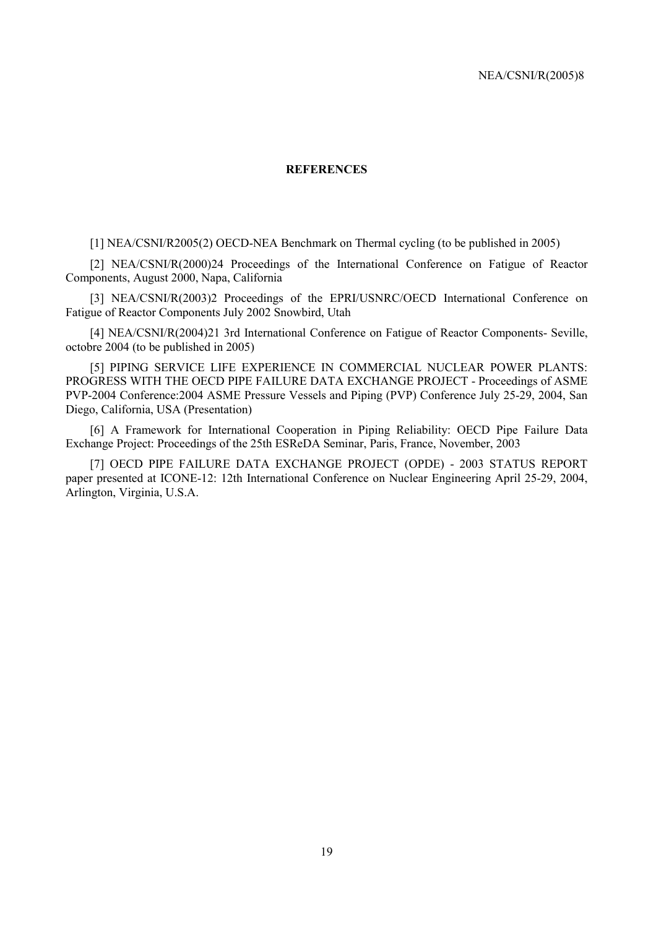#### **REFERENCES**

[1] NEA/CSNI/R2005(2) OECD-NEA Benchmark on Thermal cycling (to be published in 2005)

[2] NEA/CSNI/R(2000)24 Proceedings of the International Conference on Fatigue of Reactor Components, August 2000, Napa, California

[3] NEA/CSNI/R(2003)2 Proceedings of the EPRI/USNRC/OECD International Conference on Fatigue of Reactor Components July 2002 Snowbird, Utah

[4] NEA/CSNI/R(2004)21 3rd International Conference on Fatigue of Reactor Components- Seville, octobre 2004 (to be published in 2005)

[5] PIPING SERVICE LIFE EXPERIENCE IN COMMERCIAL NUCLEAR POWER PLANTS: PROGRESS WITH THE OECD PIPE FAILURE DATA EXCHANGE PROJECT - Proceedings of ASME PVP-2004 Conference:2004 ASME Pressure Vessels and Piping (PVP) Conference July 25-29, 2004, San Diego, California, USA (Presentation)

[6] A Framework for International Cooperation in Piping Reliability: OECD Pipe Failure Data Exchange Project: Proceedings of the 25th ESReDA Seminar, Paris, France, November, 2003

[7] OECD PIPE FAILURE DATA EXCHANGE PROJECT (OPDE) - 2003 STATUS REPORT paper presented at ICONE-12: 12th International Conference on Nuclear Engineering April 25-29, 2004, Arlington, Virginia, U.S.A.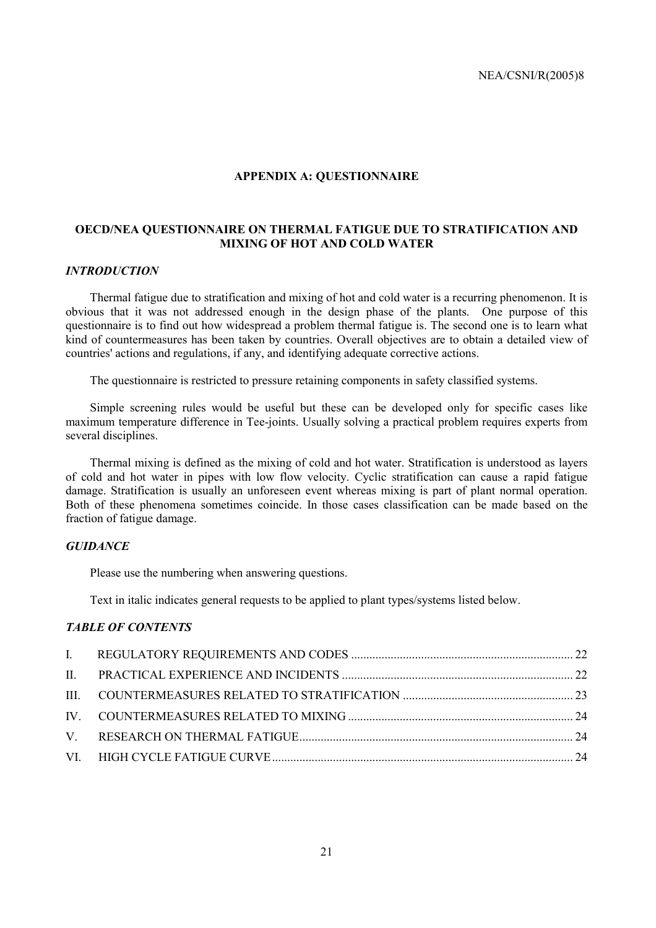### **APPENDIX A: QUESTIONNAIRE**

### **OECD/NEA QUESTIONNAIRE ON THERMAL FATIGUE DUE TO STRATIFICATION AND MIXING OF HOT AND COLD WATER**

### *INTRODUCTION*

Thermal fatigue due to stratification and mixing of hot and cold water is a recurring phenomenon. It is obvious that it was not addressed enough in the design phase of the plants. One purpose of this questionnaire is to find out how widespread a problem thermal fatigue is. The second one is to learn what kind of countermeasures has been taken by countries. Overall objectives are to obtain a detailed view of countries' actions and regulations, if any, and identifying adequate corrective actions.

The questionnaire is restricted to pressure retaining components in safety classified systems.

Simple screening rules would be useful but these can be developed only for specific cases like maximum temperature difference in Tee-joints. Usually solving a practical problem requires experts from several disciplines.

Thermal mixing is defined as the mixing of cold and hot water. Stratification is understood as layers of cold and hot water in pipes with low flow velocity. Cyclic stratification can cause a rapid fatigue damage. Stratification is usually an unforeseen event whereas mixing is part of plant normal operation. Both of these phenomena sometimes coincide. In those cases classification can be made based on the fraction of fatigue damage.

### *GUIDANCE*

Please use the numbering when answering questions.

Text in italic indicates general requests to be applied to plant types/systems listed below.

### *TABLE OF CONTENTS*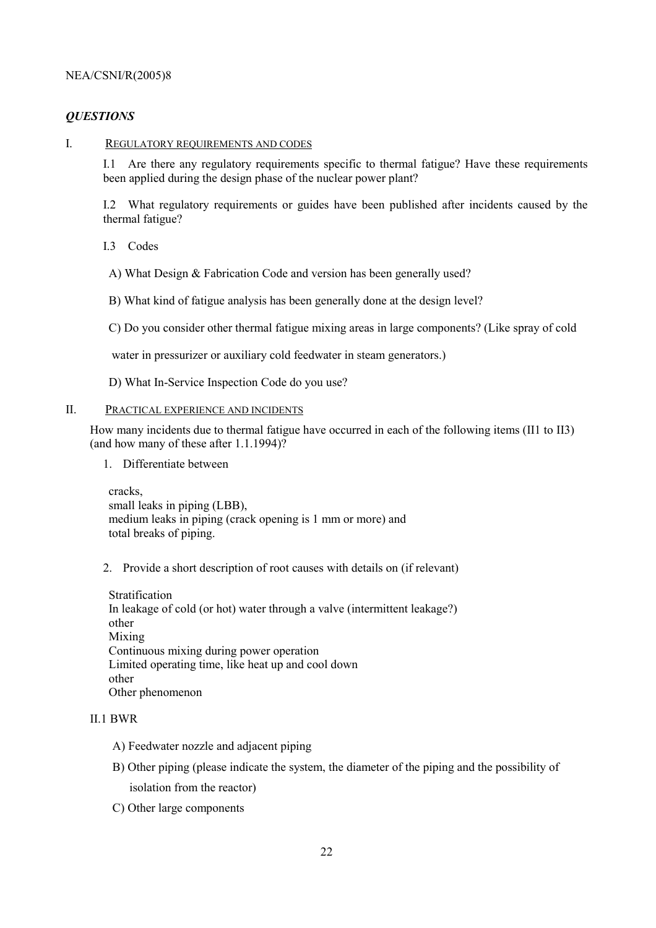### *QUESTIONS*

### I. REGULATORY REQUIREMENTS AND CODES

I.1 Are there any regulatory requirements specific to thermal fatigue? Have these requirements been applied during the design phase of the nuclear power plant?

I.2 What regulatory requirements or guides have been published after incidents caused by the thermal fatigue?

- I.3 Codes
- A) What Design & Fabrication Code and version has been generally used?
- B) What kind of fatigue analysis has been generally done at the design level?

C) Do you consider other thermal fatigue mixing areas in large components? (Like spray of cold

water in pressurizer or auxiliary cold feedwater in steam generators.)

D) What In-Service Inspection Code do you use?

### II. PRACTICAL EXPERIENCE AND INCIDENTS

How many incidents due to thermal fatigue have occurred in each of the following items (II1 to II3) (and how many of these after 1.1.1994)?

1. Differentiate between

cracks, small leaks in piping (LBB), medium leaks in piping (crack opening is 1 mm or more) and total breaks of piping.

2. Provide a short description of root causes with details on (if relevant)

Stratification In leakage of cold (or hot) water through a valve (intermittent leakage?) other Mixing Continuous mixing during power operation Limited operating time, like heat up and cool down other Other phenomenon

### II.1 BWR

- A) Feedwater nozzle and adjacent piping
- B) Other piping (please indicate the system, the diameter of the piping and the possibility of isolation from the reactor)
- C) Other large components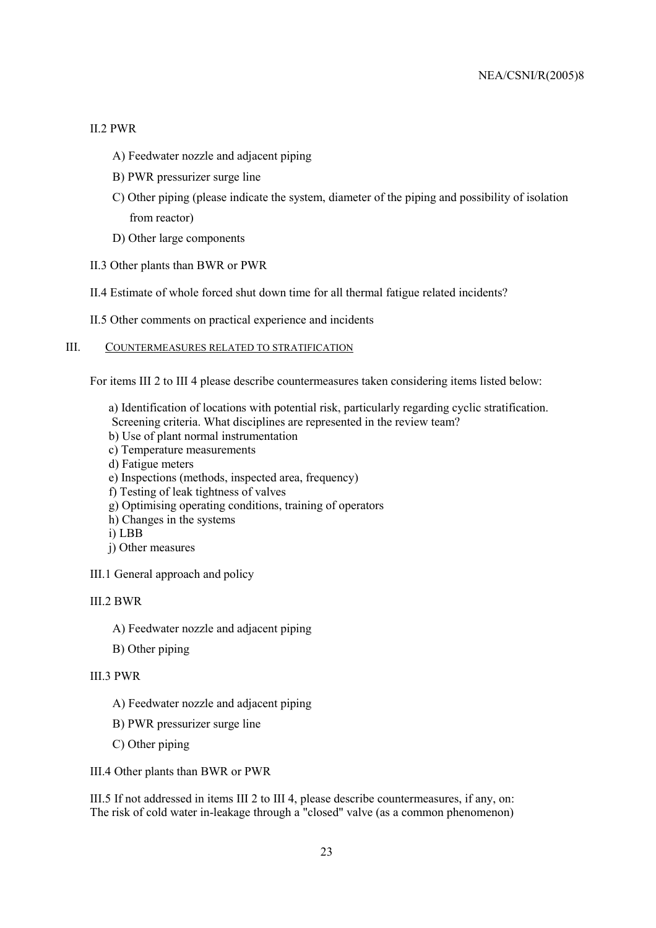### II.2 PWR

- A) Feedwater nozzle and adjacent piping
- B) PWR pressurizer surge line
- C) Other piping (please indicate the system, diameter of the piping and possibility of isolation from reactor)
- D) Other large components
- II.3 Other plants than BWR or PWR
- II.4 Estimate of whole forced shut down time for all thermal fatigue related incidents?
- II.5 Other comments on practical experience and incidents

### III. COUNTERMEASURES RELATED TO STRATIFICATION

For items III 2 to III 4 please describe countermeasures taken considering items listed below:

- a) Identification of locations with potential risk, particularly regarding cyclic stratification. Screening criteria. What disciplines are represented in the review team?
- b) Use of plant normal instrumentation
- c) Temperature measurements
- d) Fatigue meters
- e) Inspections (methods, inspected area, frequency)
- f) Testing of leak tightness of valves
- g) Optimising operating conditions, training of operators
- h) Changes in the systems
- i) LBB
- j) Other measures
- III.1 General approach and policy

### III.2 BWR

- A) Feedwater nozzle and adjacent piping
- B) Other piping

### III.3 PWR

- A) Feedwater nozzle and adjacent piping
- B) PWR pressurizer surge line
- C) Other piping
- III.4 Other plants than BWR or PWR

III.5 If not addressed in items III 2 to III 4, please describe countermeasures, if any, on: The risk of cold water in-leakage through a "closed" valve (as a common phenomenon)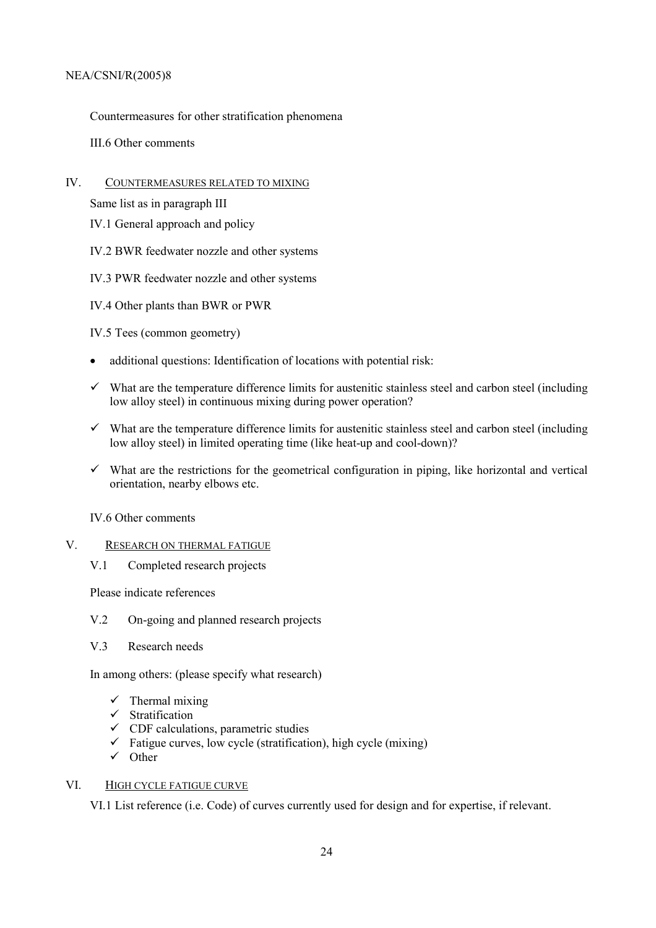Countermeasures for other stratification phenomena

III.6 Other comments

### IV. COUNTERMEASURES RELATED TO MIXING

Same list as in paragraph III

- IV.1 General approach and policy
- IV.2 BWR feedwater nozzle and other systems
- IV.3 PWR feedwater nozzle and other systems
- IV.4 Other plants than BWR or PWR
- IV.5 Tees (common geometry)
- additional questions: Identification of locations with potential risk:
- $\checkmark$  What are the temperature difference limits for austenitic stainless steel and carbon steel (including low alloy steel) in continuous mixing during power operation?
- $\checkmark$  What are the temperature difference limits for austenitic stainless steel and carbon steel (including low alloy steel) in limited operating time (like heat-up and cool-down)?
- $\checkmark$  What are the restrictions for the geometrical configuration in piping, like horizontal and vertical orientation, nearby elbows etc.

IV.6 Other comments

### V. RESEARCH ON THERMAL FATIGUE

V.1 Completed research projects

Please indicate references

- V.2 On-going and planned research projects
- V.3 Research needs

In among others: (please specify what research)

- $\checkmark$  Thermal mixing
- $\checkmark$  Stratification
- $\checkmark$  CDF calculations, parametric studies
- $\checkmark$  Fatigue curves, low cycle (stratification), high cycle (mixing)
- $\checkmark$  Other

### VI. HIGH CYCLE FATIGUE CURVE

VI.1 List reference (i.e. Code) of curves currently used for design and for expertise, if relevant.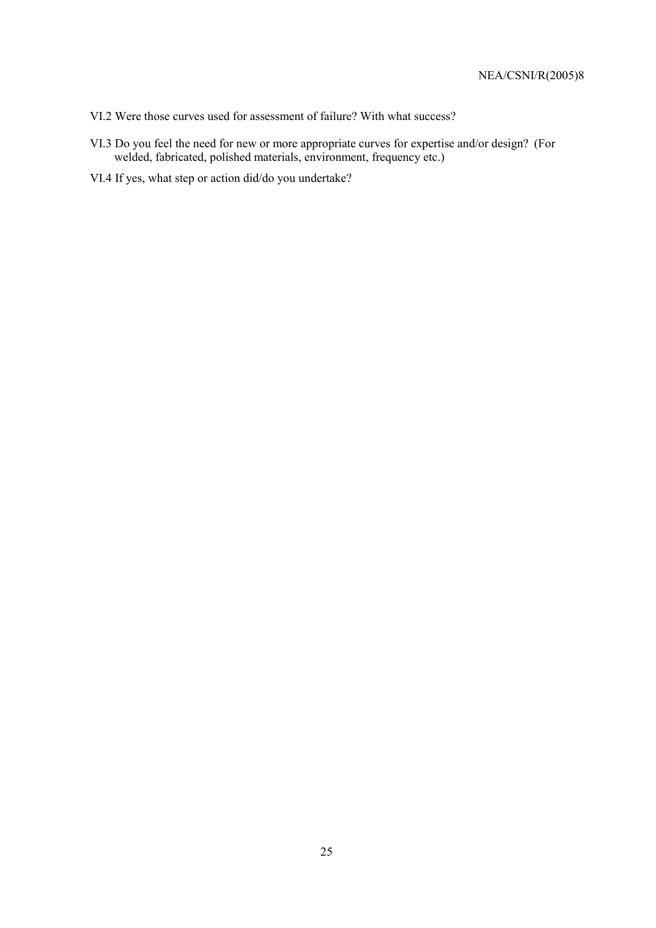- VI.2 Were those curves used for assessment of failure? With what success?
- VI.3 Do you feel the need for new or more appropriate curves for expertise and/or design? (For welded, fabricated, polished materials, environment, frequency etc.)
- VI.4 If yes, what step or action did/do you undertake?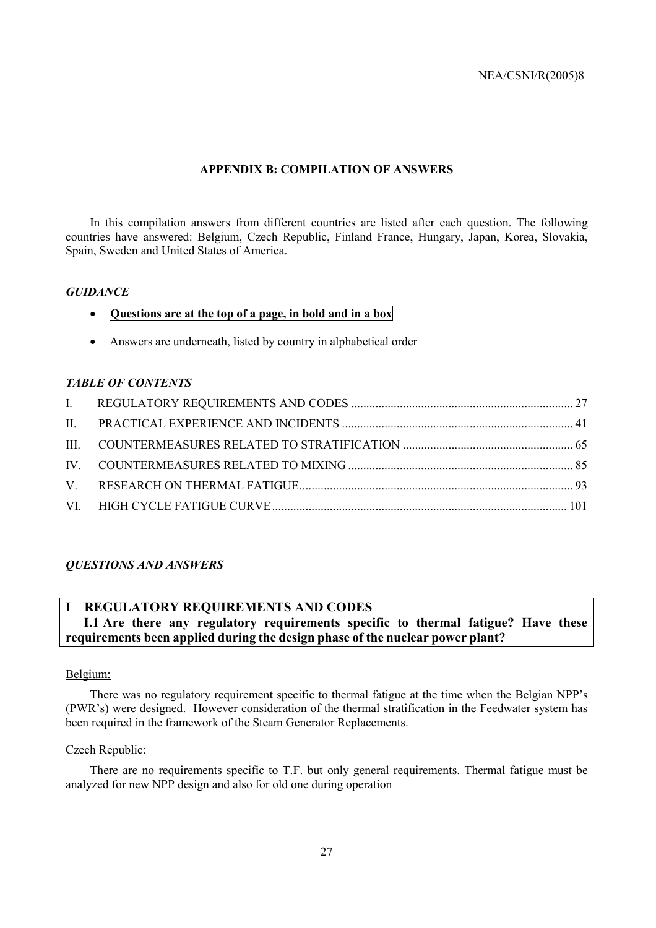### **APPENDIX B: COMPILATION OF ANSWERS**

In this compilation answers from different countries are listed after each question. The following countries have answered: Belgium, Czech Republic, Finland France, Hungary, Japan, Korea, Slovakia, Spain, Sweden and United States of America.

### *GUIDANCE*

### • **Questions are at the top of a page, in bold and in a box**

• Answers are underneath, listed by country in alphabetical order

## *TABLE OF CONTENTS*

### *QUESTIONS AND ANSWERS*

# **I REGULATORY REQUIREMENTS AND CODES I.1 Are there any regulatory requirements specific to thermal fatigue? Have these requirements been applied during the design phase of the nuclear power plant?**

### Belgium:

There was no regulatory requirement specific to thermal fatigue at the time when the Belgian NPP's (PWR's) were designed. However consideration of the thermal stratification in the Feedwater system has been required in the framework of the Steam Generator Replacements.

### Czech Republic:

There are no requirements specific to T.F. but only general requirements. Thermal fatigue must be analyzed for new NPP design and also for old one during operation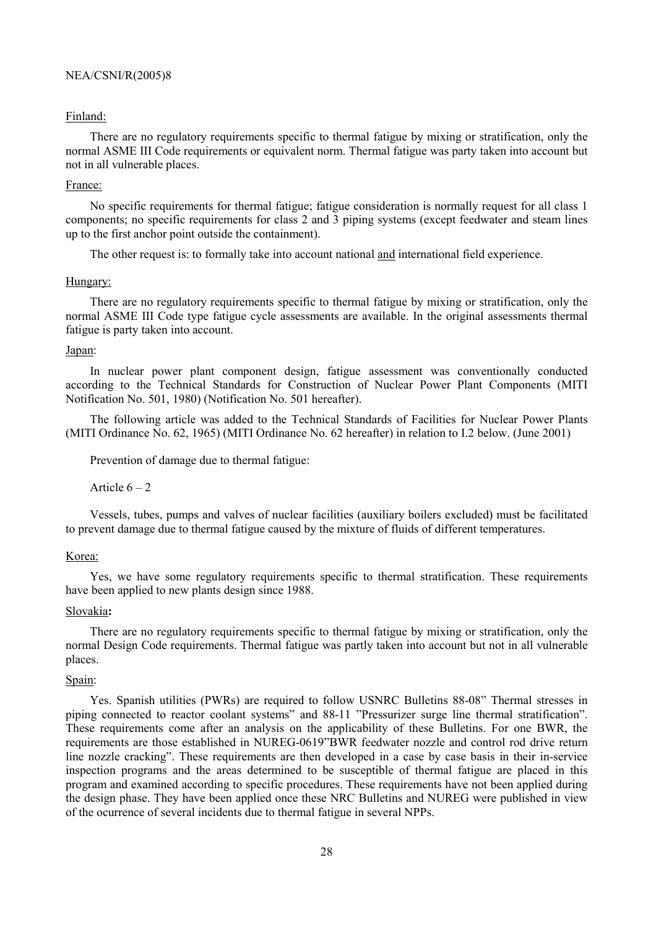#### Finland:

There are no regulatory requirements specific to thermal fatigue by mixing or stratification, only the normal ASME III Code requirements or equivalent norm. Thermal fatigue was party taken into account but not in all vulnerable places.

### France:

No specific requirements for thermal fatigue; fatigue consideration is normally request for all class 1 components; no specific requirements for class 2 and 3 piping systems (except feedwater and steam lines up to the first anchor point outside the containment).

The other request is: to formally take into account national and international field experience.

#### Hungary:

There are no regulatory requirements specific to thermal fatigue by mixing or stratification, only the normal ASME III Code type fatigue cycle assessments are available. In the original assessments thermal fatigue is party taken into account.

#### Japan:

In nuclear power plant component design, fatigue assessment was conventionally conducted according to the Technical Standards for Construction of Nuclear Power Plant Components (MITI Notification No. 501, 1980) (Notification No. 501 hereafter).

The following article was added to the Technical Standards of Facilities for Nuclear Power Plants (MITI Ordinance No. 62, 1965) (MITI Ordinance No. 62 hereafter) in relation to I.2 below. (June 2001)

Prevention of damage due to thermal fatigue:

Article  $6 - 2$ 

Vessels, tubes, pumps and valves of nuclear facilities (auxiliary boilers excluded) must be facilitated to prevent damage due to thermal fatigue caused by the mixture of fluids of different temperatures.

### Korea:

Yes, we have some regulatory requirements specific to thermal stratification. These requirements have been applied to new plants design since 1988.

#### Slovakia**:**

There are no regulatory requirements specific to thermal fatigue by mixing or stratification, only the normal Design Code requirements. Thermal fatigue was partly taken into account but not in all vulnerable places.

### Spain:

Yes. Spanish utilities (PWRs) are required to follow USNRC Bulletins 88-08" Thermal stresses in piping connected to reactor coolant systems" and 88-11 "Pressurizer surge line thermal stratification". These requirements come after an analysis on the applicability of these Bulletins. For one BWR, the requirements are those established in NUREG-0619"BWR feedwater nozzle and control rod drive return line nozzle cracking". These requirements are then developed in a case by case basis in their in-service inspection programs and the areas determined to be susceptible of thermal fatigue are placed in this program and examined according to specific procedures. These requirements have not been applied during the design phase. They have been applied once these NRC Bulletins and NUREG were published in view of the ocurrence of several incidents due to thermal fatigue in several NPPs.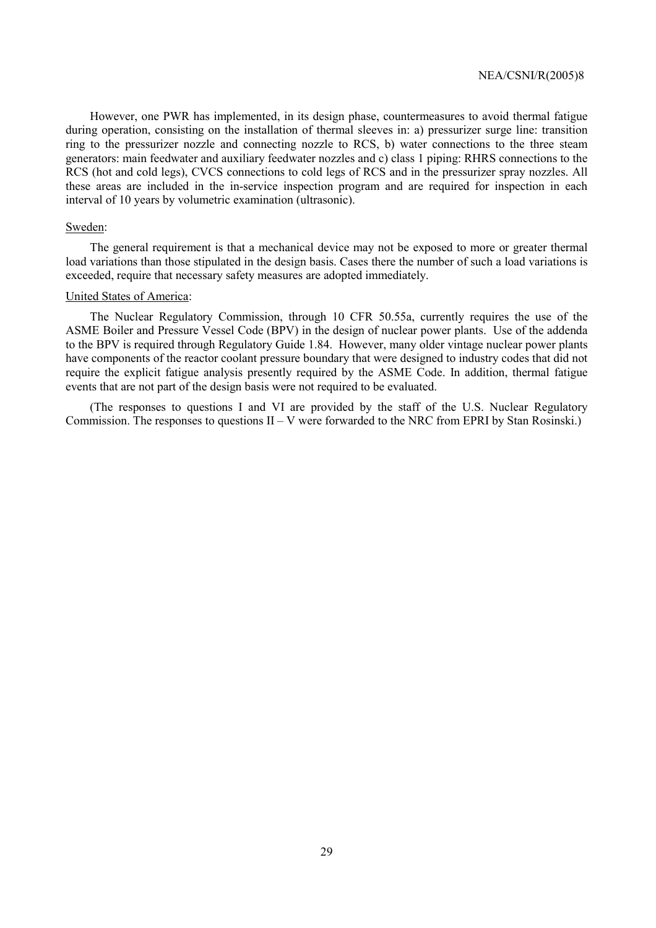However, one PWR has implemented, in its design phase, countermeasures to avoid thermal fatigue during operation, consisting on the installation of thermal sleeves in: a) pressurizer surge line: transition ring to the pressurizer nozzle and connecting nozzle to RCS, b) water connections to the three steam generators: main feedwater and auxiliary feedwater nozzles and c) class 1 piping: RHRS connections to the RCS (hot and cold legs), CVCS connections to cold legs of RCS and in the pressurizer spray nozzles. All these areas are included in the in-service inspection program and are required for inspection in each interval of 10 years by volumetric examination (ultrasonic).

### Sweden:

The general requirement is that a mechanical device may not be exposed to more or greater thermal load variations than those stipulated in the design basis. Cases there the number of such a load variations is exceeded, require that necessary safety measures are adopted immediately.

#### United States of America:

The Nuclear Regulatory Commission, through 10 CFR 50.55a, currently requires the use of the ASME Boiler and Pressure Vessel Code (BPV) in the design of nuclear power plants. Use of the addenda to the BPV is required through Regulatory Guide 1.84. However, many older vintage nuclear power plants have components of the reactor coolant pressure boundary that were designed to industry codes that did not require the explicit fatigue analysis presently required by the ASME Code. In addition, thermal fatigue events that are not part of the design basis were not required to be evaluated.

(The responses to questions I and VI are provided by the staff of the U.S. Nuclear Regulatory Commission. The responses to questions II – V were forwarded to the NRC from EPRI by Stan Rosinski.)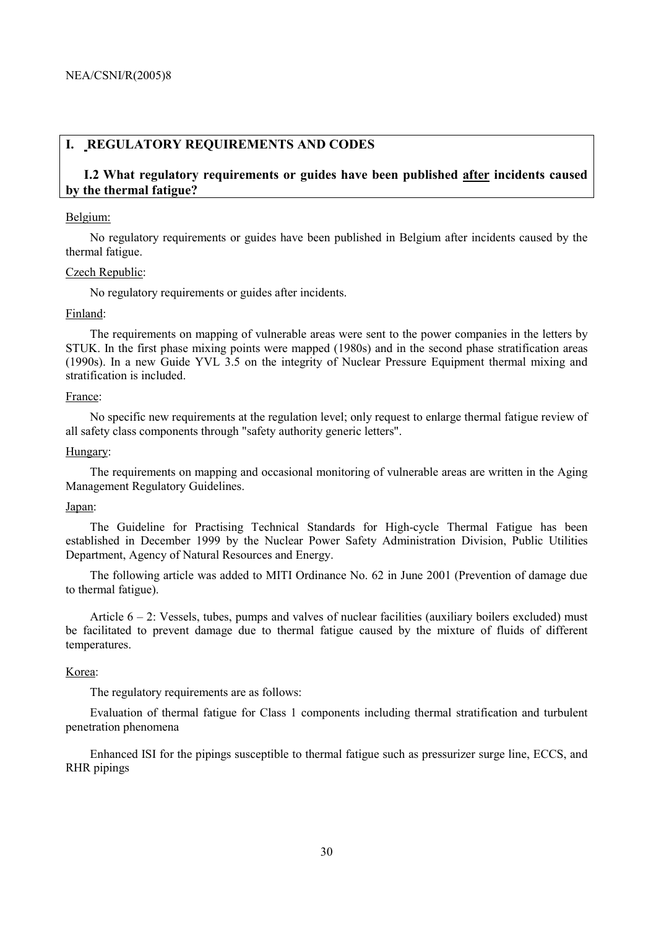# **I. REGULATORY REQUIREMENTS AND CODES**

## **I.2 What regulatory requirements or guides have been published after incidents caused by the thermal fatigue?**

#### Belgium:

No regulatory requirements or guides have been published in Belgium after incidents caused by the thermal fatigue.

#### Czech Republic:

No regulatory requirements or guides after incidents.

#### Finland:

The requirements on mapping of vulnerable areas were sent to the power companies in the letters by STUK. In the first phase mixing points were mapped (1980s) and in the second phase stratification areas (1990s). In a new Guide YVL 3.5 on the integrity of Nuclear Pressure Equipment thermal mixing and stratification is included.

### France:

No specific new requirements at the regulation level; only request to enlarge thermal fatigue review of all safety class components through "safety authority generic letters".

### Hungary:

The requirements on mapping and occasional monitoring of vulnerable areas are written in the Aging Management Regulatory Guidelines.

### Japan:

The Guideline for Practising Technical Standards for High-cycle Thermal Fatigue has been established in December 1999 by the Nuclear Power Safety Administration Division, Public Utilities Department, Agency of Natural Resources and Energy.

The following article was added to MITI Ordinance No. 62 in June 2001 (Prevention of damage due to thermal fatigue).

Article  $6 - 2$ : Vessels, tubes, pumps and valves of nuclear facilities (auxiliary boilers excluded) must be facilitated to prevent damage due to thermal fatigue caused by the mixture of fluids of different temperatures.

### Korea:

The regulatory requirements are as follows:

Evaluation of thermal fatigue for Class 1 components including thermal stratification and turbulent penetration phenomena

Enhanced ISI for the pipings susceptible to thermal fatigue such as pressurizer surge line, ECCS, and RHR pipings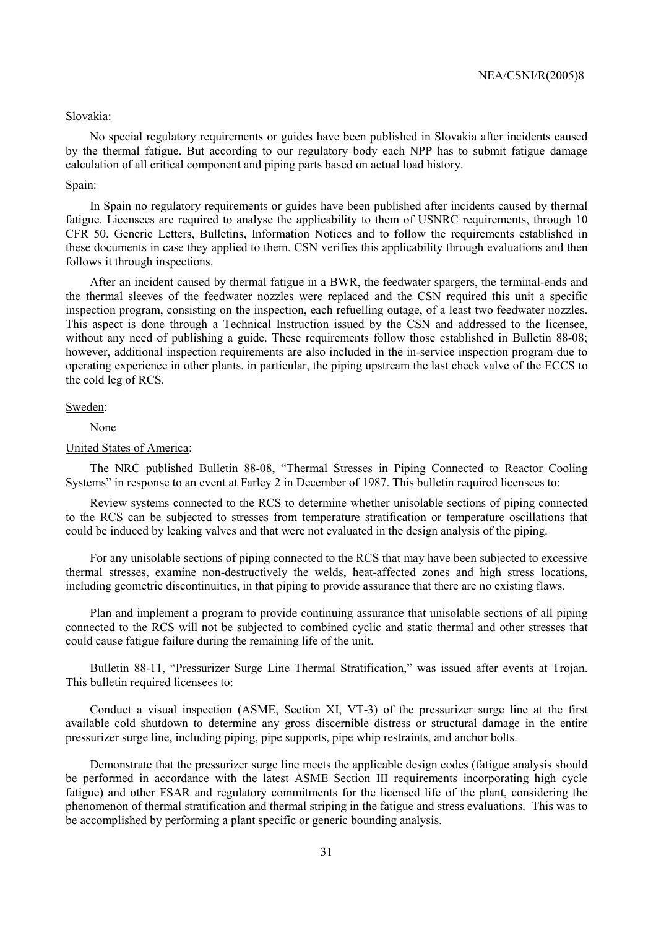### Slovakia:

No special regulatory requirements or guides have been published in Slovakia after incidents caused by the thermal fatigue. But according to our regulatory body each NPP has to submit fatigue damage calculation of all critical component and piping parts based on actual load history.

### Spain:

In Spain no regulatory requirements or guides have been published after incidents caused by thermal fatigue. Licensees are required to analyse the applicability to them of USNRC requirements, through 10 CFR 50, Generic Letters, Bulletins, Information Notices and to follow the requirements established in these documents in case they applied to them. CSN verifies this applicability through evaluations and then follows it through inspections.

After an incident caused by thermal fatigue in a BWR, the feedwater spargers, the terminal-ends and the thermal sleeves of the feedwater nozzles were replaced and the CSN required this unit a specific inspection program, consisting on the inspection, each refuelling outage, of a least two feedwater nozzles. This aspect is done through a Technical Instruction issued by the CSN and addressed to the licensee, without any need of publishing a guide. These requirements follow those established in Bulletin 88-08; however, additional inspection requirements are also included in the in-service inspection program due to operating experience in other plants, in particular, the piping upstream the last check valve of the ECCS to the cold leg of RCS.

### Sweden:

None

### United States of America:

The NRC published Bulletin 88-08, "Thermal Stresses in Piping Connected to Reactor Cooling Systems" in response to an event at Farley 2 in December of 1987. This bulletin required licensees to:

Review systems connected to the RCS to determine whether unisolable sections of piping connected to the RCS can be subjected to stresses from temperature stratification or temperature oscillations that could be induced by leaking valves and that were not evaluated in the design analysis of the piping.

For any unisolable sections of piping connected to the RCS that may have been subjected to excessive thermal stresses, examine non-destructively the welds, heat-affected zones and high stress locations, including geometric discontinuities, in that piping to provide assurance that there are no existing flaws.

Plan and implement a program to provide continuing assurance that unisolable sections of all piping connected to the RCS will not be subjected to combined cyclic and static thermal and other stresses that could cause fatigue failure during the remaining life of the unit.

Bulletin 88-11, "Pressurizer Surge Line Thermal Stratification," was issued after events at Trojan. This bulletin required licensees to:

Conduct a visual inspection (ASME, Section XI, VT-3) of the pressurizer surge line at the first available cold shutdown to determine any gross discernible distress or structural damage in the entire pressurizer surge line, including piping, pipe supports, pipe whip restraints, and anchor bolts.

Demonstrate that the pressurizer surge line meets the applicable design codes (fatigue analysis should be performed in accordance with the latest ASME Section III requirements incorporating high cycle fatigue) and other FSAR and regulatory commitments for the licensed life of the plant, considering the phenomenon of thermal stratification and thermal striping in the fatigue and stress evaluations. This was to be accomplished by performing a plant specific or generic bounding analysis.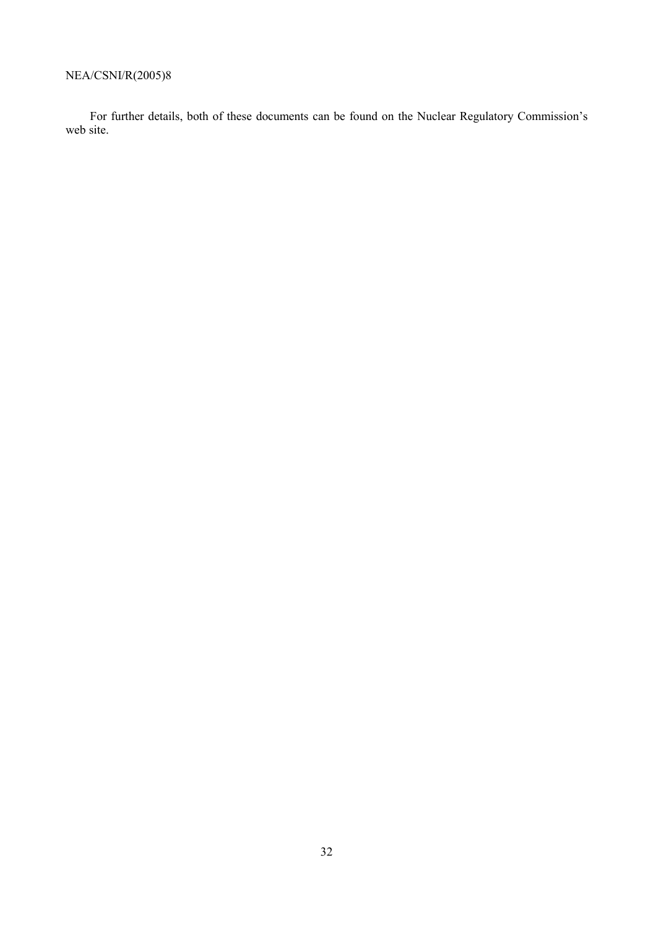For further details, both of these documents can be found on the Nuclear Regulatory Commission's web site.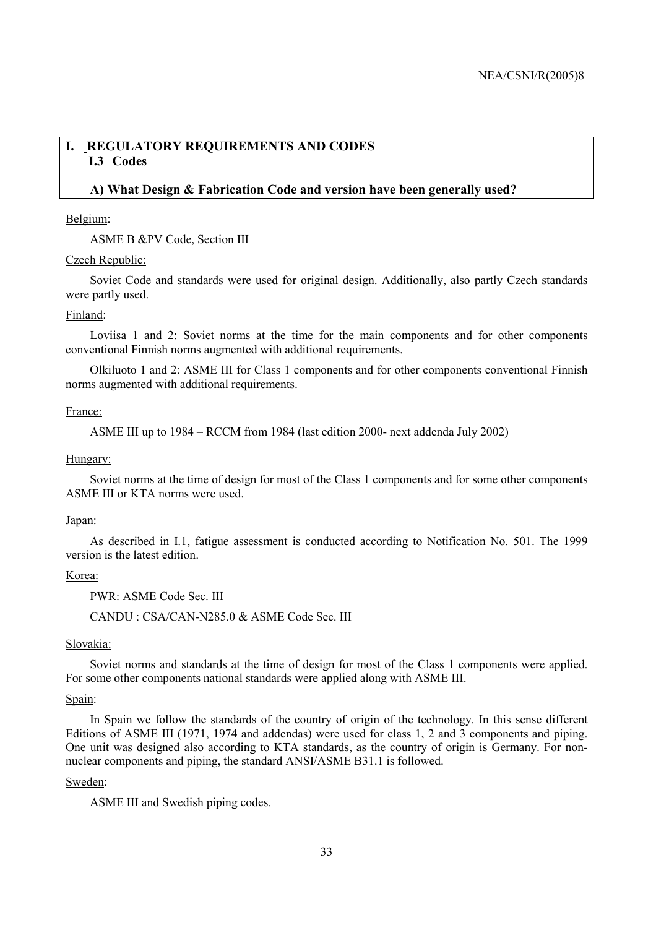# **I. REGULATORY REQUIREMENTS AND CODES I.3 Codes**

### **A) What Design & Fabrication Code and version have been generally used?**

#### Belgium:

ASME B &PV Code, Section III

#### Czech Republic:

Soviet Code and standards were used for original design. Additionally, also partly Czech standards were partly used.

### Finland:

Loviisa 1 and 2: Soviet norms at the time for the main components and for other components conventional Finnish norms augmented with additional requirements.

Olkiluoto 1 and 2: ASME III for Class 1 components and for other components conventional Finnish norms augmented with additional requirements.

#### France:

ASME III up to 1984 – RCCM from 1984 (last edition 2000- next addenda July 2002)

#### Hungary:

Soviet norms at the time of design for most of the Class 1 components and for some other components ASME III or KTA norms were used.

#### Japan:

As described in I.1, fatigue assessment is conducted according to Notification No. 501. The 1999 version is the latest edition.

### Korea:

PWR: ASME Code Sec. III

CANDU : CSA/CAN-N285.0 & ASME Code Sec. III

### Slovakia:

Soviet norms and standards at the time of design for most of the Class 1 components were applied. For some other components national standards were applied along with ASME III.

### Spain:

In Spain we follow the standards of the country of origin of the technology. In this sense different Editions of ASME III (1971, 1974 and addendas) were used for class 1, 2 and 3 components and piping. One unit was designed also according to KTA standards, as the country of origin is Germany. For nonnuclear components and piping, the standard ANSI/ASME B31.1 is followed.

#### Sweden:

ASME III and Swedish piping codes.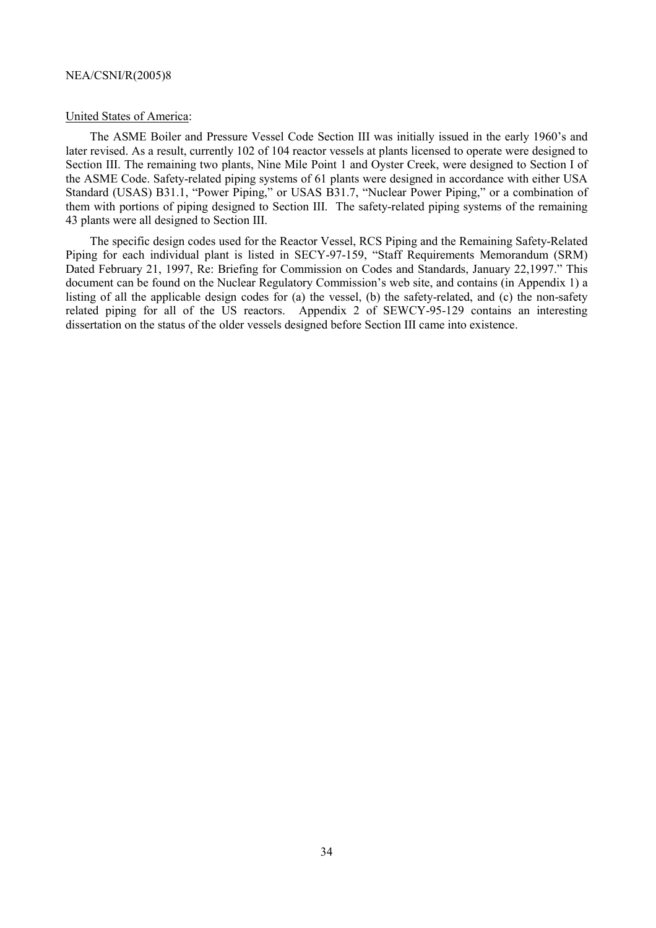### United States of America:

The ASME Boiler and Pressure Vessel Code Section III was initially issued in the early 1960's and later revised. As a result, currently 102 of 104 reactor vessels at plants licensed to operate were designed to Section III. The remaining two plants, Nine Mile Point 1 and Oyster Creek, were designed to Section I of the ASME Code. Safety-related piping systems of 61 plants were designed in accordance with either USA Standard (USAS) B31.1, "Power Piping," or USAS B31.7, "Nuclear Power Piping," or a combination of them with portions of piping designed to Section III. The safety-related piping systems of the remaining 43 plants were all designed to Section III.

The specific design codes used for the Reactor Vessel, RCS Piping and the Remaining Safety-Related Piping for each individual plant is listed in SECY-97-159, "Staff Requirements Memorandum (SRM) Dated February 21, 1997, Re: Briefing for Commission on Codes and Standards, January 22,1997." This document can be found on the Nuclear Regulatory Commission's web site, and contains (in Appendix 1) a listing of all the applicable design codes for (a) the vessel, (b) the safety-related, and (c) the non-safety related piping for all of the US reactors. Appendix 2 of SEWCY-95-129 contains an interesting dissertation on the status of the older vessels designed before Section III came into existence.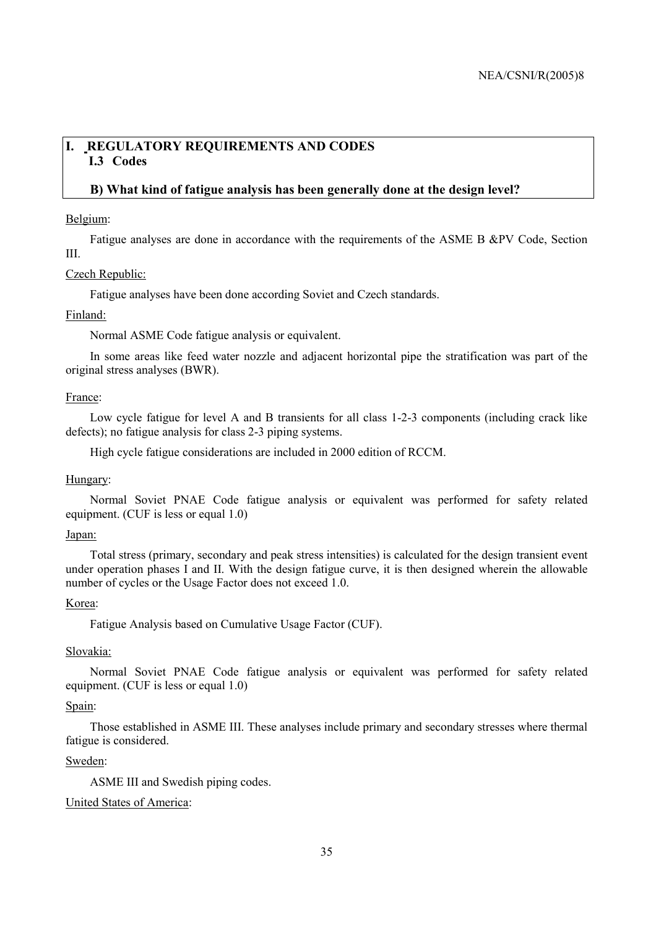# **I. REGULATORY REQUIREMENTS AND CODES I.3 Codes**

### **B) What kind of fatigue analysis has been generally done at the design level?**

### Belgium:

Fatigue analyses are done in accordance with the requirements of the ASME B &PV Code, Section III.

### Czech Republic:

Fatigue analyses have been done according Soviet and Czech standards.

### Finland:

Normal ASME Code fatigue analysis or equivalent.

In some areas like feed water nozzle and adjacent horizontal pipe the stratification was part of the original stress analyses (BWR).

### France:

Low cycle fatigue for level A and B transients for all class 1-2-3 components (including crack like defects); no fatigue analysis for class 2-3 piping systems.

High cycle fatigue considerations are included in 2000 edition of RCCM.

### Hungary:

Normal Soviet PNAE Code fatigue analysis or equivalent was performed for safety related equipment. (CUF is less or equal 1.0)

### Japan:

Total stress (primary, secondary and peak stress intensities) is calculated for the design transient event under operation phases I and II. With the design fatigue curve, it is then designed wherein the allowable number of cycles or the Usage Factor does not exceed 1.0.

### Korea:

Fatigue Analysis based on Cumulative Usage Factor (CUF).

### Slovakia:

Normal Soviet PNAE Code fatigue analysis or equivalent was performed for safety related equipment. (CUF is less or equal 1.0)

### Spain:

Those established in ASME III. These analyses include primary and secondary stresses where thermal fatigue is considered.

### Sweden:

ASME III and Swedish piping codes.

### United States of America: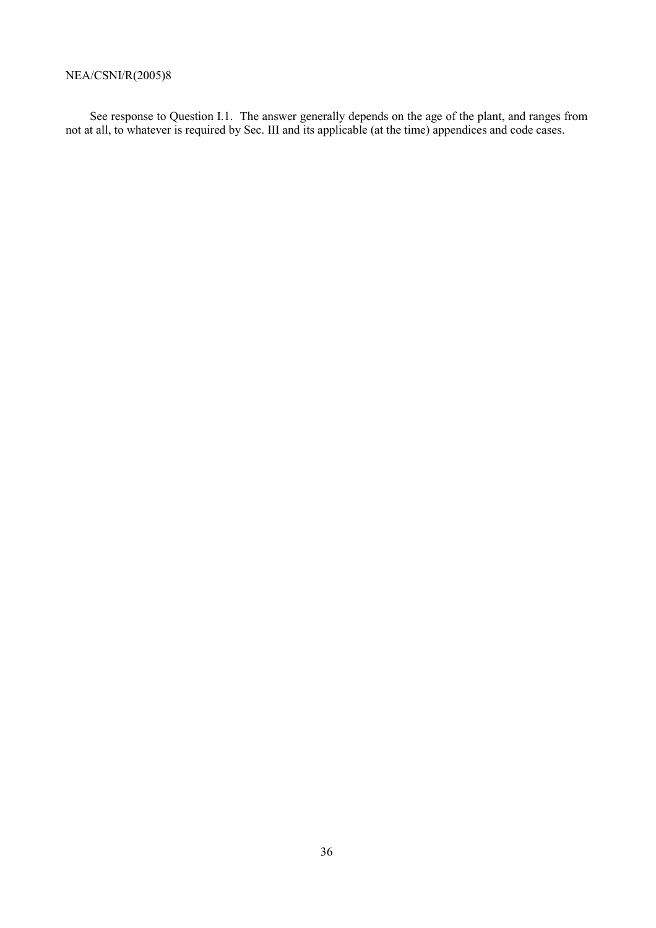See response to Question I.1. The answer generally depends on the age of the plant, and ranges from not at all, to whatever is required by Sec. III and its applicable (at the time) appendices and code cases.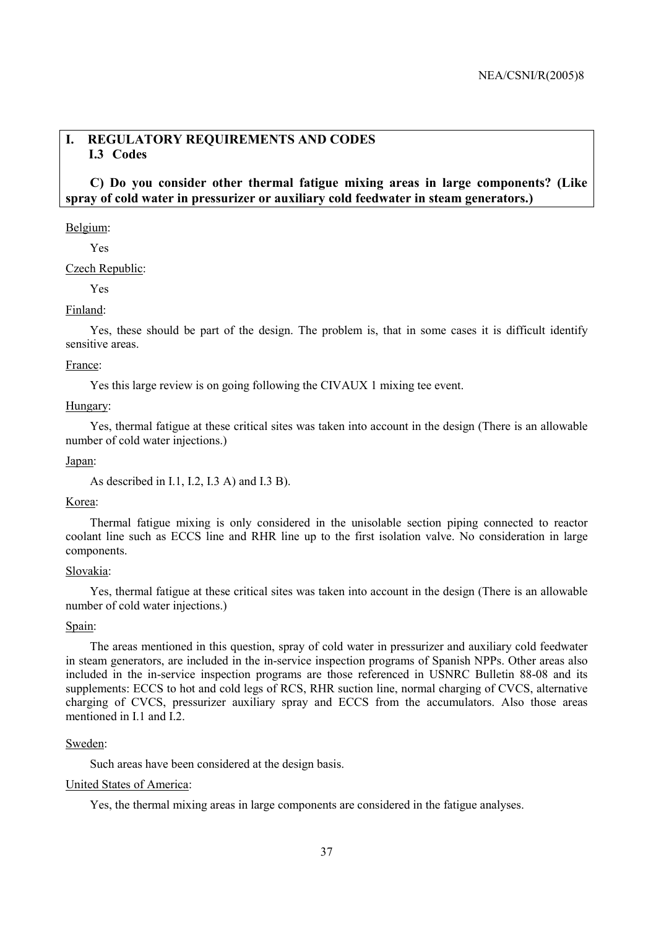# **I. REGULATORY REQUIREMENTS AND CODES I.3 Codes**

# **C) Do you consider other thermal fatigue mixing areas in large components? (Like spray of cold water in pressurizer or auxiliary cold feedwater in steam generators.)**

## Belgium:

Yes

### Czech Republic:

Yes

# Finland:

Yes, these should be part of the design. The problem is, that in some cases it is difficult identify sensitive areas.

## France:

Yes this large review is on going following the CIVAUX 1 mixing tee event.

# Hungary:

Yes, thermal fatigue at these critical sites was taken into account in the design (There is an allowable number of cold water injections.)

#### Japan:

```
As described in I.1, I.2, I.3 A) and I.3 B).
```
# Korea:

Thermal fatigue mixing is only considered in the unisolable section piping connected to reactor coolant line such as ECCS line and RHR line up to the first isolation valve. No consideration in large components.

### Slovakia:

Yes, thermal fatigue at these critical sites was taken into account in the design (There is an allowable number of cold water injections.)

### Spain:

The areas mentioned in this question, spray of cold water in pressurizer and auxiliary cold feedwater in steam generators, are included in the in-service inspection programs of Spanish NPPs. Other areas also included in the in-service inspection programs are those referenced in USNRC Bulletin 88-08 and its supplements: ECCS to hot and cold legs of RCS, RHR suction line, normal charging of CVCS, alternative charging of CVCS, pressurizer auxiliary spray and ECCS from the accumulators. Also those areas mentioned in I.1 and I.2.

### Sweden:

Such areas have been considered at the design basis.

### United States of America:

Yes, the thermal mixing areas in large components are considered in the fatigue analyses.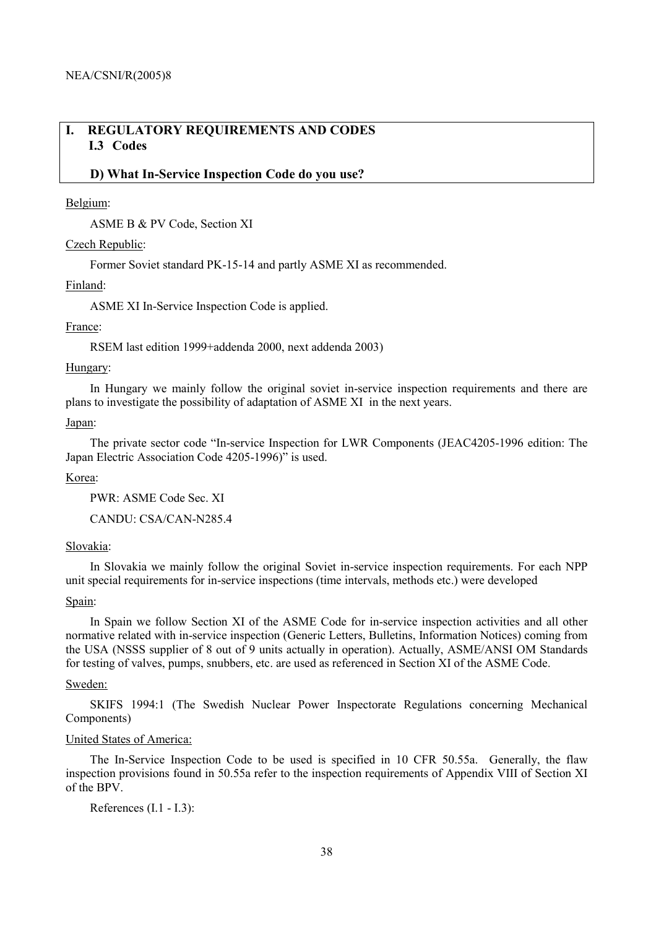# **I. REGULATORY REQUIREMENTS AND CODES I.3 Codes**

## **D) What In-Service Inspection Code do you use?**

#### Belgium:

ASME B & PV Code, Section XI

#### Czech Republic:

Former Soviet standard PK-15-14 and partly ASME XI as recommended.

#### Finland:

ASME XI In-Service Inspection Code is applied.

## France:

RSEM last edition 1999+addenda 2000, next addenda 2003)

#### Hungary:

In Hungary we mainly follow the original soviet in-service inspection requirements and there are plans to investigate the possibility of adaptation of ASME XI in the next years.

#### Japan:

The private sector code "In-service Inspection for LWR Components (JEAC4205-1996 edition: The Japan Electric Association Code 4205-1996)" is used.

## Korea:

PWR: ASME Code Sec. XI

CANDU: CSA/CAN-N285.4

## Slovakia:

In Slovakia we mainly follow the original Soviet in-service inspection requirements. For each NPP unit special requirements for in-service inspections (time intervals, methods etc.) were developed

# Spain:

In Spain we follow Section XI of the ASME Code for in-service inspection activities and all other normative related with in-service inspection (Generic Letters, Bulletins, Information Notices) coming from the USA (NSSS supplier of 8 out of 9 units actually in operation). Actually, ASME/ANSI OM Standards for testing of valves, pumps, snubbers, etc. are used as referenced in Section XI of the ASME Code.

#### Sweden:

SKIFS 1994:1 (The Swedish Nuclear Power Inspectorate Regulations concerning Mechanical Components)

## United States of America:

The In-Service Inspection Code to be used is specified in 10 CFR 50.55a. Generally, the flaw inspection provisions found in 50.55a refer to the inspection requirements of Appendix VIII of Section XI of the BPV.

References (I.1 - I.3):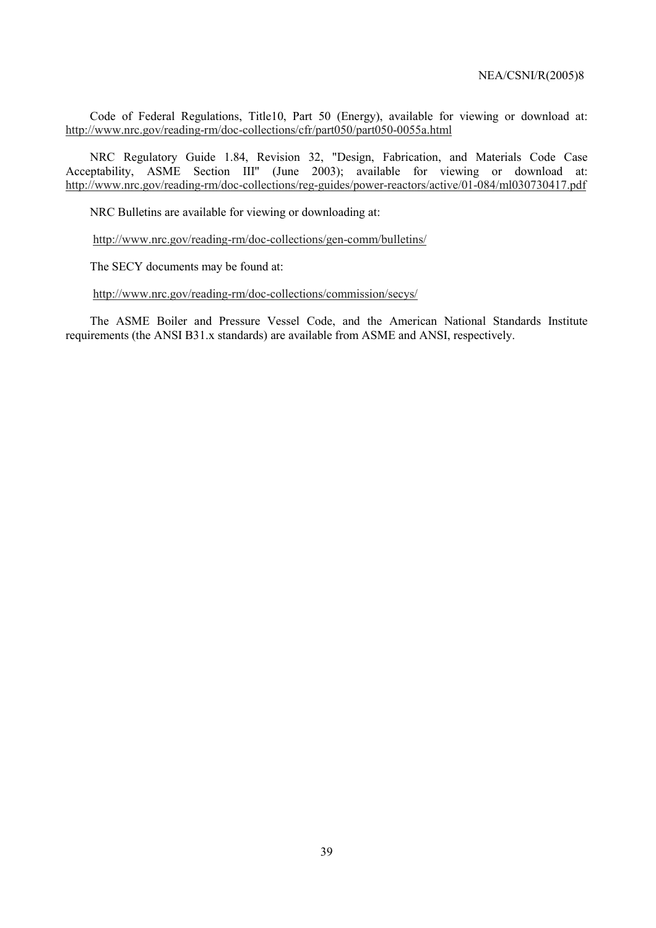Code of Federal Regulations, Title10, Part 50 (Energy), available for viewing or download at: http://www.nrc.gov/reading-rm/doc-collections/cfr/part050/part050-0055a.html

NRC Regulatory Guide 1.84, Revision 32, "Design, Fabrication, and Materials Code Case Acceptability, ASME Section III" (June 2003); available for viewing or download at: http://www.nrc.gov/reading-rm/doc-collections/reg-guides/power-reactors/active/01-084/ml030730417.pdf

NRC Bulletins are available for viewing or downloading at:

http://www.nrc.gov/reading-rm/doc-collections/gen-comm/bulletins/

The SECY documents may be found at:

http://www.nrc.gov/reading-rm/doc-collections/commission/secys/

The ASME Boiler and Pressure Vessel Code, and the American National Standards Institute requirements (the ANSI B31.x standards) are available from ASME and ANSI, respectively.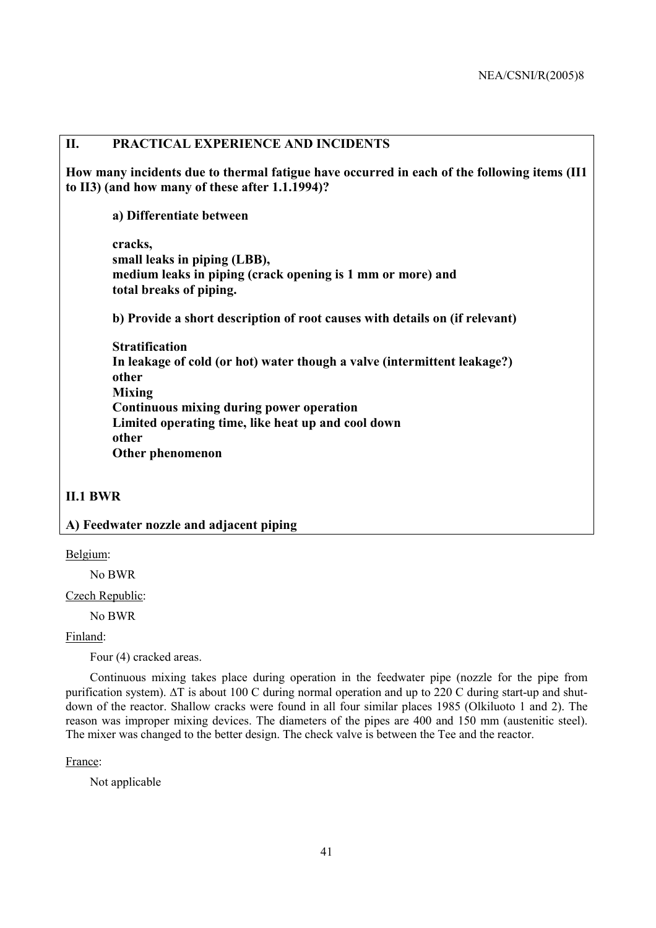**How many incidents due to thermal fatigue have occurred in each of the following items (II1 to II3) (and how many of these after 1.1.1994)?** 

 **a) Differentiate between** 

 **cracks, small leaks in piping (LBB), medium leaks in piping (crack opening is 1 mm or more) and total breaks of piping.** 

 **b) Provide a short description of root causes with details on (if relevant)** 

 **Stratification In leakage of cold (or hot) water though a valve (intermittent leakage?) other Mixing Continuous mixing during power operation Limited operating time, like heat up and cool down other Other phenomenon** 

# **II.1 BWR**

### **A) Feedwater nozzle and adjacent piping**

Belgium:

No BWR

Czech Republic:

No BWR

Finland:

Four (4) cracked areas.

Continuous mixing takes place during operation in the feedwater pipe (nozzle for the pipe from purification system). ∆T is about 100 C during normal operation and up to 220 C during start-up and shutdown of the reactor. Shallow cracks were found in all four similar places 1985 (Olkiluoto 1 and 2). The reason was improper mixing devices. The diameters of the pipes are 400 and 150 mm (austenitic steel). The mixer was changed to the better design. The check valve is between the Tee and the reactor.

France:

Not applicable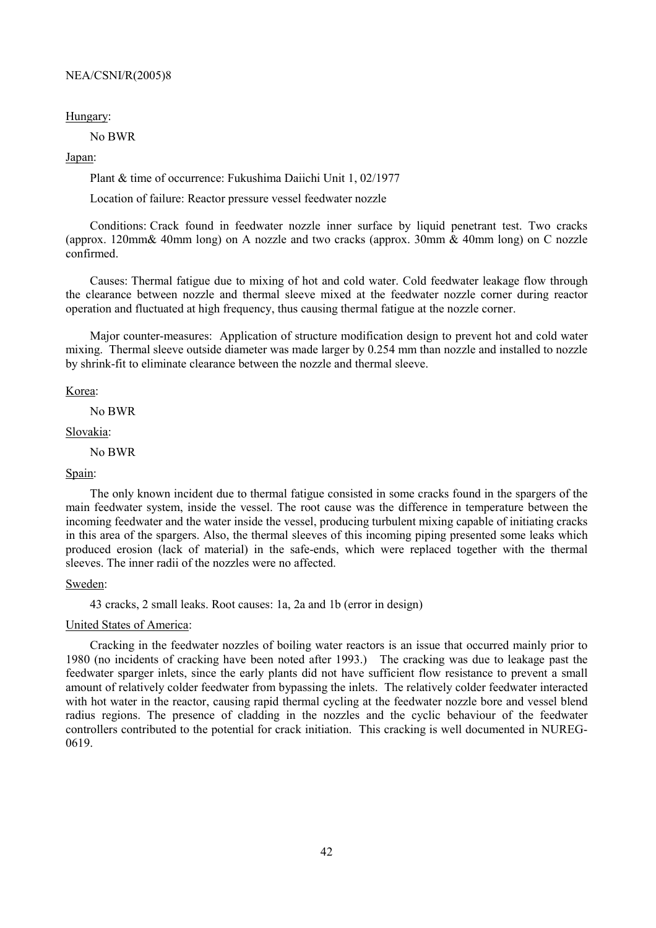#### Hungary:

### No BWR

Japan:

Plant & time of occurrence: Fukushima Daiichi Unit 1, 02/1977

Location of failure: Reactor pressure vessel feedwater nozzle

Conditions: Crack found in feedwater nozzle inner surface by liquid penetrant test. Two cracks (approx. 120mm& 40mm long) on A nozzle and two cracks (approx. 30mm & 40mm long) on C nozzle confirmed.

Causes: Thermal fatigue due to mixing of hot and cold water. Cold feedwater leakage flow through the clearance between nozzle and thermal sleeve mixed at the feedwater nozzle corner during reactor operation and fluctuated at high frequency, thus causing thermal fatigue at the nozzle corner.

Major counter-measures: Application of structure modification design to prevent hot and cold water mixing. Thermal sleeve outside diameter was made larger by 0.254 mm than nozzle and installed to nozzle by shrink-fit to eliminate clearance between the nozzle and thermal sleeve.

#### Korea:

No BWR

# Slovakia:

No BWR

## Spain:

The only known incident due to thermal fatigue consisted in some cracks found in the spargers of the main feedwater system, inside the vessel. The root cause was the difference in temperature between the incoming feedwater and the water inside the vessel, producing turbulent mixing capable of initiating cracks in this area of the spargers. Also, the thermal sleeves of this incoming piping presented some leaks which produced erosion (lack of material) in the safe-ends, which were replaced together with the thermal sleeves. The inner radii of the nozzles were no affected.

#### Sweden:

43 cracks, 2 small leaks. Root causes: 1a, 2a and 1b (error in design)

#### United States of America:

Cracking in the feedwater nozzles of boiling water reactors is an issue that occurred mainly prior to 1980 (no incidents of cracking have been noted after 1993.) The cracking was due to leakage past the feedwater sparger inlets, since the early plants did not have sufficient flow resistance to prevent a small amount of relatively colder feedwater from bypassing the inlets. The relatively colder feedwater interacted with hot water in the reactor, causing rapid thermal cycling at the feedwater nozzle bore and vessel blend radius regions. The presence of cladding in the nozzles and the cyclic behaviour of the feedwater controllers contributed to the potential for crack initiation. This cracking is well documented in NUREG-0619.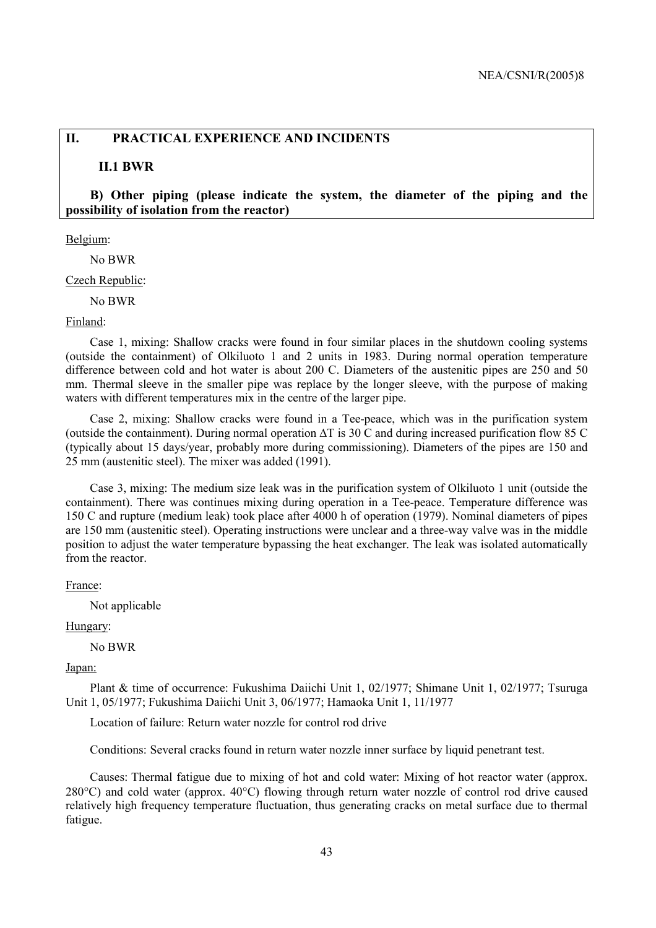# **II.1 BWR**

**B) Other piping (please indicate the system, the diameter of the piping and the possibility of isolation from the reactor)** 

Belgium:

No BWR

Czech Republic:

No BWR

Finland:

Case 1, mixing: Shallow cracks were found in four similar places in the shutdown cooling systems (outside the containment) of Olkiluoto 1 and 2 units in 1983. During normal operation temperature difference between cold and hot water is about 200 C. Diameters of the austenitic pipes are 250 and 50 mm. Thermal sleeve in the smaller pipe was replace by the longer sleeve, with the purpose of making waters with different temperatures mix in the centre of the larger pipe.

Case 2, mixing: Shallow cracks were found in a Tee-peace, which was in the purification system (outside the containment). During normal operation ∆T is 30 C and during increased purification flow 85 C (typically about 15 days/year, probably more during commissioning). Diameters of the pipes are 150 and 25 mm (austenitic steel). The mixer was added (1991).

Case 3, mixing: The medium size leak was in the purification system of Olkiluoto 1 unit (outside the containment). There was continues mixing during operation in a Tee-peace. Temperature difference was 150 C and rupture (medium leak) took place after 4000 h of operation (1979). Nominal diameters of pipes are 150 mm (austenitic steel). Operating instructions were unclear and a three-way valve was in the middle position to adjust the water temperature bypassing the heat exchanger. The leak was isolated automatically from the reactor.

France:

Not applicable

Hungary:

No BWR

Japan:

Plant & time of occurrence: Fukushima Daiichi Unit 1, 02/1977; Shimane Unit 1, 02/1977; Tsuruga Unit 1, 05/1977; Fukushima Daiichi Unit 3, 06/1977; Hamaoka Unit 1, 11/1977

Location of failure: Return water nozzle for control rod drive

Conditions: Several cracks found in return water nozzle inner surface by liquid penetrant test.

Causes: Thermal fatigue due to mixing of hot and cold water: Mixing of hot reactor water (approx. 280°C) and cold water (approx. 40°C) flowing through return water nozzle of control rod drive caused relatively high frequency temperature fluctuation, thus generating cracks on metal surface due to thermal fatigue.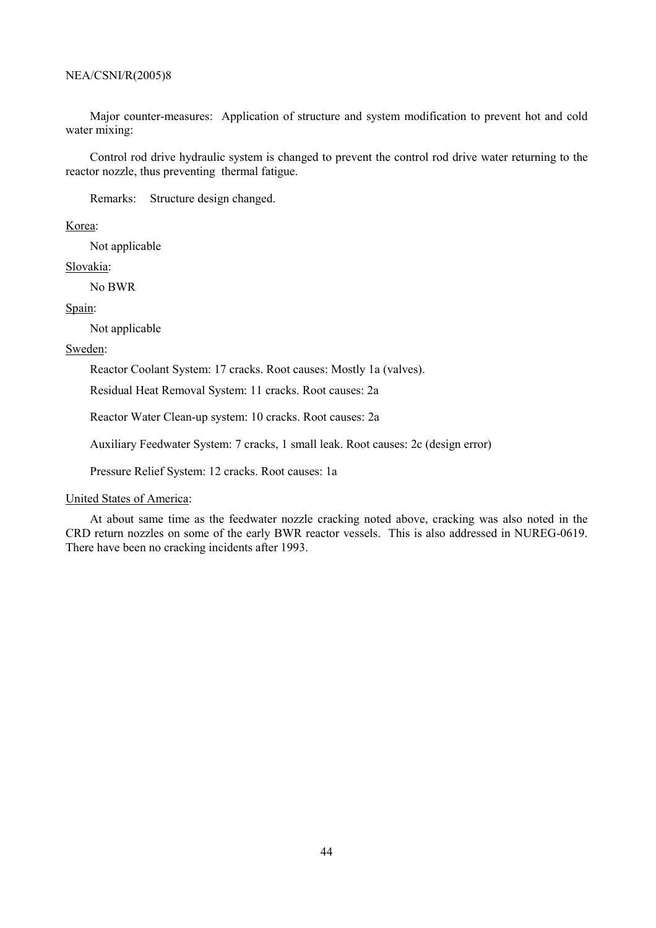Major counter-measures: Application of structure and system modification to prevent hot and cold water mixing:

Control rod drive hydraulic system is changed to prevent the control rod drive water returning to the reactor nozzle, thus preventing thermal fatigue.

Remarks: Structure design changed.

# Korea:

Not applicable

## Slovakia:

No BWR

# Spain:

Not applicable

#### Sweden:

Reactor Coolant System: 17 cracks. Root causes: Mostly 1a (valves).

Residual Heat Removal System: 11 cracks. Root causes: 2a

Reactor Water Clean-up system: 10 cracks. Root causes: 2a

Auxiliary Feedwater System: 7 cracks, 1 small leak. Root causes: 2c (design error)

Pressure Relief System: 12 cracks. Root causes: 1a

# United States of America:

At about same time as the feedwater nozzle cracking noted above, cracking was also noted in the CRD return nozzles on some of the early BWR reactor vessels. This is also addressed in NUREG-0619. There have been no cracking incidents after 1993.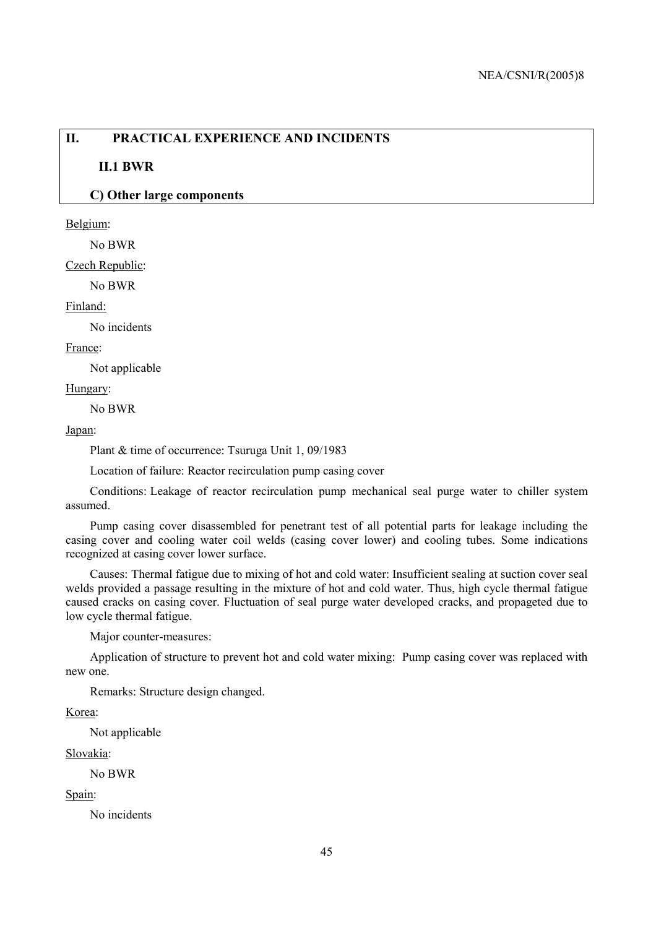# **II.1 BWR**

## **C) Other large components**

Belgium:

No BWR

Czech Republic:

No BWR

# Finland:

No incidents

# France:

Not applicable

#### Hungary:

No BWR

## Japan:

Plant & time of occurrence: Tsuruga Unit 1, 09/1983

Location of failure: Reactor recirculation pump casing cover

Conditions: Leakage of reactor recirculation pump mechanical seal purge water to chiller system assumed.

Pump casing cover disassembled for penetrant test of all potential parts for leakage including the casing cover and cooling water coil welds (casing cover lower) and cooling tubes. Some indications recognized at casing cover lower surface.

Causes: Thermal fatigue due to mixing of hot and cold water: Insufficient sealing at suction cover seal welds provided a passage resulting in the mixture of hot and cold water. Thus, high cycle thermal fatigue caused cracks on casing cover. Fluctuation of seal purge water developed cracks, and propageted due to low cycle thermal fatigue.

Major counter-measures:

Application of structure to prevent hot and cold water mixing: Pump casing cover was replaced with new one.

Remarks: Structure design changed.

#### Korea:

Not applicable

# Slovakia:

No BWR

### Spain:

No incidents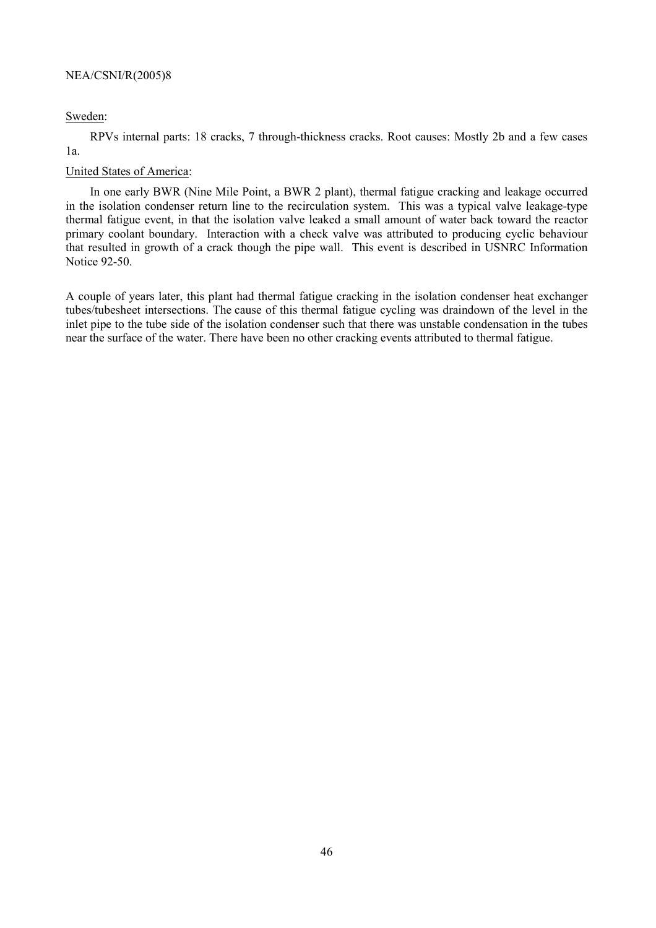# Sweden:

RPVs internal parts: 18 cracks, 7 through-thickness cracks. Root causes: Mostly 2b and a few cases 1a.

# United States of America:

In one early BWR (Nine Mile Point, a BWR 2 plant), thermal fatigue cracking and leakage occurred in the isolation condenser return line to the recirculation system. This was a typical valve leakage-type thermal fatigue event, in that the isolation valve leaked a small amount of water back toward the reactor primary coolant boundary. Interaction with a check valve was attributed to producing cyclic behaviour that resulted in growth of a crack though the pipe wall. This event is described in USNRC Information Notice 92-50.

A couple of years later, this plant had thermal fatigue cracking in the isolation condenser heat exchanger tubes/tubesheet intersections. The cause of this thermal fatigue cycling was draindown of the level in the inlet pipe to the tube side of the isolation condenser such that there was unstable condensation in the tubes near the surface of the water. There have been no other cracking events attributed to thermal fatigue.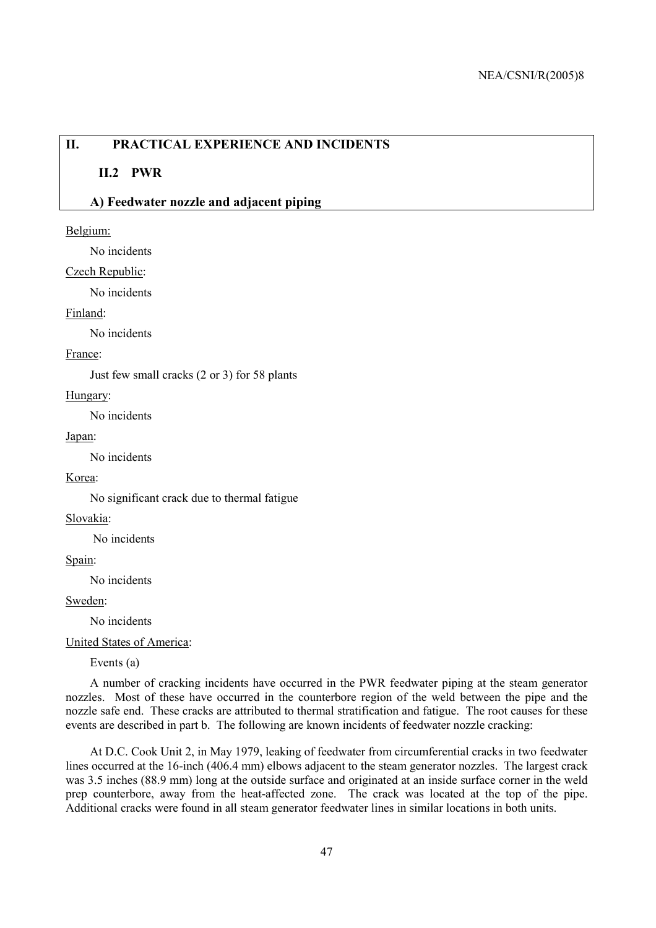# **II.2 PWR**

## **A) Feedwater nozzle and adjacent piping**

#### Belgium:

No incidents

# Czech Republic:

No incidents

#### Finland:

No incidents

#### France:

Just few small cracks (2 or 3) for 58 plants

### Hungary:

No incidents

#### Japan:

No incidents

# Korea:

No significant crack due to thermal fatigue

# Slovakia:

No incidents

# Spain:

No incidents

# Sweden:

No incidents

United States of America:

Events (a)

A number of cracking incidents have occurred in the PWR feedwater piping at the steam generator nozzles. Most of these have occurred in the counterbore region of the weld between the pipe and the nozzle safe end. These cracks are attributed to thermal stratification and fatigue. The root causes for these events are described in part b. The following are known incidents of feedwater nozzle cracking:

At D.C. Cook Unit 2, in May 1979, leaking of feedwater from circumferential cracks in two feedwater lines occurred at the 16-inch (406.4 mm) elbows adjacent to the steam generator nozzles. The largest crack was 3.5 inches (88.9 mm) long at the outside surface and originated at an inside surface corner in the weld prep counterbore, away from the heat-affected zone. The crack was located at the top of the pipe. Additional cracks were found in all steam generator feedwater lines in similar locations in both units.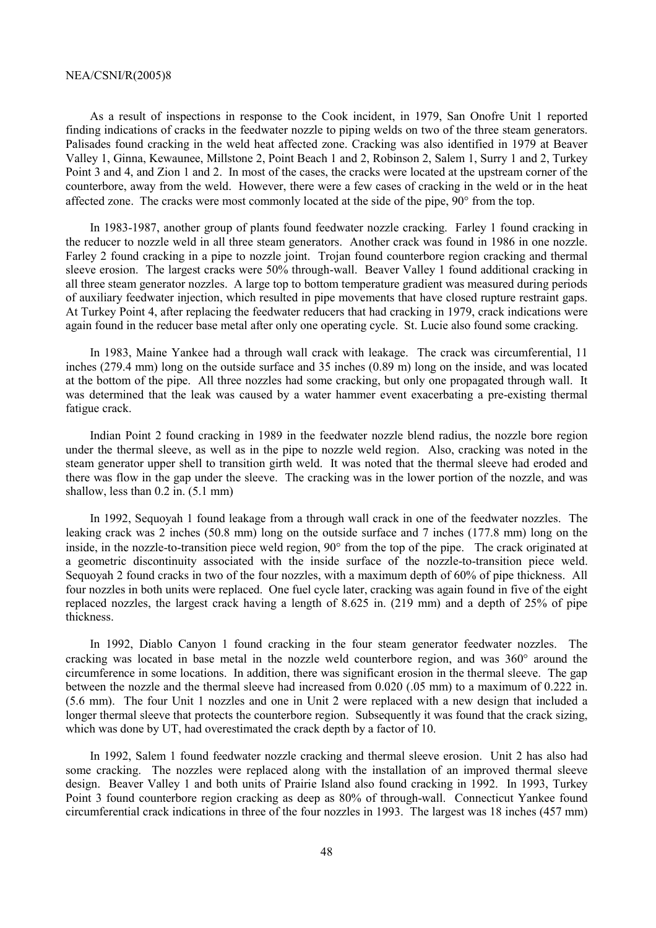As a result of inspections in response to the Cook incident, in 1979, San Onofre Unit 1 reported finding indications of cracks in the feedwater nozzle to piping welds on two of the three steam generators. Palisades found cracking in the weld heat affected zone. Cracking was also identified in 1979 at Beaver Valley 1, Ginna, Kewaunee, Millstone 2, Point Beach 1 and 2, Robinson 2, Salem 1, Surry 1 and 2, Turkey Point 3 and 4, and Zion 1 and 2. In most of the cases, the cracks were located at the upstream corner of the counterbore, away from the weld. However, there were a few cases of cracking in the weld or in the heat affected zone. The cracks were most commonly located at the side of the pipe, 90° from the top.

In 1983-1987, another group of plants found feedwater nozzle cracking. Farley 1 found cracking in the reducer to nozzle weld in all three steam generators. Another crack was found in 1986 in one nozzle. Farley 2 found cracking in a pipe to nozzle joint. Trojan found counterbore region cracking and thermal sleeve erosion. The largest cracks were 50% through-wall. Beaver Valley 1 found additional cracking in all three steam generator nozzles. A large top to bottom temperature gradient was measured during periods of auxiliary feedwater injection, which resulted in pipe movements that have closed rupture restraint gaps. At Turkey Point 4, after replacing the feedwater reducers that had cracking in 1979, crack indications were again found in the reducer base metal after only one operating cycle. St. Lucie also found some cracking.

In 1983, Maine Yankee had a through wall crack with leakage. The crack was circumferential, 11 inches (279.4 mm) long on the outside surface and 35 inches (0.89 m) long on the inside, and was located at the bottom of the pipe. All three nozzles had some cracking, but only one propagated through wall. It was determined that the leak was caused by a water hammer event exacerbating a pre-existing thermal fatigue crack.

Indian Point 2 found cracking in 1989 in the feedwater nozzle blend radius, the nozzle bore region under the thermal sleeve, as well as in the pipe to nozzle weld region. Also, cracking was noted in the steam generator upper shell to transition girth weld. It was noted that the thermal sleeve had eroded and there was flow in the gap under the sleeve. The cracking was in the lower portion of the nozzle, and was shallow, less than 0.2 in. (5.1 mm)

In 1992, Sequoyah 1 found leakage from a through wall crack in one of the feedwater nozzles. The leaking crack was 2 inches (50.8 mm) long on the outside surface and 7 inches (177.8 mm) long on the inside, in the nozzle-to-transition piece weld region, 90° from the top of the pipe. The crack originated at a geometric discontinuity associated with the inside surface of the nozzle-to-transition piece weld. Sequoyah 2 found cracks in two of the four nozzles, with a maximum depth of 60% of pipe thickness. All four nozzles in both units were replaced. One fuel cycle later, cracking was again found in five of the eight replaced nozzles, the largest crack having a length of 8.625 in. (219 mm) and a depth of 25% of pipe thickness.

In 1992, Diablo Canyon 1 found cracking in the four steam generator feedwater nozzles. The cracking was located in base metal in the nozzle weld counterbore region, and was 360° around the circumference in some locations. In addition, there was significant erosion in the thermal sleeve. The gap between the nozzle and the thermal sleeve had increased from 0.020 (.05 mm) to a maximum of 0.222 in. (5.6 mm). The four Unit 1 nozzles and one in Unit 2 were replaced with a new design that included a longer thermal sleeve that protects the counterbore region. Subsequently it was found that the crack sizing, which was done by UT, had overestimated the crack depth by a factor of 10.

In 1992, Salem 1 found feedwater nozzle cracking and thermal sleeve erosion. Unit 2 has also had some cracking. The nozzles were replaced along with the installation of an improved thermal sleeve design. Beaver Valley 1 and both units of Prairie Island also found cracking in 1992. In 1993, Turkey Point 3 found counterbore region cracking as deep as 80% of through-wall. Connecticut Yankee found circumferential crack indications in three of the four nozzles in 1993. The largest was 18 inches (457 mm)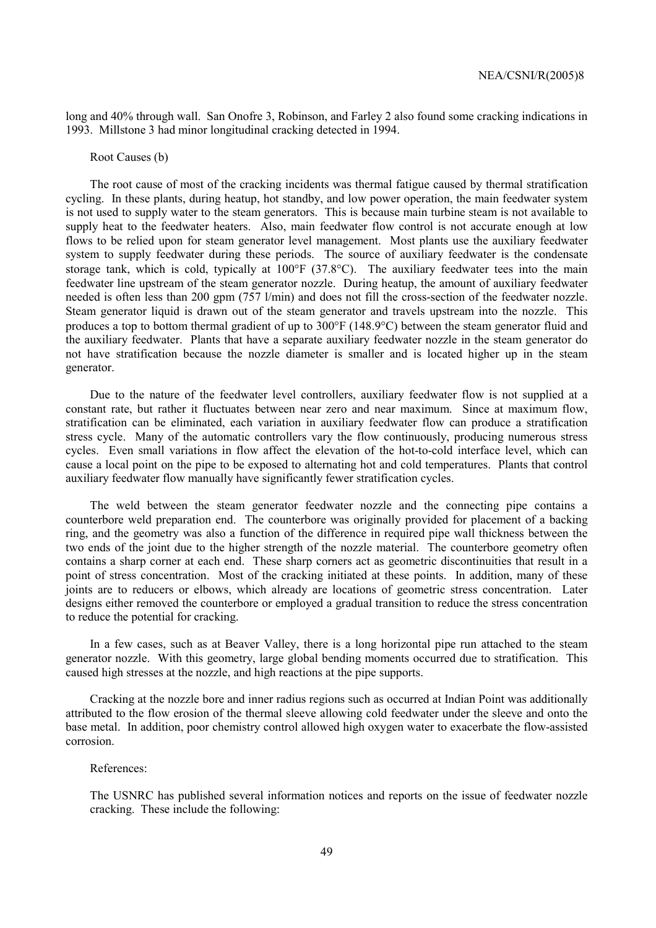long and 40% through wall. San Onofre 3, Robinson, and Farley 2 also found some cracking indications in 1993. Millstone 3 had minor longitudinal cracking detected in 1994.

#### Root Causes (b)

The root cause of most of the cracking incidents was thermal fatigue caused by thermal stratification cycling. In these plants, during heatup, hot standby, and low power operation, the main feedwater system is not used to supply water to the steam generators. This is because main turbine steam is not available to supply heat to the feedwater heaters. Also, main feedwater flow control is not accurate enough at low flows to be relied upon for steam generator level management. Most plants use the auxiliary feedwater system to supply feedwater during these periods. The source of auxiliary feedwater is the condensate storage tank, which is cold, typically at  $100^{\circ}F(37.8^{\circ}C)$ . The auxiliary feedwater tees into the main feedwater line upstream of the steam generator nozzle. During heatup, the amount of auxiliary feedwater needed is often less than 200 gpm (757 l/min) and does not fill the cross-section of the feedwater nozzle. Steam generator liquid is drawn out of the steam generator and travels upstream into the nozzle. This produces a top to bottom thermal gradient of up to  $300^{\circ}F$  (148.9 $^{\circ}C$ ) between the steam generator fluid and the auxiliary feedwater. Plants that have a separate auxiliary feedwater nozzle in the steam generator do not have stratification because the nozzle diameter is smaller and is located higher up in the steam generator.

Due to the nature of the feedwater level controllers, auxiliary feedwater flow is not supplied at a constant rate, but rather it fluctuates between near zero and near maximum. Since at maximum flow, stratification can be eliminated, each variation in auxiliary feedwater flow can produce a stratification stress cycle. Many of the automatic controllers vary the flow continuously, producing numerous stress cycles. Even small variations in flow affect the elevation of the hot-to-cold interface level, which can cause a local point on the pipe to be exposed to alternating hot and cold temperatures. Plants that control auxiliary feedwater flow manually have significantly fewer stratification cycles.

The weld between the steam generator feedwater nozzle and the connecting pipe contains a counterbore weld preparation end. The counterbore was originally provided for placement of a backing ring, and the geometry was also a function of the difference in required pipe wall thickness between the two ends of the joint due to the higher strength of the nozzle material. The counterbore geometry often contains a sharp corner at each end. These sharp corners act as geometric discontinuities that result in a point of stress concentration. Most of the cracking initiated at these points. In addition, many of these joints are to reducers or elbows, which already are locations of geometric stress concentration. Later designs either removed the counterbore or employed a gradual transition to reduce the stress concentration to reduce the potential for cracking.

In a few cases, such as at Beaver Valley, there is a long horizontal pipe run attached to the steam generator nozzle. With this geometry, large global bending moments occurred due to stratification. This caused high stresses at the nozzle, and high reactions at the pipe supports.

Cracking at the nozzle bore and inner radius regions such as occurred at Indian Point was additionally attributed to the flow erosion of the thermal sleeve allowing cold feedwater under the sleeve and onto the base metal. In addition, poor chemistry control allowed high oxygen water to exacerbate the flow-assisted corrosion.

## References:

The USNRC has published several information notices and reports on the issue of feedwater nozzle cracking. These include the following: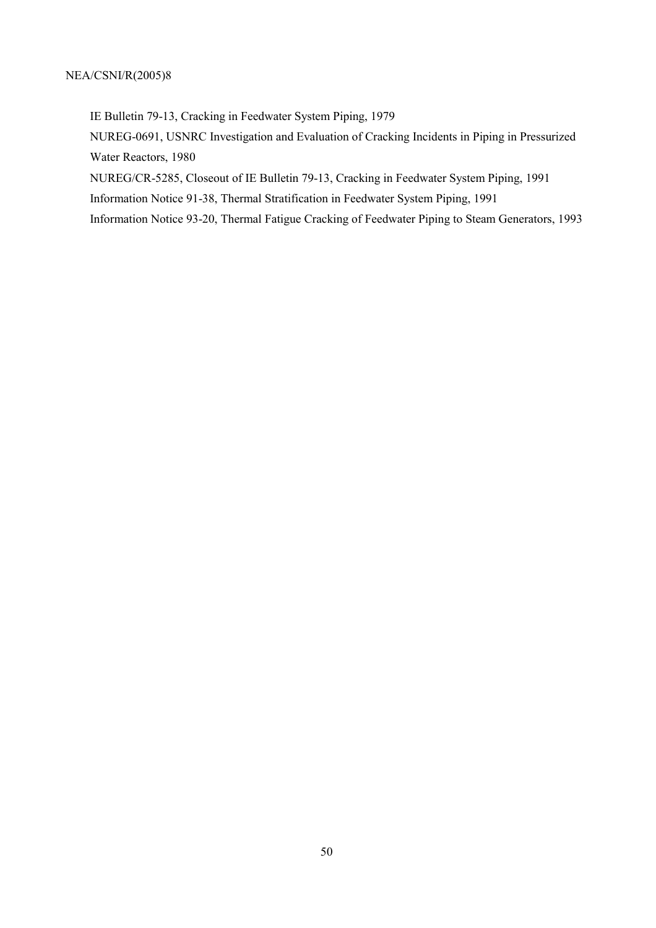IE Bulletin 79-13, Cracking in Feedwater System Piping, 1979

NUREG-0691, USNRC Investigation and Evaluation of Cracking Incidents in Piping in Pressurized Water Reactors, 1980

NUREG/CR-5285, Closeout of IE Bulletin 79-13, Cracking in Feedwater System Piping, 1991

Information Notice 91-38, Thermal Stratification in Feedwater System Piping, 1991

Information Notice 93-20, Thermal Fatigue Cracking of Feedwater Piping to Steam Generators, 1993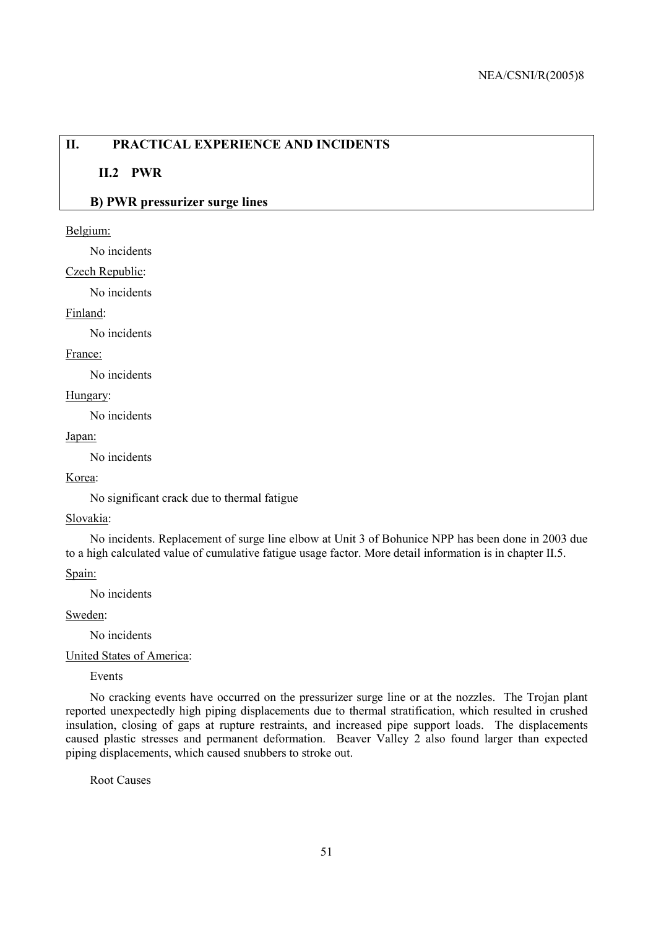# **II.2 PWR**

# **B) PWR pressurizer surge lines**

#### Belgium:

No incidents

# Czech Republic:

No incidents

#### Finland:

No incidents

### France:

No incidents

# Hungary:

No incidents

# Japan:

No incidents

# Korea:

No significant crack due to thermal fatigue

# Slovakia:

No incidents. Replacement of surge line elbow at Unit 3 of Bohunice NPP has been done in 2003 due to a high calculated value of cumulative fatigue usage factor. More detail information is in chapter II.5.

Spain:

No incidents

### Sweden:

No incidents

United States of America:

Events

No cracking events have occurred on the pressurizer surge line or at the nozzles. The Trojan plant reported unexpectedly high piping displacements due to thermal stratification, which resulted in crushed insulation, closing of gaps at rupture restraints, and increased pipe support loads. The displacements caused plastic stresses and permanent deformation. Beaver Valley 2 also found larger than expected piping displacements, which caused snubbers to stroke out.

Root Causes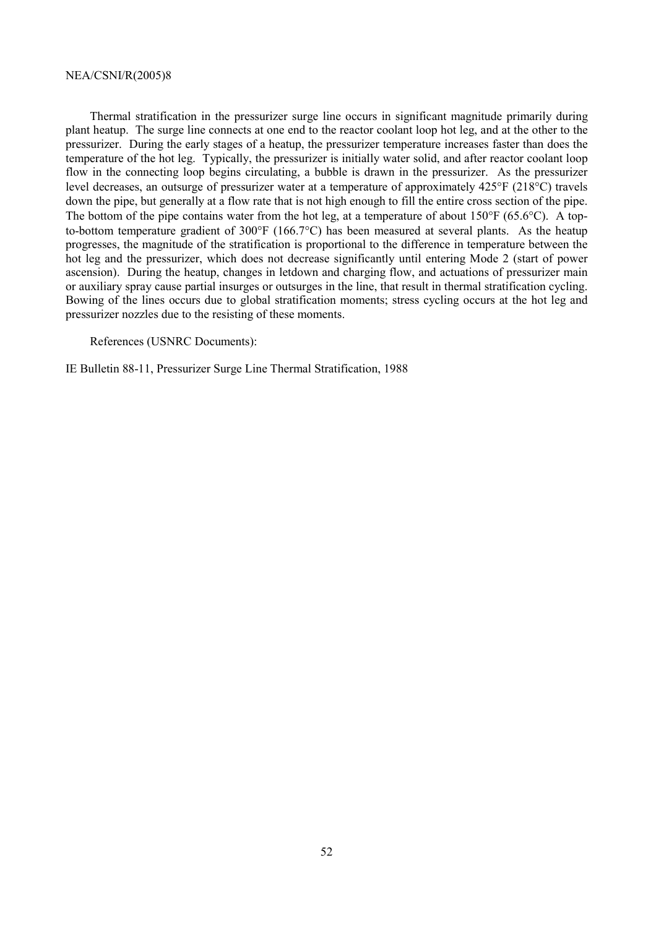Thermal stratification in the pressurizer surge line occurs in significant magnitude primarily during plant heatup. The surge line connects at one end to the reactor coolant loop hot leg, and at the other to the pressurizer. During the early stages of a heatup, the pressurizer temperature increases faster than does the temperature of the hot leg. Typically, the pressurizer is initially water solid, and after reactor coolant loop flow in the connecting loop begins circulating, a bubble is drawn in the pressurizer. As the pressurizer level decreases, an outsurge of pressurizer water at a temperature of approximately 425°F (218°C) travels down the pipe, but generally at a flow rate that is not high enough to fill the entire cross section of the pipe. The bottom of the pipe contains water from the hot leg, at a temperature of about  $150^{\circ}F (65.6^{\circ}C)$ . A topto-bottom temperature gradient of 300°F (166.7°C) has been measured at several plants. As the heatup progresses, the magnitude of the stratification is proportional to the difference in temperature between the hot leg and the pressurizer, which does not decrease significantly until entering Mode 2 (start of power ascension). During the heatup, changes in letdown and charging flow, and actuations of pressurizer main or auxiliary spray cause partial insurges or outsurges in the line, that result in thermal stratification cycling. Bowing of the lines occurs due to global stratification moments; stress cycling occurs at the hot leg and pressurizer nozzles due to the resisting of these moments.

#### References (USNRC Documents):

IE Bulletin 88-11, Pressurizer Surge Line Thermal Stratification, 1988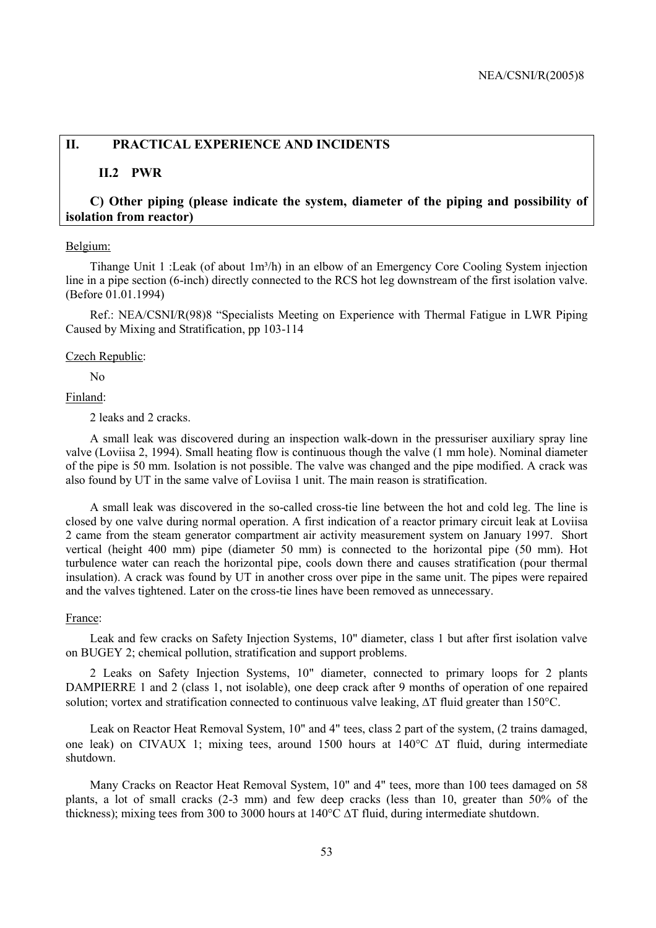## **II.2 PWR**

# **C) Other piping (please indicate the system, diameter of the piping and possibility of isolation from reactor)**

#### Belgium:

Tihange Unit 1 :Leak (of about  $1m<sup>3</sup>/h$ ) in an elbow of an Emergency Core Cooling System injection line in a pipe section (6-inch) directly connected to the RCS hot leg downstream of the first isolation valve. (Before 01.01.1994)

Ref.: NEA/CSNI/R(98)8 "Specialists Meeting on Experience with Thermal Fatigue in LWR Piping Caused by Mixing and Stratification, pp 103-114

Czech Republic:

No

Finland:

2 leaks and 2 cracks.

A small leak was discovered during an inspection walk-down in the pressuriser auxiliary spray line valve (Loviisa 2, 1994). Small heating flow is continuous though the valve (1 mm hole). Nominal diameter of the pipe is 50 mm. Isolation is not possible. The valve was changed and the pipe modified. A crack was also found by UT in the same valve of Loviisa 1 unit. The main reason is stratification.

A small leak was discovered in the so-called cross-tie line between the hot and cold leg. The line is closed by one valve during normal operation. A first indication of a reactor primary circuit leak at Loviisa 2 came from the steam generator compartment air activity measurement system on January 1997. Short vertical (height 400 mm) pipe (diameter 50 mm) is connected to the horizontal pipe (50 mm). Hot turbulence water can reach the horizontal pipe, cools down there and causes stratification (pour thermal insulation). A crack was found by UT in another cross over pipe in the same unit. The pipes were repaired and the valves tightened. Later on the cross-tie lines have been removed as unnecessary.

#### France:

Leak and few cracks on Safety Injection Systems, 10" diameter, class 1 but after first isolation valve on BUGEY 2; chemical pollution, stratification and support problems.

2 Leaks on Safety Injection Systems, 10" diameter, connected to primary loops for 2 plants DAMPIERRE 1 and 2 (class 1, not isolable), one deep crack after 9 months of operation of one repaired solution; vortex and stratification connected to continuous valve leaking, ∆T fluid greater than 150°C.

Leak on Reactor Heat Removal System, 10" and 4" tees, class 2 part of the system, (2 trains damaged, one leak) on CIVAUX 1; mixing tees, around 1500 hours at 140°C ∆T fluid, during intermediate shutdown.

Many Cracks on Reactor Heat Removal System, 10" and 4" tees, more than 100 tees damaged on 58 plants, a lot of small cracks (2-3 mm) and few deep cracks (less than 10, greater than 50% of the thickness); mixing tees from 300 to 3000 hours at 140°C ∆T fluid, during intermediate shutdown.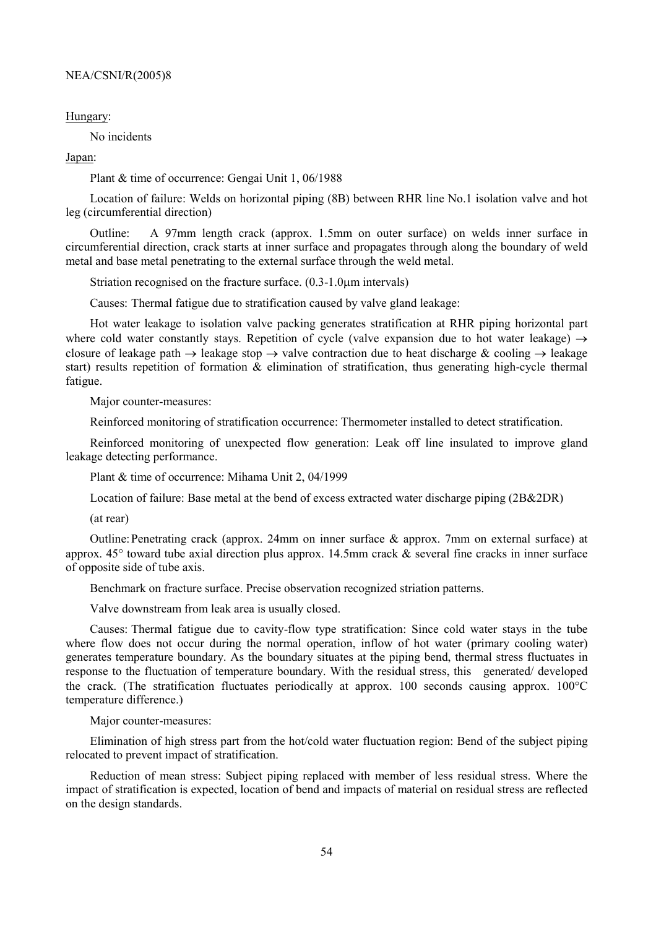#### Hungary:

No incidents

Japan:

Plant & time of occurrence: Gengai Unit 1, 06/1988

Location of failure: Welds on horizontal piping (8B) between RHR line No.1 isolation valve and hot leg (circumferential direction)

Outline: A 97mm length crack (approx. 1.5mm on outer surface) on welds inner surface in circumferential direction, crack starts at inner surface and propagates through along the boundary of weld metal and base metal penetrating to the external surface through the weld metal.

Striation recognised on the fracture surface. (0.3-1.0µm intervals)

Causes: Thermal fatigue due to stratification caused by valve gland leakage:

Hot water leakage to isolation valve packing generates stratification at RHR piping horizontal part where cold water constantly stays. Repetition of cycle (valve expansion due to hot water leakage)  $\rightarrow$ closure of leakage path  $\rightarrow$  leakage stop  $\rightarrow$  valve contraction due to heat discharge & cooling  $\rightarrow$  leakage start) results repetition of formation & elimination of stratification, thus generating high-cycle thermal fatigue.

Major counter-measures:

Reinforced monitoring of stratification occurrence: Thermometer installed to detect stratification.

Reinforced monitoring of unexpected flow generation: Leak off line insulated to improve gland leakage detecting performance.

Plant & time of occurrence: Mihama Unit 2, 04/1999

Location of failure: Base metal at the bend of excess extracted water discharge piping (2B&2DR)

(at rear)

Outline: Penetrating crack (approx. 24mm on inner surface & approx. 7mm on external surface) at approx. 45° toward tube axial direction plus approx. 14.5mm crack & several fine cracks in inner surface of opposite side of tube axis.

Benchmark on fracture surface. Precise observation recognized striation patterns.

Valve downstream from leak area is usually closed.

Causes: Thermal fatigue due to cavity-flow type stratification: Since cold water stays in the tube where flow does not occur during the normal operation, inflow of hot water (primary cooling water) generates temperature boundary. As the boundary situates at the piping bend, thermal stress fluctuates in response to the fluctuation of temperature boundary. With the residual stress, this generated/ developed the crack. (The stratification fluctuates periodically at approx. 100 seconds causing approx. 100°C temperature difference.)

Major counter-measures:

Elimination of high stress part from the hot/cold water fluctuation region: Bend of the subject piping relocated to prevent impact of stratification.

Reduction of mean stress: Subject piping replaced with member of less residual stress. Where the impact of stratification is expected, location of bend and impacts of material on residual stress are reflected on the design standards.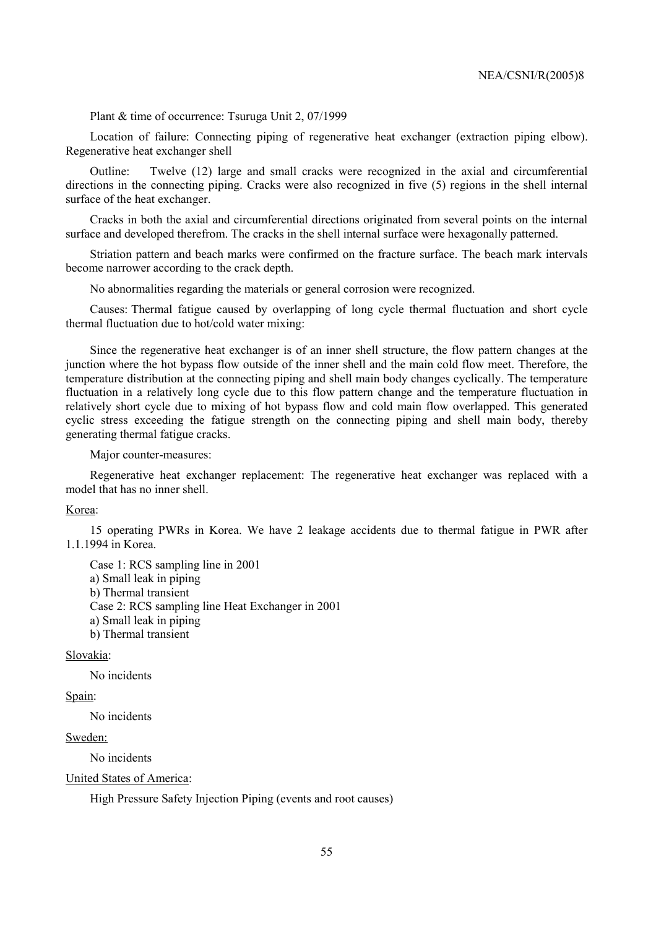Plant & time of occurrence: Tsuruga Unit 2, 07/1999

Location of failure: Connecting piping of regenerative heat exchanger (extraction piping elbow). Regenerative heat exchanger shell

Outline: Twelve (12) large and small cracks were recognized in the axial and circumferential directions in the connecting piping. Cracks were also recognized in five (5) regions in the shell internal surface of the heat exchanger.

Cracks in both the axial and circumferential directions originated from several points on the internal surface and developed therefrom. The cracks in the shell internal surface were hexagonally patterned.

Striation pattern and beach marks were confirmed on the fracture surface. The beach mark intervals become narrower according to the crack depth.

No abnormalities regarding the materials or general corrosion were recognized.

Causes: Thermal fatigue caused by overlapping of long cycle thermal fluctuation and short cycle thermal fluctuation due to hot/cold water mixing:

Since the regenerative heat exchanger is of an inner shell structure, the flow pattern changes at the junction where the hot bypass flow outside of the inner shell and the main cold flow meet. Therefore, the temperature distribution at the connecting piping and shell main body changes cyclically. The temperature fluctuation in a relatively long cycle due to this flow pattern change and the temperature fluctuation in relatively short cycle due to mixing of hot bypass flow and cold main flow overlapped. This generated cyclic stress exceeding the fatigue strength on the connecting piping and shell main body, thereby generating thermal fatigue cracks.

Major counter-measures:

Regenerative heat exchanger replacement: The regenerative heat exchanger was replaced with a model that has no inner shell.

#### Korea:

15 operating PWRs in Korea. We have 2 leakage accidents due to thermal fatigue in PWR after 1.1.1994 in Korea.

Case 1: RCS sampling line in 2001 a) Small leak in piping b) Thermal transient Case 2: RCS sampling line Heat Exchanger in 2001 a) Small leak in piping b) Thermal transient

## Slovakia:

No incidents

# Spain:

No incidents

### Sweden:

No incidents

United States of America:

High Pressure Safety Injection Piping (events and root causes)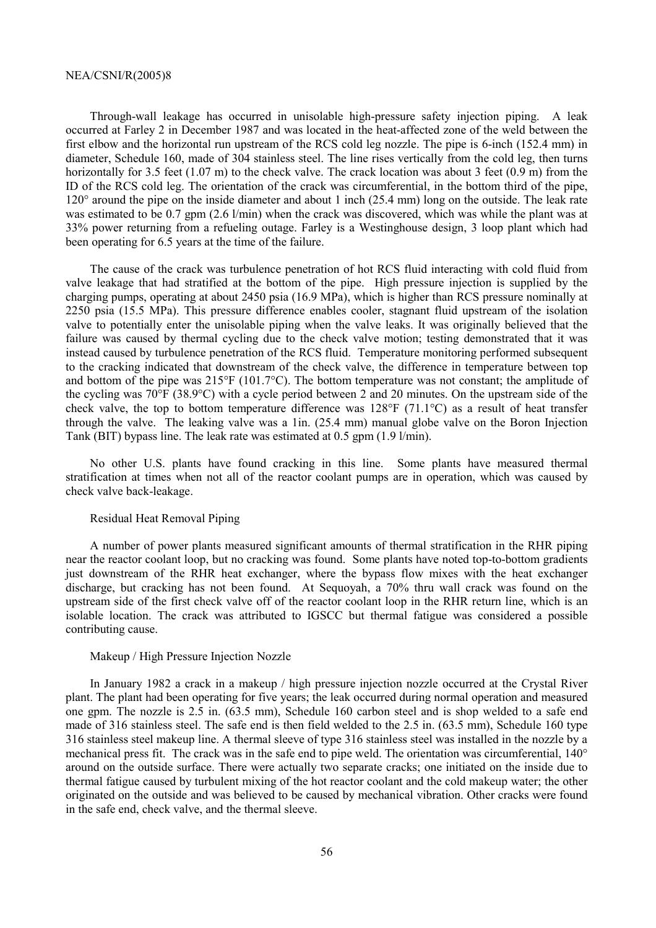Through-wall leakage has occurred in unisolable high-pressure safety injection piping. A leak occurred at Farley 2 in December 1987 and was located in the heat-affected zone of the weld between the first elbow and the horizontal run upstream of the RCS cold leg nozzle. The pipe is 6-inch (152.4 mm) in diameter, Schedule 160, made of 304 stainless steel. The line rises vertically from the cold leg, then turns horizontally for 3.5 feet (1.07 m) to the check valve. The crack location was about 3 feet (0.9 m) from the ID of the RCS cold leg. The orientation of the crack was circumferential, in the bottom third of the pipe, 120° around the pipe on the inside diameter and about 1 inch (25.4 mm) long on the outside. The leak rate was estimated to be 0.7 gpm (2.6 l/min) when the crack was discovered, which was while the plant was at 33% power returning from a refueling outage. Farley is a Westinghouse design, 3 loop plant which had been operating for 6.5 years at the time of the failure.

The cause of the crack was turbulence penetration of hot RCS fluid interacting with cold fluid from valve leakage that had stratified at the bottom of the pipe. High pressure injection is supplied by the charging pumps, operating at about 2450 psia (16.9 MPa), which is higher than RCS pressure nominally at 2250 psia (15.5 MPa). This pressure difference enables cooler, stagnant fluid upstream of the isolation valve to potentially enter the unisolable piping when the valve leaks. It was originally believed that the failure was caused by thermal cycling due to the check valve motion; testing demonstrated that it was instead caused by turbulence penetration of the RCS fluid. Temperature monitoring performed subsequent to the cracking indicated that downstream of the check valve, the difference in temperature between top and bottom of the pipe was 215°F (101.7°C). The bottom temperature was not constant; the amplitude of the cycling was 70°F (38.9°C) with a cycle period between 2 and 20 minutes. On the upstream side of the check valve, the top to bottom temperature difference was  $128^{\circ}F (71.1^{\circ}C)$  as a result of heat transfer through the valve. The leaking valve was a 1in. (25.4 mm) manual globe valve on the Boron Injection Tank (BIT) bypass line. The leak rate was estimated at 0.5 gpm (1.9 l/min).

No other U.S. plants have found cracking in this line. Some plants have measured thermal stratification at times when not all of the reactor coolant pumps are in operation, which was caused by check valve back-leakage.

#### Residual Heat Removal Piping

A number of power plants measured significant amounts of thermal stratification in the RHR piping near the reactor coolant loop, but no cracking was found. Some plants have noted top-to-bottom gradients just downstream of the RHR heat exchanger, where the bypass flow mixes with the heat exchanger discharge, but cracking has not been found. At Sequoyah, a 70% thru wall crack was found on the upstream side of the first check valve off of the reactor coolant loop in the RHR return line, which is an isolable location. The crack was attributed to IGSCC but thermal fatigue was considered a possible contributing cause.

# Makeup / High Pressure Injection Nozzle

In January 1982 a crack in a makeup / high pressure injection nozzle occurred at the Crystal River plant. The plant had been operating for five years; the leak occurred during normal operation and measured one gpm. The nozzle is 2.5 in. (63.5 mm), Schedule 160 carbon steel and is shop welded to a safe end made of 316 stainless steel. The safe end is then field welded to the 2.5 in. (63.5 mm), Schedule 160 type 316 stainless steel makeup line. A thermal sleeve of type 316 stainless steel was installed in the nozzle by a mechanical press fit. The crack was in the safe end to pipe weld. The orientation was circumferential, 140° around on the outside surface. There were actually two separate cracks; one initiated on the inside due to thermal fatigue caused by turbulent mixing of the hot reactor coolant and the cold makeup water; the other originated on the outside and was believed to be caused by mechanical vibration. Other cracks were found in the safe end, check valve, and the thermal sleeve.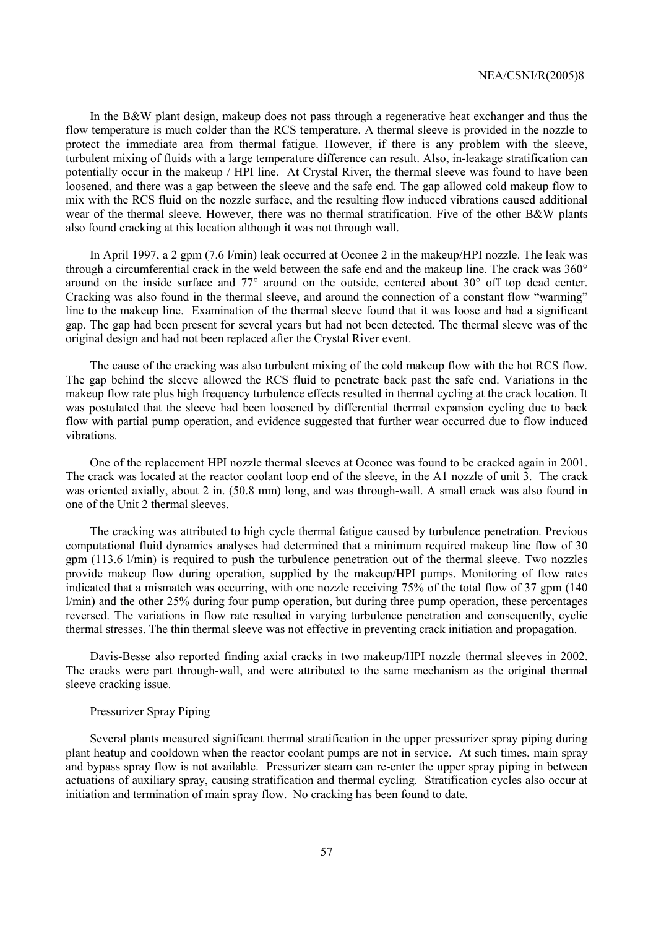In the B&W plant design, makeup does not pass through a regenerative heat exchanger and thus the flow temperature is much colder than the RCS temperature. A thermal sleeve is provided in the nozzle to protect the immediate area from thermal fatigue. However, if there is any problem with the sleeve, turbulent mixing of fluids with a large temperature difference can result. Also, in-leakage stratification can potentially occur in the makeup / HPI line. At Crystal River, the thermal sleeve was found to have been loosened, and there was a gap between the sleeve and the safe end. The gap allowed cold makeup flow to mix with the RCS fluid on the nozzle surface, and the resulting flow induced vibrations caused additional wear of the thermal sleeve. However, there was no thermal stratification. Five of the other B&W plants also found cracking at this location although it was not through wall.

In April 1997, a 2 gpm (7.6 l/min) leak occurred at Oconee 2 in the makeup/HPI nozzle. The leak was through a circumferential crack in the weld between the safe end and the makeup line. The crack was 360° around on the inside surface and 77° around on the outside, centered about 30° off top dead center. Cracking was also found in the thermal sleeve, and around the connection of a constant flow "warming" line to the makeup line. Examination of the thermal sleeve found that it was loose and had a significant gap. The gap had been present for several years but had not been detected. The thermal sleeve was of the original design and had not been replaced after the Crystal River event.

The cause of the cracking was also turbulent mixing of the cold makeup flow with the hot RCS flow. The gap behind the sleeve allowed the RCS fluid to penetrate back past the safe end. Variations in the makeup flow rate plus high frequency turbulence effects resulted in thermal cycling at the crack location. It was postulated that the sleeve had been loosened by differential thermal expansion cycling due to back flow with partial pump operation, and evidence suggested that further wear occurred due to flow induced vibrations.

One of the replacement HPI nozzle thermal sleeves at Oconee was found to be cracked again in 2001. The crack was located at the reactor coolant loop end of the sleeve, in the A1 nozzle of unit 3. The crack was oriented axially, about 2 in. (50.8 mm) long, and was through-wall. A small crack was also found in one of the Unit 2 thermal sleeves.

The cracking was attributed to high cycle thermal fatigue caused by turbulence penetration. Previous computational fluid dynamics analyses had determined that a minimum required makeup line flow of 30 gpm (113.6 l/min) is required to push the turbulence penetration out of the thermal sleeve. Two nozzles provide makeup flow during operation, supplied by the makeup/HPI pumps. Monitoring of flow rates indicated that a mismatch was occurring, with one nozzle receiving 75% of the total flow of 37 gpm (140 l/min) and the other 25% during four pump operation, but during three pump operation, these percentages reversed. The variations in flow rate resulted in varying turbulence penetration and consequently, cyclic thermal stresses. The thin thermal sleeve was not effective in preventing crack initiation and propagation.

Davis-Besse also reported finding axial cracks in two makeup/HPI nozzle thermal sleeves in 2002. The cracks were part through-wall, and were attributed to the same mechanism as the original thermal sleeve cracking issue.

#### Pressurizer Spray Piping

Several plants measured significant thermal stratification in the upper pressurizer spray piping during plant heatup and cooldown when the reactor coolant pumps are not in service. At such times, main spray and bypass spray flow is not available. Pressurizer steam can re-enter the upper spray piping in between actuations of auxiliary spray, causing stratification and thermal cycling. Stratification cycles also occur at initiation and termination of main spray flow. No cracking has been found to date.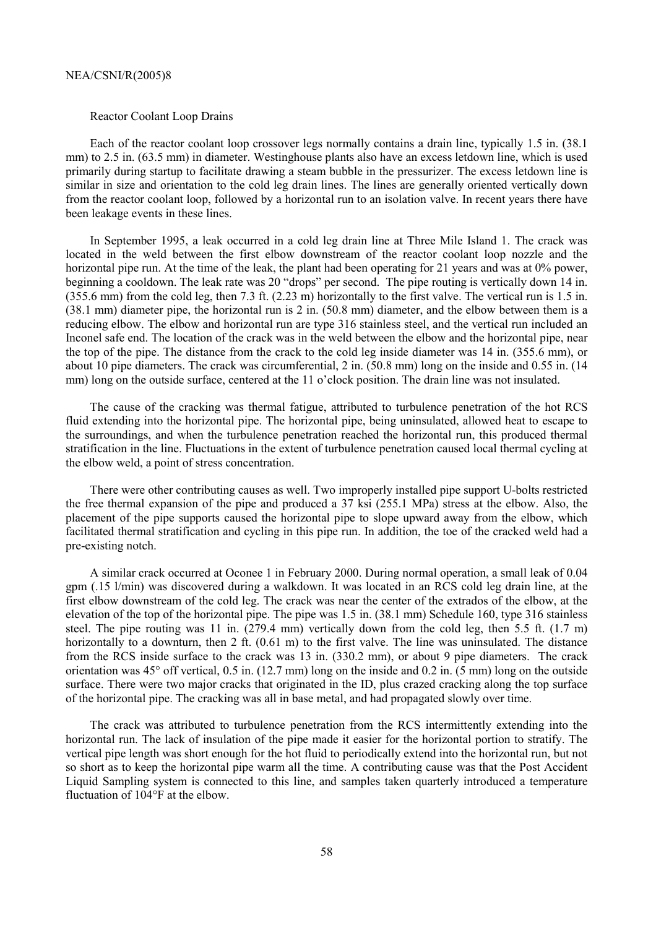Reactor Coolant Loop Drains

Each of the reactor coolant loop crossover legs normally contains a drain line, typically 1.5 in. (38.1 mm) to 2.5 in. (63.5 mm) in diameter. Westinghouse plants also have an excess letdown line, which is used primarily during startup to facilitate drawing a steam bubble in the pressurizer. The excess letdown line is similar in size and orientation to the cold leg drain lines. The lines are generally oriented vertically down from the reactor coolant loop, followed by a horizontal run to an isolation valve. In recent years there have been leakage events in these lines.

In September 1995, a leak occurred in a cold leg drain line at Three Mile Island 1. The crack was located in the weld between the first elbow downstream of the reactor coolant loop nozzle and the horizontal pipe run. At the time of the leak, the plant had been operating for 21 years and was at 0% power, beginning a cooldown. The leak rate was 20 "drops" per second. The pipe routing is vertically down 14 in. (355.6 mm) from the cold leg, then 7.3 ft. (2.23 m) horizontally to the first valve. The vertical run is 1.5 in. (38.1 mm) diameter pipe, the horizontal run is 2 in. (50.8 mm) diameter, and the elbow between them is a reducing elbow. The elbow and horizontal run are type 316 stainless steel, and the vertical run included an Inconel safe end. The location of the crack was in the weld between the elbow and the horizontal pipe, near the top of the pipe. The distance from the crack to the cold leg inside diameter was 14 in. (355.6 mm), or about 10 pipe diameters. The crack was circumferential, 2 in. (50.8 mm) long on the inside and 0.55 in. (14 mm) long on the outside surface, centered at the 11 o'clock position. The drain line was not insulated.

The cause of the cracking was thermal fatigue, attributed to turbulence penetration of the hot RCS fluid extending into the horizontal pipe. The horizontal pipe, being uninsulated, allowed heat to escape to the surroundings, and when the turbulence penetration reached the horizontal run, this produced thermal stratification in the line. Fluctuations in the extent of turbulence penetration caused local thermal cycling at the elbow weld, a point of stress concentration.

There were other contributing causes as well. Two improperly installed pipe support U-bolts restricted the free thermal expansion of the pipe and produced a 37 ksi (255.1 MPa) stress at the elbow. Also, the placement of the pipe supports caused the horizontal pipe to slope upward away from the elbow, which facilitated thermal stratification and cycling in this pipe run. In addition, the toe of the cracked weld had a pre-existing notch.

A similar crack occurred at Oconee 1 in February 2000. During normal operation, a small leak of 0.04 gpm (.15 l/min) was discovered during a walkdown. It was located in an RCS cold leg drain line, at the first elbow downstream of the cold leg. The crack was near the center of the extrados of the elbow, at the elevation of the top of the horizontal pipe. The pipe was 1.5 in. (38.1 mm) Schedule 160, type 316 stainless steel. The pipe routing was 11 in. (279.4 mm) vertically down from the cold leg, then 5.5 ft. (1.7 m) horizontally to a downturn, then 2 ft. (0.61 m) to the first valve. The line was uninsulated. The distance from the RCS inside surface to the crack was 13 in. (330.2 mm), or about 9 pipe diameters. The crack orientation was  $45^{\circ}$  off vertical, 0.5 in. (12.7 mm) long on the inside and 0.2 in. (5 mm) long on the outside surface. There were two major cracks that originated in the ID, plus crazed cracking along the top surface of the horizontal pipe. The cracking was all in base metal, and had propagated slowly over time.

The crack was attributed to turbulence penetration from the RCS intermittently extending into the horizontal run. The lack of insulation of the pipe made it easier for the horizontal portion to stratify. The vertical pipe length was short enough for the hot fluid to periodically extend into the horizontal run, but not so short as to keep the horizontal pipe warm all the time. A contributing cause was that the Post Accident Liquid Sampling system is connected to this line, and samples taken quarterly introduced a temperature fluctuation of 104°F at the elbow.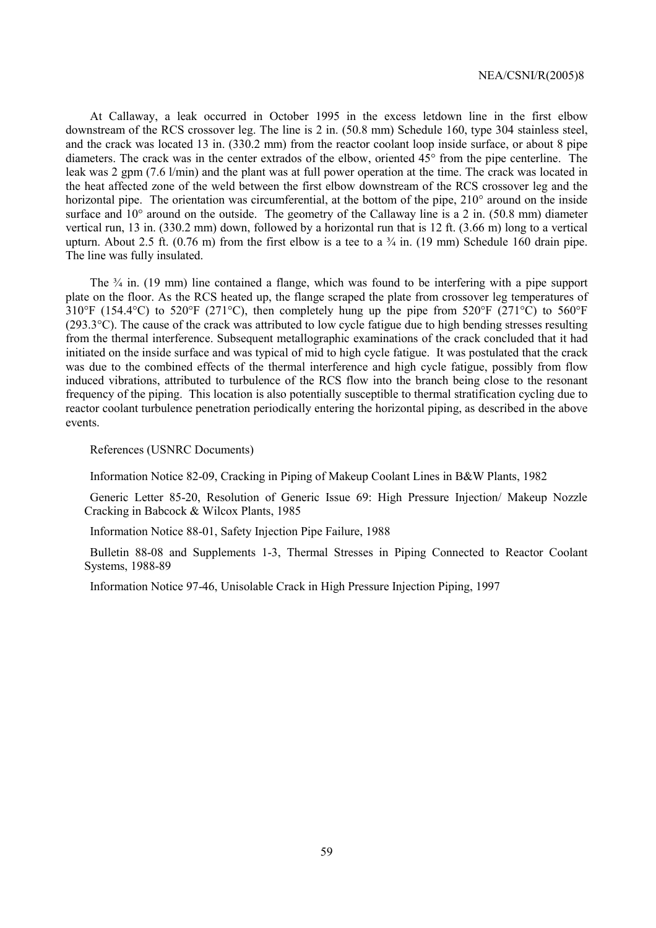At Callaway, a leak occurred in October 1995 in the excess letdown line in the first elbow downstream of the RCS crossover leg. The line is 2 in. (50.8 mm) Schedule 160, type 304 stainless steel, and the crack was located 13 in. (330.2 mm) from the reactor coolant loop inside surface, or about 8 pipe diameters. The crack was in the center extrados of the elbow, oriented 45° from the pipe centerline. The leak was 2 gpm (7.6 l/min) and the plant was at full power operation at the time. The crack was located in the heat affected zone of the weld between the first elbow downstream of the RCS crossover leg and the horizontal pipe. The orientation was circumferential, at the bottom of the pipe, 210° around on the inside surface and 10° around on the outside. The geometry of the Callaway line is a 2 in. (50.8 mm) diameter vertical run, 13 in. (330.2 mm) down, followed by a horizontal run that is 12 ft. (3.66 m) long to a vertical upturn. About 2.5 ft.  $(0.76 \text{ m})$  from the first elbow is a tee to a  $\frac{3}{4}$  in.  $(19 \text{ mm})$  Schedule 160 drain pipe. The line was fully insulated.

The  $\frac{3}{4}$  in. (19 mm) line contained a flange, which was found to be interfering with a pipe support plate on the floor. As the RCS heated up, the flange scraped the plate from crossover leg temperatures of  $310^{\circ}$ F (154.4°C) to 520°F (271°C), then completely hung up the pipe from 520°F (271°C) to 560°F (293.3°C). The cause of the crack was attributed to low cycle fatigue due to high bending stresses resulting from the thermal interference. Subsequent metallographic examinations of the crack concluded that it had initiated on the inside surface and was typical of mid to high cycle fatigue. It was postulated that the crack was due to the combined effects of the thermal interference and high cycle fatigue, possibly from flow induced vibrations, attributed to turbulence of the RCS flow into the branch being close to the resonant frequency of the piping. This location is also potentially susceptible to thermal stratification cycling due to reactor coolant turbulence penetration periodically entering the horizontal piping, as described in the above events.

References (USNRC Documents)

Information Notice 82-09, Cracking in Piping of Makeup Coolant Lines in B&W Plants, 1982

Generic Letter 85-20, Resolution of Generic Issue 69: High Pressure Injection/ Makeup Nozzle Cracking in Babcock & Wilcox Plants, 1985

Information Notice 88-01, Safety Injection Pipe Failure, 1988

Bulletin 88-08 and Supplements 1-3, Thermal Stresses in Piping Connected to Reactor Coolant Systems, 1988-89

Information Notice 97-46, Unisolable Crack in High Pressure Injection Piping, 1997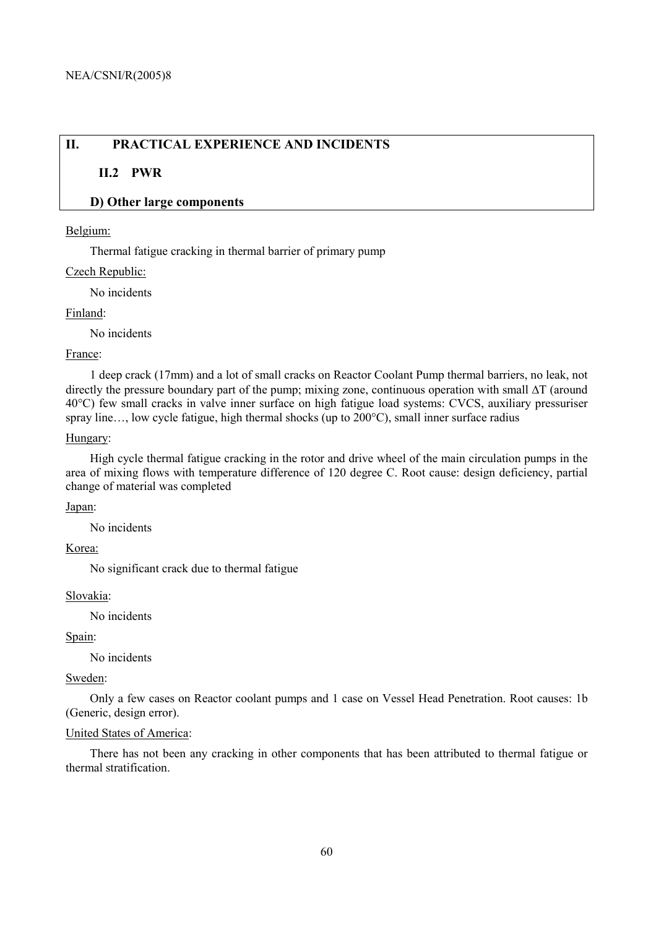## **II.2 PWR**

# **D) Other large components**

#### Belgium:

Thermal fatigue cracking in thermal barrier of primary pump

#### Czech Republic:

No incidents

Finland:

No incidents

#### France:

1 deep crack (17mm) and a lot of small cracks on Reactor Coolant Pump thermal barriers, no leak, not directly the pressure boundary part of the pump; mixing zone, continuous operation with small ∆T (around 40°C) few small cracks in valve inner surface on high fatigue load systems: CVCS, auxiliary pressuriser spray line..., low cycle fatigue, high thermal shocks (up to 200 °C), small inner surface radius

#### Hungary:

High cycle thermal fatigue cracking in the rotor and drive wheel of the main circulation pumps in the area of mixing flows with temperature difference of 120 degree C. Root cause: design deficiency, partial change of material was completed

#### Japan:

No incidents

Korea:

No significant crack due to thermal fatigue

Slovakia:

No incidents

Spain:

No incidents

#### Sweden:

Only a few cases on Reactor coolant pumps and 1 case on Vessel Head Penetration. Root causes: 1b (Generic, design error).

### United States of America:

There has not been any cracking in other components that has been attributed to thermal fatigue or thermal stratification.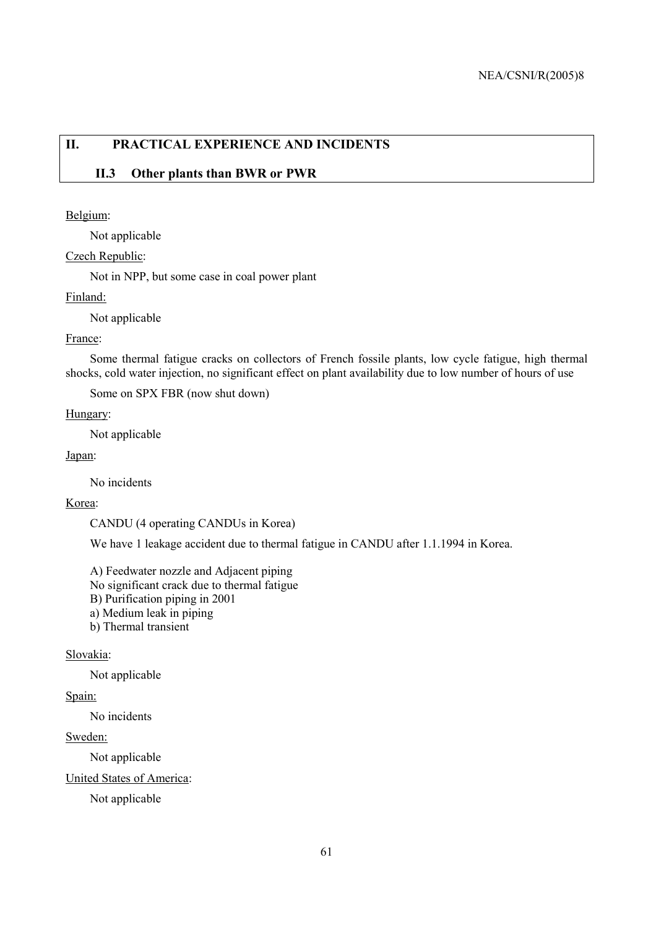#### **II.3 Other plants than BWR or PWR**

# Belgium:

Not applicable

## Czech Republic:

Not in NPP, but some case in coal power plant

### Finland:

Not applicable

### France:

Some thermal fatigue cracks on collectors of French fossile plants, low cycle fatigue, high thermal shocks, cold water injection, no significant effect on plant availability due to low number of hours of use

Some on SPX FBR (now shut down)

## Hungary:

Not applicable

## Japan:

No incidents

# Korea:

CANDU (4 operating CANDUs in Korea)

We have 1 leakage accident due to thermal fatigue in CANDU after 1.1.1994 in Korea.

A) Feedwater nozzle and Adjacent piping No significant crack due to thermal fatigue B) Purification piping in 2001 a) Medium leak in piping b) Thermal transient

## Slovakia:

Not applicable

# Spain:

No incidents

### Sweden:

Not applicable

#### United States of America:

Not applicable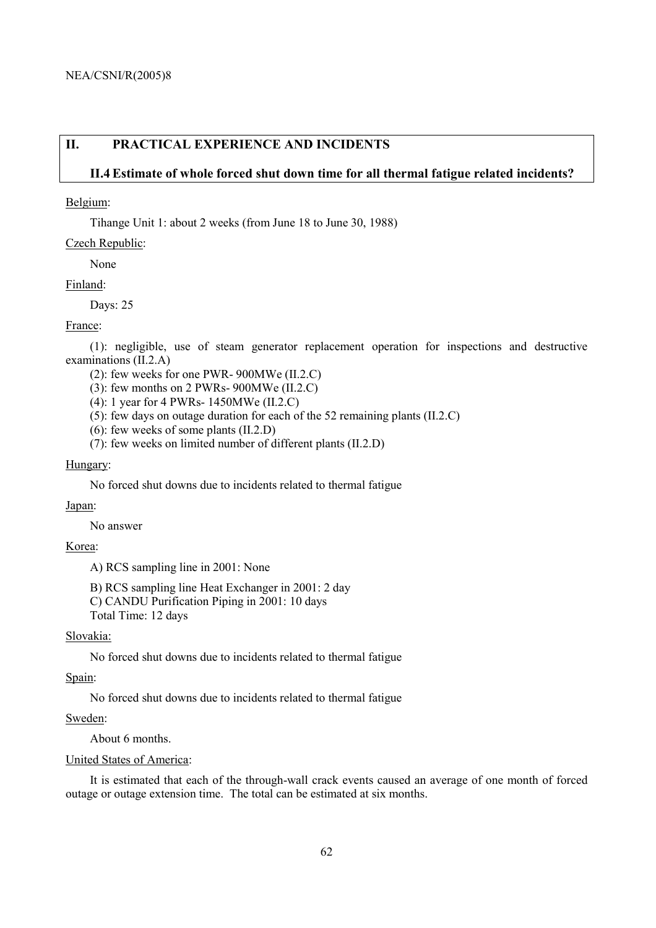#### **II.4 Estimate of whole forced shut down time for all thermal fatigue related incidents?**

#### Belgium:

Tihange Unit 1: about 2 weeks (from June 18 to June 30, 1988)

Czech Republic:

None

Finland:

Days: 25

## France:

(1): negligible, use of steam generator replacement operation for inspections and destructive examinations (II.2.A)

(2): few weeks for one PWR- 900MWe (II.2.C)

(3): few months on 2 PWRs- 900MWe (II.2.C)

(4): 1 year for 4 PWRs- 1450MWe (II.2.C)

(5): few days on outage duration for each of the 52 remaining plants (II.2.C)

(6): few weeks of some plants (II.2.D)

(7): few weeks on limited number of different plants (II.2.D)

# Hungary:

No forced shut downs due to incidents related to thermal fatigue

#### Japan:

No answer

# Korea:

A) RCS sampling line in 2001: None

B) RCS sampling line Heat Exchanger in 2001: 2 day

C) CANDU Purification Piping in 2001: 10 days

Total Time: 12 days

# Slovakia:

No forced shut downs due to incidents related to thermal fatigue

# Spain:

No forced shut downs due to incidents related to thermal fatigue

# Sweden:

About 6 months.

## United States of America:

It is estimated that each of the through-wall crack events caused an average of one month of forced outage or outage extension time. The total can be estimated at six months.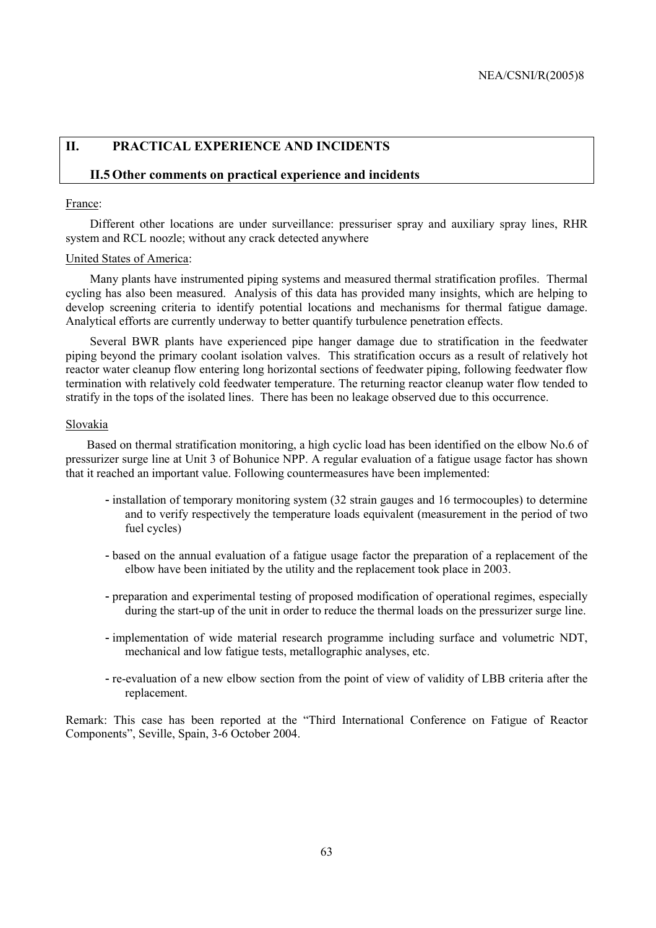## **II.5 Other comments on practical experience and incidents**

### France:

Different other locations are under surveillance: pressuriser spray and auxiliary spray lines, RHR system and RCL noozle; without any crack detected anywhere

## United States of America:

Many plants have instrumented piping systems and measured thermal stratification profiles. Thermal cycling has also been measured. Analysis of this data has provided many insights, which are helping to develop screening criteria to identify potential locations and mechanisms for thermal fatigue damage. Analytical efforts are currently underway to better quantify turbulence penetration effects.

Several BWR plants have experienced pipe hanger damage due to stratification in the feedwater piping beyond the primary coolant isolation valves. This stratification occurs as a result of relatively hot reactor water cleanup flow entering long horizontal sections of feedwater piping, following feedwater flow termination with relatively cold feedwater temperature. The returning reactor cleanup water flow tended to stratify in the tops of the isolated lines. There has been no leakage observed due to this occurrence.

### Slovakia

 Based on thermal stratification monitoring, a high cyclic load has been identified on the elbow No.6 of pressurizer surge line at Unit 3 of Bohunice NPP. A regular evaluation of a fatigue usage factor has shown that it reached an important value. Following countermeasures have been implemented:

- installation of temporary monitoring system (32 strain gauges and 16 termocouples) to determine and to verify respectively the temperature loads equivalent (measurement in the period of two fuel cycles)
- based on the annual evaluation of a fatigue usage factor the preparation of a replacement of the elbow have been initiated by the utility and the replacement took place in 2003.
- preparation and experimental testing of proposed modification of operational regimes, especially during the start-up of the unit in order to reduce the thermal loads on the pressurizer surge line.
- implementation of wide material research programme including surface and volumetric NDT, mechanical and low fatigue tests, metallographic analyses, etc.
- re-evaluation of a new elbow section from the point of view of validity of LBB criteria after the replacement.

Remark: This case has been reported at the "Third International Conference on Fatigue of Reactor Components", Seville, Spain, 3-6 October 2004.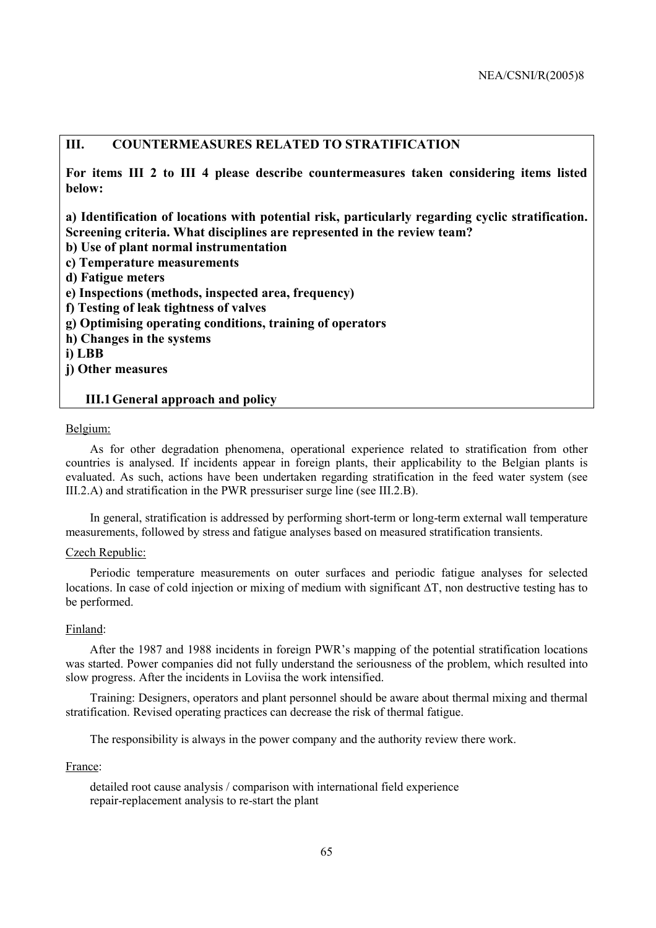# **III. COUNTERMEASURES RELATED TO STRATIFICATION**

**For items III 2 to III 4 please describe countermeasures taken considering items listed below:** 

**a) Identification of locations with potential risk, particularly regarding cyclic stratification. Screening criteria. What disciplines are represented in the review team?** 

- **b) Use of plant normal instrumentation**
- **c) Temperature measurements**
- **d) Fatigue meters**
- **e) Inspections (methods, inspected area, frequency)**
- **f) Testing of leak tightness of valves**
- **g) Optimising operating conditions, training of operators**
- **h) Changes in the systems**
- **i) LBB**
- **j) Other measures**

# **III.1 General approach and policy**

# Belgium:

As for other degradation phenomena, operational experience related to stratification from other countries is analysed. If incidents appear in foreign plants, their applicability to the Belgian plants is evaluated. As such, actions have been undertaken regarding stratification in the feed water system (see III.2.A) and stratification in the PWR pressuriser surge line (see III.2.B).

In general, stratification is addressed by performing short-term or long-term external wall temperature measurements, followed by stress and fatigue analyses based on measured stratification transients.

# Czech Republic:

Periodic temperature measurements on outer surfaces and periodic fatigue analyses for selected locations. In case of cold injection or mixing of medium with significant ∆T, non destructive testing has to be performed.

#### Finland:

After the 1987 and 1988 incidents in foreign PWR's mapping of the potential stratification locations was started. Power companies did not fully understand the seriousness of the problem, which resulted into slow progress. After the incidents in Loviisa the work intensified.

Training: Designers, operators and plant personnel should be aware about thermal mixing and thermal stratification. Revised operating practices can decrease the risk of thermal fatigue.

The responsibility is always in the power company and the authority review there work.

#### France:

detailed root cause analysis / comparison with international field experience repair-replacement analysis to re-start the plant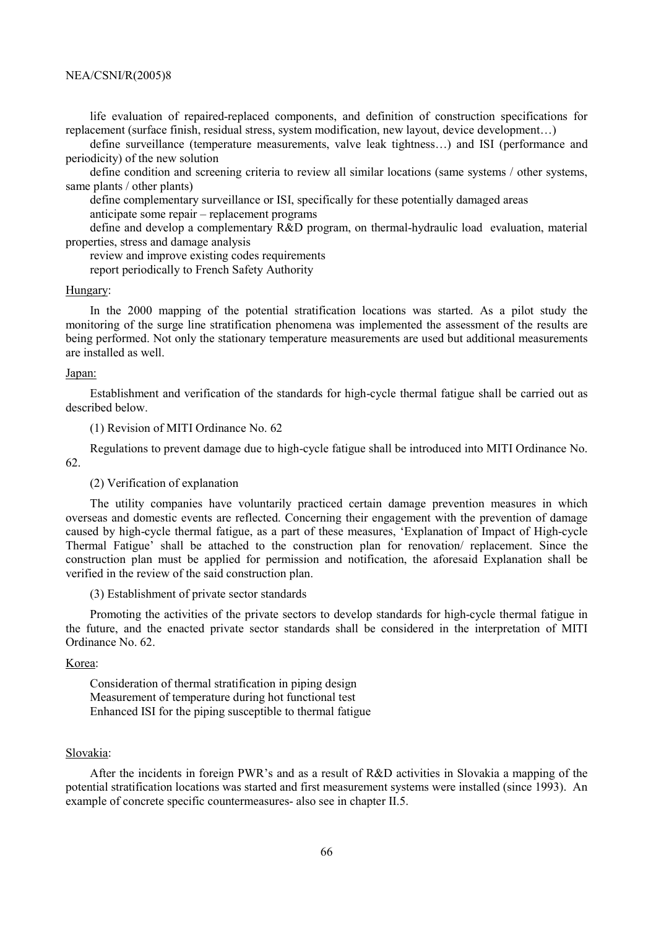life evaluation of repaired-replaced components, and definition of construction specifications for replacement (surface finish, residual stress, system modification, new layout, device development…)

define surveillance (temperature measurements, valve leak tightness…) and ISI (performance and periodicity) of the new solution

define condition and screening criteria to review all similar locations (same systems / other systems, same plants / other plants)

define complementary surveillance or ISI, specifically for these potentially damaged areas

anticipate some repair – replacement programs

define and develop a complementary R&D program, on thermal-hydraulic load evaluation, material properties, stress and damage analysis

review and improve existing codes requirements

report periodically to French Safety Authority

#### Hungary:

In the 2000 mapping of the potential stratification locations was started. As a pilot study the monitoring of the surge line stratification phenomena was implemented the assessment of the results are being performed. Not only the stationary temperature measurements are used but additional measurements are installed as well.

#### Japan:

Establishment and verification of the standards for high-cycle thermal fatigue shall be carried out as described below.

(1) Revision of MITI Ordinance No. 62

Regulations to prevent damage due to high-cycle fatigue shall be introduced into MITI Ordinance No. 62.

(2) Verification of explanation

The utility companies have voluntarily practiced certain damage prevention measures in which overseas and domestic events are reflected. Concerning their engagement with the prevention of damage caused by high-cycle thermal fatigue, as a part of these measures, 'Explanation of Impact of High-cycle Thermal Fatigue' shall be attached to the construction plan for renovation/ replacement. Since the construction plan must be applied for permission and notification, the aforesaid Explanation shall be verified in the review of the said construction plan.

(3) Establishment of private sector standards

Promoting the activities of the private sectors to develop standards for high-cycle thermal fatigue in the future, and the enacted private sector standards shall be considered in the interpretation of MITI Ordinance No. 62.

#### Korea:

Consideration of thermal stratification in piping design Measurement of temperature during hot functional test Enhanced ISI for the piping susceptible to thermal fatigue

# Slovakia:

After the incidents in foreign PWR's and as a result of R&D activities in Slovakia a mapping of the potential stratification locations was started and first measurement systems were installed (since 1993). An example of concrete specific countermeasures- also see in chapter II.5.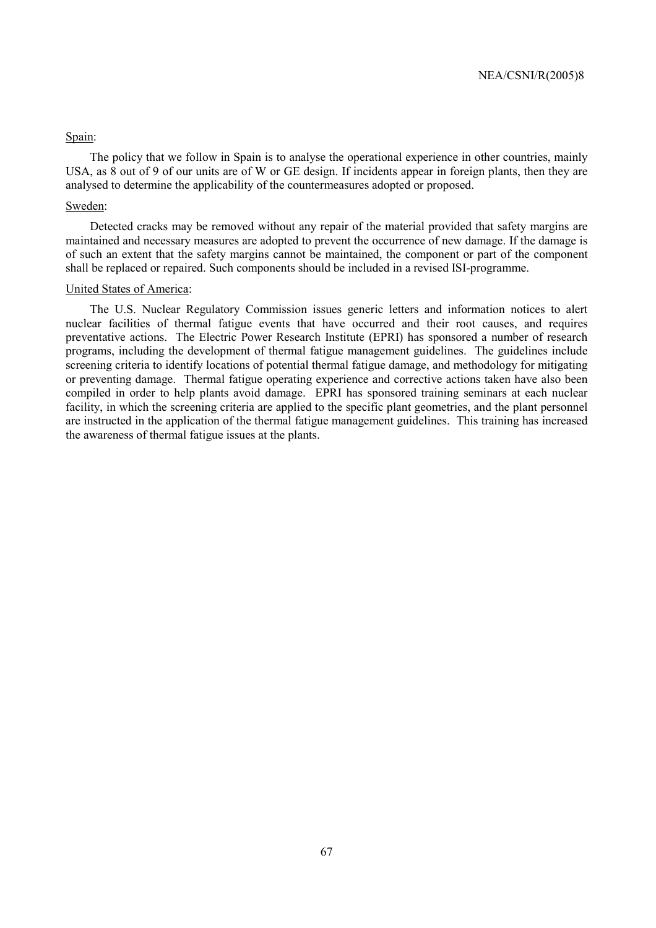## Spain:

The policy that we follow in Spain is to analyse the operational experience in other countries, mainly USA, as 8 out of 9 of our units are of W or GE design. If incidents appear in foreign plants, then they are analysed to determine the applicability of the countermeasures adopted or proposed.

### Sweden:

Detected cracks may be removed without any repair of the material provided that safety margins are maintained and necessary measures are adopted to prevent the occurrence of new damage. If the damage is of such an extent that the safety margins cannot be maintained, the component or part of the component shall be replaced or repaired. Such components should be included in a revised ISI-programme.

### United States of America:

The U.S. Nuclear Regulatory Commission issues generic letters and information notices to alert nuclear facilities of thermal fatigue events that have occurred and their root causes, and requires preventative actions. The Electric Power Research Institute (EPRI) has sponsored a number of research programs, including the development of thermal fatigue management guidelines. The guidelines include screening criteria to identify locations of potential thermal fatigue damage, and methodology for mitigating or preventing damage. Thermal fatigue operating experience and corrective actions taken have also been compiled in order to help plants avoid damage. EPRI has sponsored training seminars at each nuclear facility, in which the screening criteria are applied to the specific plant geometries, and the plant personnel are instructed in the application of the thermal fatigue management guidelines. This training has increased the awareness of thermal fatigue issues at the plants.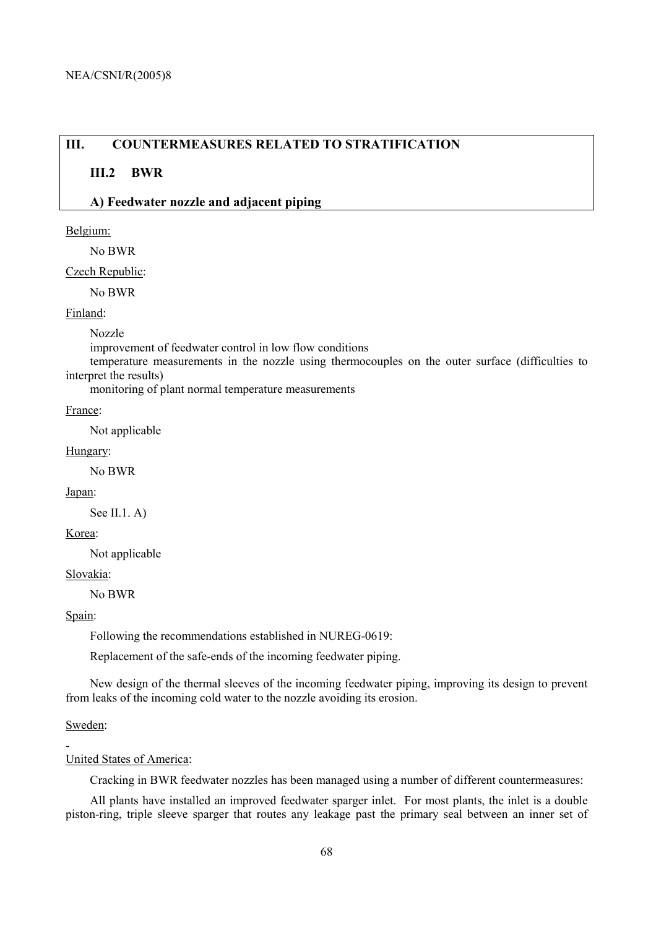# **III. COUNTERMEASURES RELATED TO STRATIFICATION**

# **III.2 BWR**

## **A) Feedwater nozzle and adjacent piping**

Belgium:

No BWR

Czech Republic:

No BWR

Finland:

Nozzle

improvement of feedwater control in low flow conditions

temperature measurements in the nozzle using thermocouples on the outer surface (difficulties to interpret the results)

monitoring of plant normal temperature measurements

France:

Not applicable

## Hungary:

No BWR

# Japan:

See II.1. A)

# Korea:

Not applicable

# Slovakia:

No BWR

### Spain:

Following the recommendations established in NUREG-0619:

Replacement of the safe-ends of the incoming feedwater piping.

New design of the thermal sleeves of the incoming feedwater piping, improving its design to prevent from leaks of the incoming cold water to the nozzle avoiding its erosion.

# Sweden:

-

# United States of America:

Cracking in BWR feedwater nozzles has been managed using a number of different countermeasures:

All plants have installed an improved feedwater sparger inlet. For most plants, the inlet is a double piston-ring, triple sleeve sparger that routes any leakage past the primary seal between an inner set of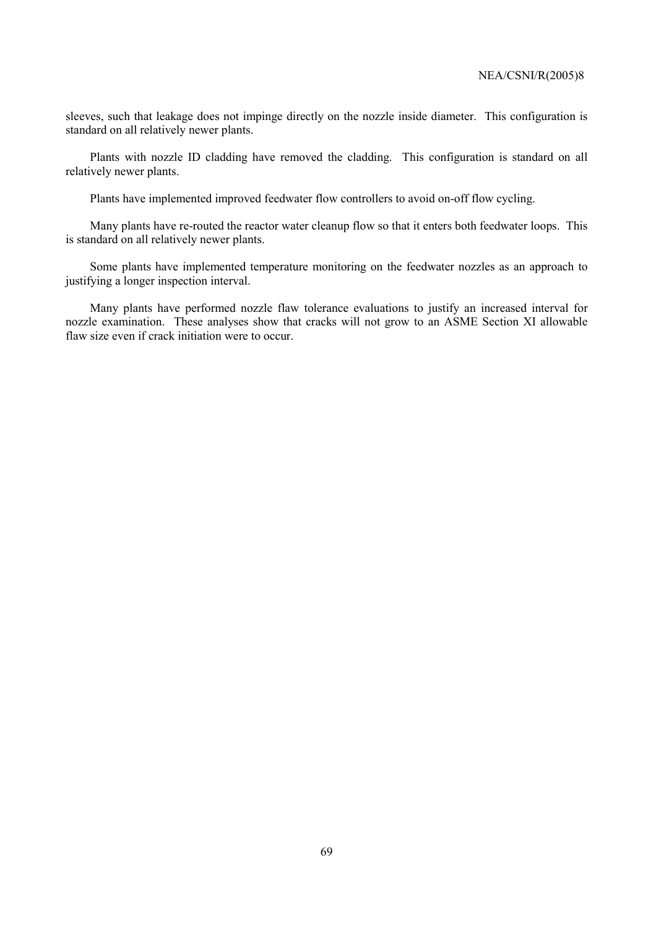sleeves, such that leakage does not impinge directly on the nozzle inside diameter. This configuration is standard on all relatively newer plants.

Plants with nozzle ID cladding have removed the cladding. This configuration is standard on all relatively newer plants.

Plants have implemented improved feedwater flow controllers to avoid on-off flow cycling.

Many plants have re-routed the reactor water cleanup flow so that it enters both feedwater loops. This is standard on all relatively newer plants.

Some plants have implemented temperature monitoring on the feedwater nozzles as an approach to justifying a longer inspection interval.

Many plants have performed nozzle flaw tolerance evaluations to justify an increased interval for nozzle examination. These analyses show that cracks will not grow to an ASME Section XI allowable flaw size even if crack initiation were to occur.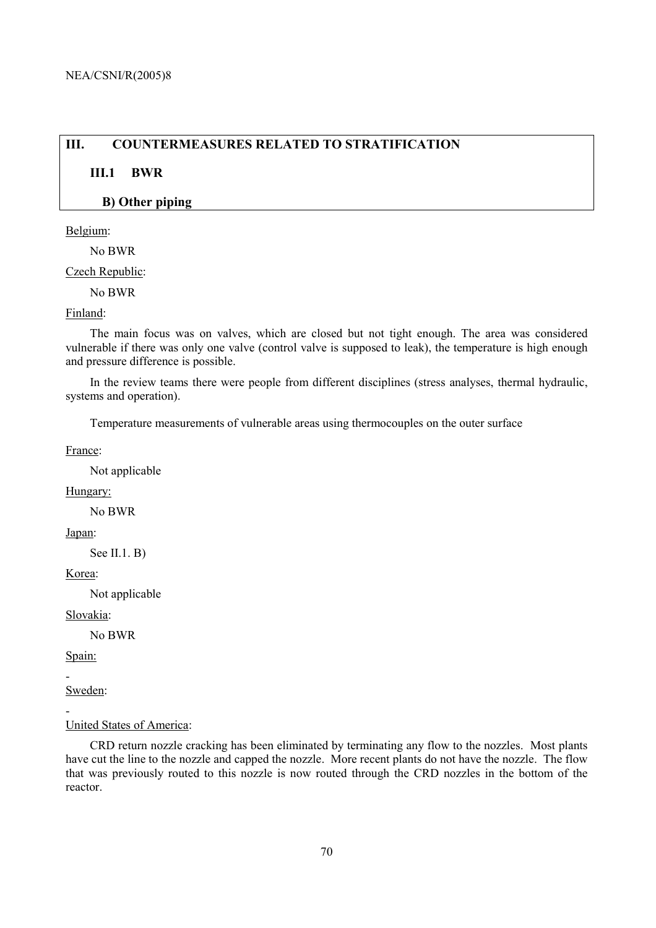# **III. COUNTERMEASURES RELATED TO STRATIFICATION**

# **III.1 BWR**

# **B) Other piping**

Belgium:

No BWR

Czech Republic:

No BWR

Finland:

The main focus was on valves, which are closed but not tight enough. The area was considered vulnerable if there was only one valve (control valve is supposed to leak), the temperature is high enough and pressure difference is possible.

In the review teams there were people from different disciplines (stress analyses, thermal hydraulic, systems and operation).

Temperature measurements of vulnerable areas using thermocouples on the outer surface

France:

Not applicable

#### Hungary:

No BWR

# Japan:

See II.1. B)

Korea:

Not applicable

Slovakia:

No BWR

Spain:

Sweden:

-

-

# United States of America:

CRD return nozzle cracking has been eliminated by terminating any flow to the nozzles. Most plants have cut the line to the nozzle and capped the nozzle. More recent plants do not have the nozzle. The flow that was previously routed to this nozzle is now routed through the CRD nozzles in the bottom of the reactor.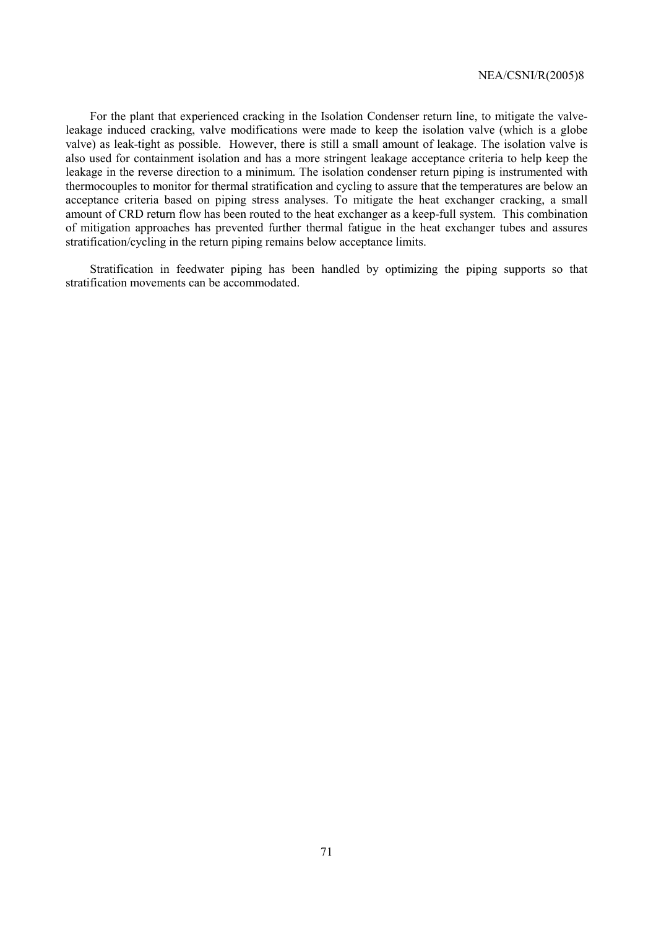For the plant that experienced cracking in the Isolation Condenser return line, to mitigate the valveleakage induced cracking, valve modifications were made to keep the isolation valve (which is a globe valve) as leak-tight as possible. However, there is still a small amount of leakage. The isolation valve is also used for containment isolation and has a more stringent leakage acceptance criteria to help keep the leakage in the reverse direction to a minimum. The isolation condenser return piping is instrumented with thermocouples to monitor for thermal stratification and cycling to assure that the temperatures are below an acceptance criteria based on piping stress analyses. To mitigate the heat exchanger cracking, a small amount of CRD return flow has been routed to the heat exchanger as a keep-full system. This combination of mitigation approaches has prevented further thermal fatigue in the heat exchanger tubes and assures stratification/cycling in the return piping remains below acceptance limits.

Stratification in feedwater piping has been handled by optimizing the piping supports so that stratification movements can be accommodated.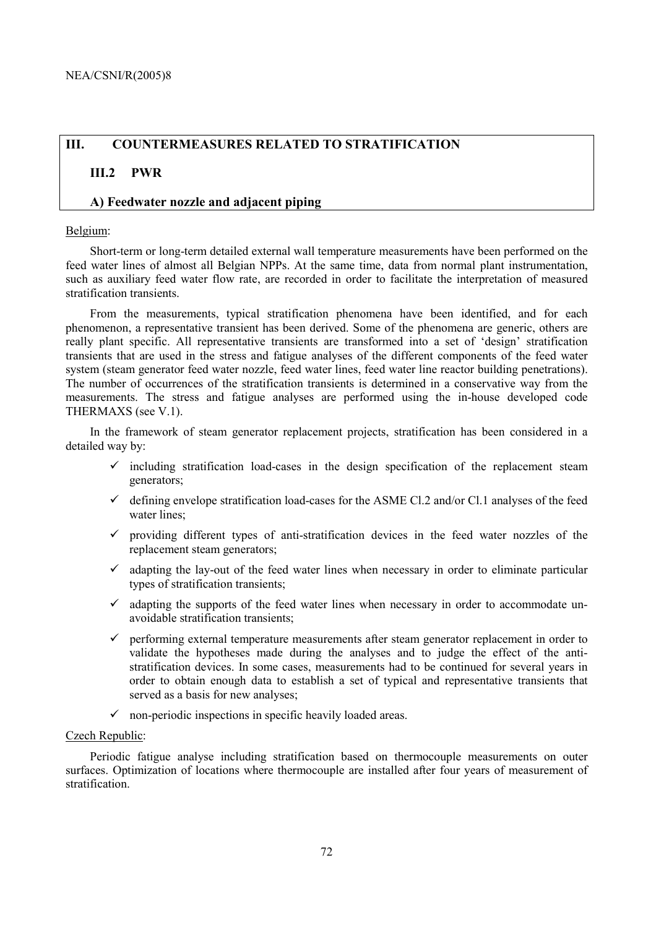# **III. COUNTERMEASURES RELATED TO STRATIFICATION**

# **III.2 PWR**

# **A) Feedwater nozzle and adjacent piping**

## Belgium:

Short-term or long-term detailed external wall temperature measurements have been performed on the feed water lines of almost all Belgian NPPs. At the same time, data from normal plant instrumentation, such as auxiliary feed water flow rate, are recorded in order to facilitate the interpretation of measured stratification transients.

From the measurements, typical stratification phenomena have been identified, and for each phenomenon, a representative transient has been derived. Some of the phenomena are generic, others are really plant specific. All representative transients are transformed into a set of 'design' stratification transients that are used in the stress and fatigue analyses of the different components of the feed water system (steam generator feed water nozzle, feed water lines, feed water line reactor building penetrations). The number of occurrences of the stratification transients is determined in a conservative way from the measurements. The stress and fatigue analyses are performed using the in-house developed code THERMAXS (see V.1).

In the framework of steam generator replacement projects, stratification has been considered in a detailed way by:

- $\checkmark$  including stratification load-cases in the design specification of the replacement steam generators;
- $\checkmark$  defining envelope stratification load-cases for the ASME Cl.2 and/or Cl.1 analyses of the feed water lines;
- $\checkmark$  providing different types of anti-stratification devices in the feed water nozzles of the replacement steam generators;
- $\checkmark$  adapting the lay-out of the feed water lines when necessary in order to eliminate particular types of stratification transients;
- $\checkmark$  adapting the supports of the feed water lines when necessary in order to accommodate unavoidable stratification transients;
- $\checkmark$  performing external temperature measurements after steam generator replacement in order to validate the hypotheses made during the analyses and to judge the effect of the antistratification devices. In some cases, measurements had to be continued for several years in order to obtain enough data to establish a set of typical and representative transients that served as a basis for new analyses;
- $\checkmark$  non-periodic inspections in specific heavily loaded areas.

### Czech Republic:

Periodic fatigue analyse including stratification based on thermocouple measurements on outer surfaces. Optimization of locations where thermocouple are installed after four years of measurement of stratification.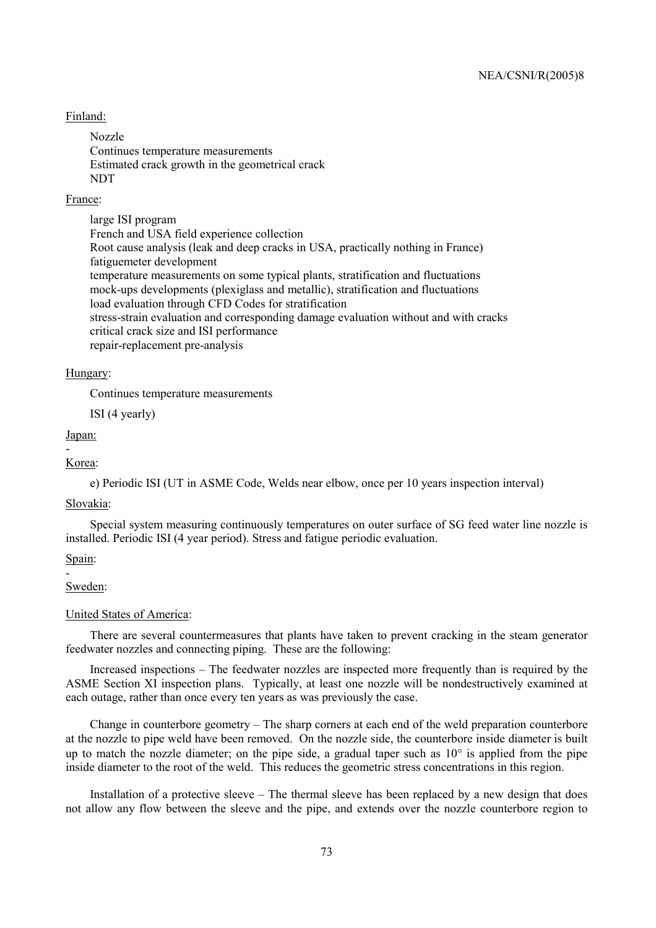#### Finland:

Nozzle Continues temperature measurements Estimated crack growth in the geometrical crack NDT

### France:

large ISI program French and USA field experience collection Root cause analysis (leak and deep cracks in USA, practically nothing in France) fatiguemeter development temperature measurements on some typical plants, stratification and fluctuations mock-ups developments (plexiglass and metallic), stratification and fluctuations load evaluation through CFD Codes for stratification stress-strain evaluation and corresponding damage evaluation without and with cracks critical crack size and ISI performance repair-replacement pre-analysis

#### Hungary:

Continues temperature measurements

ISI (4 yearly)

#### Japan: -

#### Korea:

e) Periodic ISI (UT in ASME Code, Welds near elbow, once per 10 years inspection interval)

#### Slovakia:

Special system measuring continuously temperatures on outer surface of SG feed water line nozzle is installed. Periodic ISI (4 year period). Stress and fatigue periodic evaluation.

Spain:

-

Sweden:

#### United States of America:

There are several countermeasures that plants have taken to prevent cracking in the steam generator feedwater nozzles and connecting piping. These are the following:

Increased inspections – The feedwater nozzles are inspected more frequently than is required by the ASME Section XI inspection plans. Typically, at least one nozzle will be nondestructively examined at each outage, rather than once every ten years as was previously the case.

Change in counterbore geometry – The sharp corners at each end of the weld preparation counterbore at the nozzle to pipe weld have been removed. On the nozzle side, the counterbore inside diameter is built up to match the nozzle diameter; on the pipe side, a gradual taper such as  $10^{\circ}$  is applied from the pipe inside diameter to the root of the weld. This reduces the geometric stress concentrations in this region.

Installation of a protective sleeve – The thermal sleeve has been replaced by a new design that does not allow any flow between the sleeve and the pipe, and extends over the nozzle counterbore region to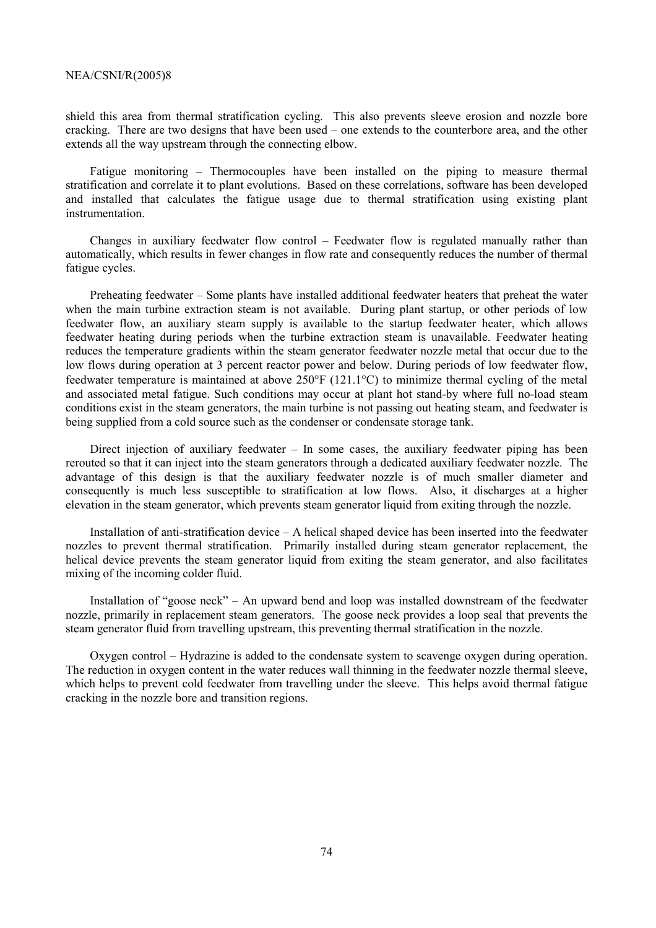shield this area from thermal stratification cycling. This also prevents sleeve erosion and nozzle bore cracking. There are two designs that have been used – one extends to the counterbore area, and the other extends all the way upstream through the connecting elbow.

Fatigue monitoring – Thermocouples have been installed on the piping to measure thermal stratification and correlate it to plant evolutions. Based on these correlations, software has been developed and installed that calculates the fatigue usage due to thermal stratification using existing plant instrumentation.

Changes in auxiliary feedwater flow control – Feedwater flow is regulated manually rather than automatically, which results in fewer changes in flow rate and consequently reduces the number of thermal fatigue cycles.

Preheating feedwater – Some plants have installed additional feedwater heaters that preheat the water when the main turbine extraction steam is not available. During plant startup, or other periods of low feedwater flow, an auxiliary steam supply is available to the startup feedwater heater, which allows feedwater heating during periods when the turbine extraction steam is unavailable. Feedwater heating reduces the temperature gradients within the steam generator feedwater nozzle metal that occur due to the low flows during operation at 3 percent reactor power and below. During periods of low feedwater flow, feedwater temperature is maintained at above 250°F (121.1°C) to minimize thermal cycling of the metal and associated metal fatigue. Such conditions may occur at plant hot stand-by where full no-load steam conditions exist in the steam generators, the main turbine is not passing out heating steam, and feedwater is being supplied from a cold source such as the condenser or condensate storage tank.

Direct injection of auxiliary feedwater – In some cases, the auxiliary feedwater piping has been rerouted so that it can inject into the steam generators through a dedicated auxiliary feedwater nozzle. The advantage of this design is that the auxiliary feedwater nozzle is of much smaller diameter and consequently is much less susceptible to stratification at low flows. Also, it discharges at a higher elevation in the steam generator, which prevents steam generator liquid from exiting through the nozzle.

Installation of anti-stratification device – A helical shaped device has been inserted into the feedwater nozzles to prevent thermal stratification. Primarily installed during steam generator replacement, the helical device prevents the steam generator liquid from exiting the steam generator, and also facilitates mixing of the incoming colder fluid.

Installation of "goose neck" – An upward bend and loop was installed downstream of the feedwater nozzle, primarily in replacement steam generators. The goose neck provides a loop seal that prevents the steam generator fluid from travelling upstream, this preventing thermal stratification in the nozzle.

Oxygen control – Hydrazine is added to the condensate system to scavenge oxygen during operation. The reduction in oxygen content in the water reduces wall thinning in the feedwater nozzle thermal sleeve, which helps to prevent cold feedwater from travelling under the sleeve. This helps avoid thermal fatigue cracking in the nozzle bore and transition regions.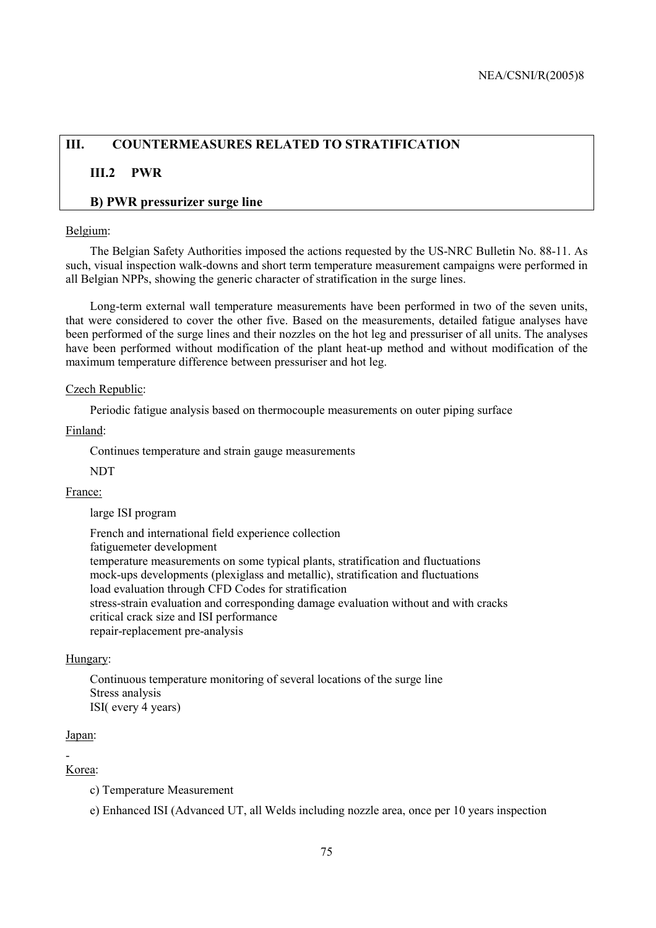## **III. COUNTERMEASURES RELATED TO STRATIFICATION**

### **III.2 PWR**

### **B) PWR pressurizer surge line**

#### Belgium:

The Belgian Safety Authorities imposed the actions requested by the US-NRC Bulletin No. 88-11. As such, visual inspection walk-downs and short term temperature measurement campaigns were performed in all Belgian NPPs, showing the generic character of stratification in the surge lines.

Long-term external wall temperature measurements have been performed in two of the seven units, that were considered to cover the other five. Based on the measurements, detailed fatigue analyses have been performed of the surge lines and their nozzles on the hot leg and pressuriser of all units. The analyses have been performed without modification of the plant heat-up method and without modification of the maximum temperature difference between pressuriser and hot leg.

#### Czech Republic:

Periodic fatigue analysis based on thermocouple measurements on outer piping surface

Finland:

Continues temperature and strain gauge measurements

NDT

France:

large ISI program

French and international field experience collection fatiguemeter development temperature measurements on some typical plants, stratification and fluctuations mock-ups developments (plexiglass and metallic), stratification and fluctuations load evaluation through CFD Codes for stratification stress-strain evaluation and corresponding damage evaluation without and with cracks critical crack size and ISI performance repair-replacement pre-analysis

#### Hungary:

Continuous temperature monitoring of several locations of the surge line Stress analysis ISI( every 4 years)

#### Japan:

- Korea:

c) Temperature Measurement

e) Enhanced ISI (Advanced UT, all Welds including nozzle area, once per 10 years inspection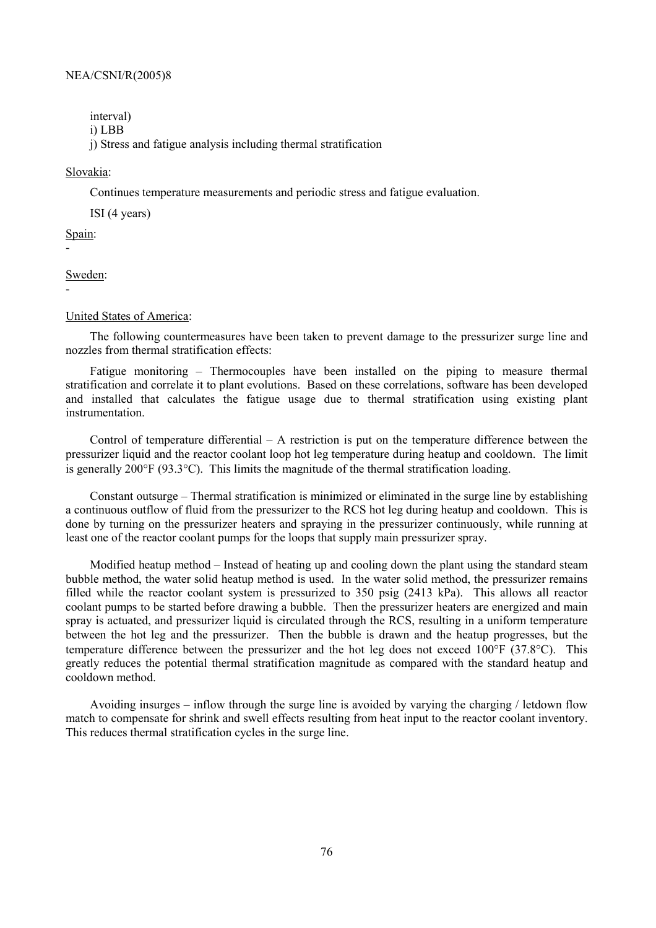interval) i) LBB j) Stress and fatigue analysis including thermal stratification

#### Slovakia:

Continues temperature measurements and periodic stress and fatigue evaluation.

ISI (4 years)

Spain: -

Sweden:

-

#### United States of America:

The following countermeasures have been taken to prevent damage to the pressurizer surge line and nozzles from thermal stratification effects:

Fatigue monitoring – Thermocouples have been installed on the piping to measure thermal stratification and correlate it to plant evolutions. Based on these correlations, software has been developed and installed that calculates the fatigue usage due to thermal stratification using existing plant instrumentation.

Control of temperature differential – A restriction is put on the temperature difference between the pressurizer liquid and the reactor coolant loop hot leg temperature during heatup and cooldown. The limit is generally 200 $\degree$ F (93.3 $\degree$ C). This limits the magnitude of the thermal stratification loading.

Constant outsurge – Thermal stratification is minimized or eliminated in the surge line by establishing a continuous outflow of fluid from the pressurizer to the RCS hot leg during heatup and cooldown. This is done by turning on the pressurizer heaters and spraying in the pressurizer continuously, while running at least one of the reactor coolant pumps for the loops that supply main pressurizer spray.

Modified heatup method – Instead of heating up and cooling down the plant using the standard steam bubble method, the water solid heatup method is used. In the water solid method, the pressurizer remains filled while the reactor coolant system is pressurized to 350 psig (2413 kPa). This allows all reactor coolant pumps to be started before drawing a bubble. Then the pressurizer heaters are energized and main spray is actuated, and pressurizer liquid is circulated through the RCS, resulting in a uniform temperature between the hot leg and the pressurizer. Then the bubble is drawn and the heatup progresses, but the temperature difference between the pressurizer and the hot leg does not exceed 100°F (37.8°C). This greatly reduces the potential thermal stratification magnitude as compared with the standard heatup and cooldown method.

Avoiding insurges – inflow through the surge line is avoided by varying the charging / letdown flow match to compensate for shrink and swell effects resulting from heat input to the reactor coolant inventory. This reduces thermal stratification cycles in the surge line.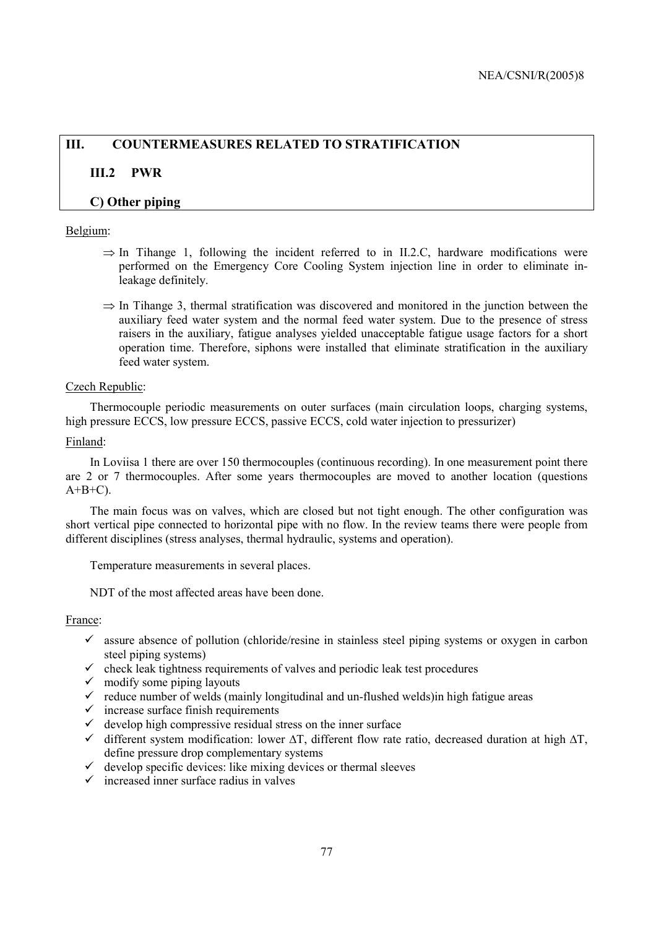## **III. COUNTERMEASURES RELATED TO STRATIFICATION**

## **III.2 PWR**

## **C) Other piping**

### Belgium:

- $\Rightarrow$  In Tihange 1, following the incident referred to in II.2.C, hardware modifications were performed on the Emergency Core Cooling System injection line in order to eliminate inleakage definitely.
- $\Rightarrow$  In Tihange 3, thermal stratification was discovered and monitored in the junction between the auxiliary feed water system and the normal feed water system. Due to the presence of stress raisers in the auxiliary, fatigue analyses yielded unacceptable fatigue usage factors for a short operation time. Therefore, siphons were installed that eliminate stratification in the auxiliary feed water system.

### Czech Republic:

Thermocouple periodic measurements on outer surfaces (main circulation loops, charging systems, high pressure ECCS, low pressure ECCS, passive ECCS, cold water injection to pressurizer)

### Finland:

In Loviisa 1 there are over 150 thermocouples (continuous recording). In one measurement point there are 2 or 7 thermocouples. After some years thermocouples are moved to another location (questions  $A+B+C$ ).

The main focus was on valves, which are closed but not tight enough. The other configuration was short vertical pipe connected to horizontal pipe with no flow. In the review teams there were people from different disciplines (stress analyses, thermal hydraulic, systems and operation).

Temperature measurements in several places.

NDT of the most affected areas have been done.

#### France:

- $\checkmark$  assure absence of pollution (chloride/resine in stainless steel piping systems or oxygen in carbon steel piping systems)
- $\checkmark$  check leak tightness requirements of valves and periodic leak test procedures
- $\checkmark$  modify some piping layouts
- $\checkmark$  reduce number of welds (mainly longitudinal and un-flushed welds) in high fatigue areas
- $\checkmark$  increase surface finish requirements<br> $\checkmark$  develop high compressive residual st
- develop high compressive residual stress on the inner surface
- $\checkmark$  different system modification: lower  $\Delta T$ , different flow rate ratio, decreased duration at high  $\Delta T$ . define pressure drop complementary systems
- $\checkmark$  develop specific devices: like mixing devices or thermal sleeves
- $\checkmark$  increased inner surface radius in valves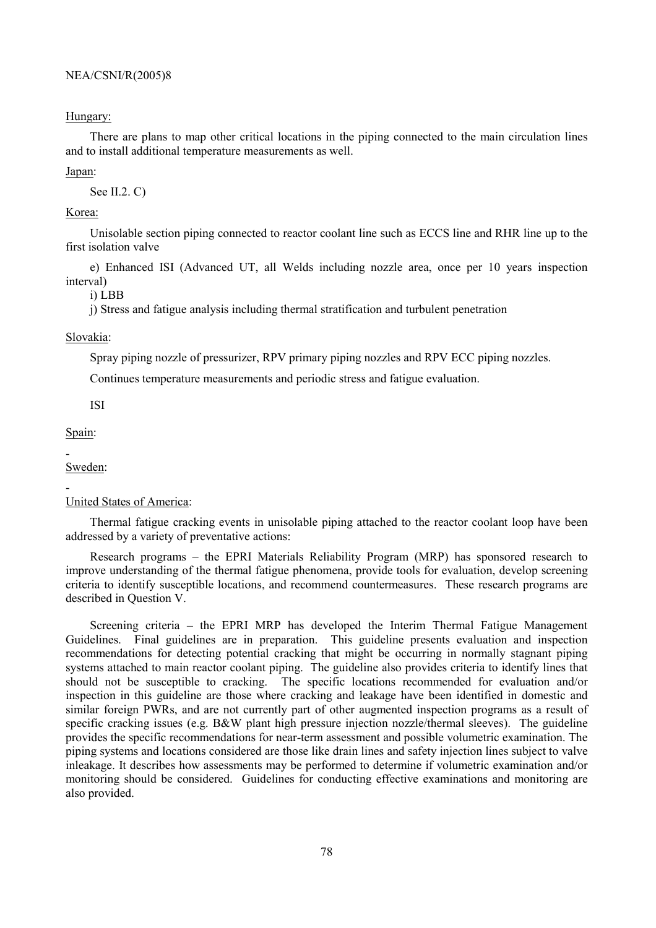#### Hungary:

There are plans to map other critical locations in the piping connected to the main circulation lines and to install additional temperature measurements as well.

#### Japan:

See II.2. C)

#### Korea:

Unisolable section piping connected to reactor coolant line such as ECCS line and RHR line up to the first isolation valve

e) Enhanced ISI (Advanced UT, all Welds including nozzle area, once per 10 years inspection interval)

i) LBB

j) Stress and fatigue analysis including thermal stratification and turbulent penetration

#### Slovakia:

Spray piping nozzle of pressurizer, RPV primary piping nozzles and RPV ECC piping nozzles.

Continues temperature measurements and periodic stress and fatigue evaluation.

ISI

Spain:

-

-

Sweden:

### United States of America:

Thermal fatigue cracking events in unisolable piping attached to the reactor coolant loop have been addressed by a variety of preventative actions:

Research programs – the EPRI Materials Reliability Program (MRP) has sponsored research to improve understanding of the thermal fatigue phenomena, provide tools for evaluation, develop screening criteria to identify susceptible locations, and recommend countermeasures. These research programs are described in Question V.

Screening criteria – the EPRI MRP has developed the Interim Thermal Fatigue Management Guidelines. Final guidelines are in preparation. This guideline presents evaluation and inspection recommendations for detecting potential cracking that might be occurring in normally stagnant piping systems attached to main reactor coolant piping. The guideline also provides criteria to identify lines that should not be susceptible to cracking. The specific locations recommended for evaluation and/or inspection in this guideline are those where cracking and leakage have been identified in domestic and similar foreign PWRs, and are not currently part of other augmented inspection programs as a result of specific cracking issues (e.g. B&W plant high pressure injection nozzle/thermal sleeves). The guideline provides the specific recommendations for near-term assessment and possible volumetric examination. The piping systems and locations considered are those like drain lines and safety injection lines subject to valve inleakage. It describes how assessments may be performed to determine if volumetric examination and/or monitoring should be considered. Guidelines for conducting effective examinations and monitoring are also provided.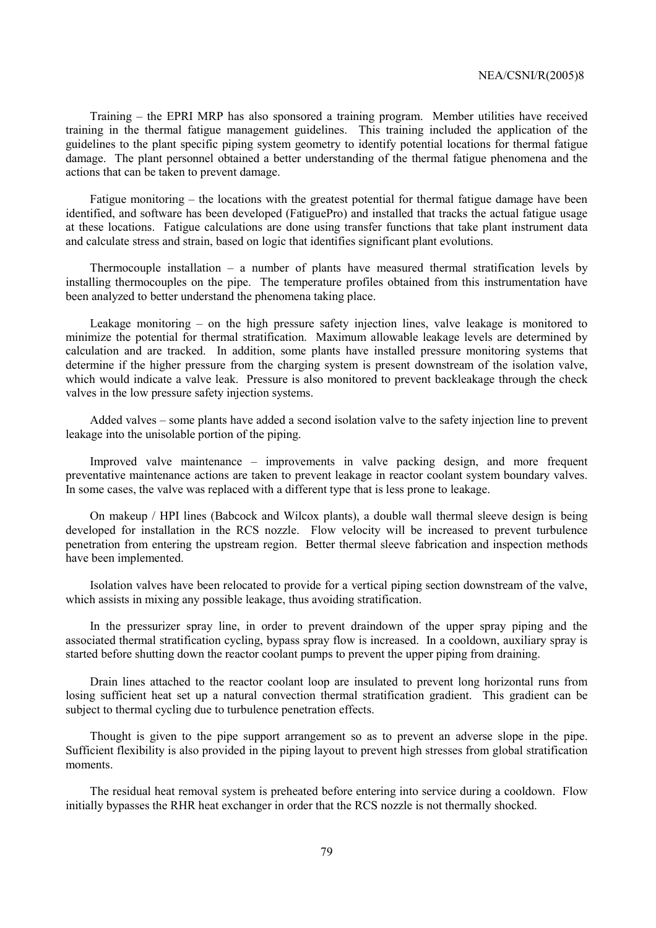Training – the EPRI MRP has also sponsored a training program. Member utilities have received training in the thermal fatigue management guidelines. This training included the application of the guidelines to the plant specific piping system geometry to identify potential locations for thermal fatigue damage. The plant personnel obtained a better understanding of the thermal fatigue phenomena and the actions that can be taken to prevent damage.

Fatigue monitoring – the locations with the greatest potential for thermal fatigue damage have been identified, and software has been developed (FatiguePro) and installed that tracks the actual fatigue usage at these locations. Fatigue calculations are done using transfer functions that take plant instrument data and calculate stress and strain, based on logic that identifies significant plant evolutions.

Thermocouple installation – a number of plants have measured thermal stratification levels by installing thermocouples on the pipe. The temperature profiles obtained from this instrumentation have been analyzed to better understand the phenomena taking place.

Leakage monitoring – on the high pressure safety injection lines, valve leakage is monitored to minimize the potential for thermal stratification. Maximum allowable leakage levels are determined by calculation and are tracked. In addition, some plants have installed pressure monitoring systems that determine if the higher pressure from the charging system is present downstream of the isolation valve, which would indicate a valve leak. Pressure is also monitored to prevent backleakage through the check valves in the low pressure safety injection systems.

Added valves – some plants have added a second isolation valve to the safety injection line to prevent leakage into the unisolable portion of the piping.

Improved valve maintenance – improvements in valve packing design, and more frequent preventative maintenance actions are taken to prevent leakage in reactor coolant system boundary valves. In some cases, the valve was replaced with a different type that is less prone to leakage.

On makeup / HPI lines (Babcock and Wilcox plants), a double wall thermal sleeve design is being developed for installation in the RCS nozzle. Flow velocity will be increased to prevent turbulence penetration from entering the upstream region. Better thermal sleeve fabrication and inspection methods have been implemented.

Isolation valves have been relocated to provide for a vertical piping section downstream of the valve, which assists in mixing any possible leakage, thus avoiding stratification.

In the pressurizer spray line, in order to prevent draindown of the upper spray piping and the associated thermal stratification cycling, bypass spray flow is increased. In a cooldown, auxiliary spray is started before shutting down the reactor coolant pumps to prevent the upper piping from draining.

Drain lines attached to the reactor coolant loop are insulated to prevent long horizontal runs from losing sufficient heat set up a natural convection thermal stratification gradient. This gradient can be subject to thermal cycling due to turbulence penetration effects.

Thought is given to the pipe support arrangement so as to prevent an adverse slope in the pipe. Sufficient flexibility is also provided in the piping layout to prevent high stresses from global stratification moments.

The residual heat removal system is preheated before entering into service during a cooldown. Flow initially bypasses the RHR heat exchanger in order that the RCS nozzle is not thermally shocked.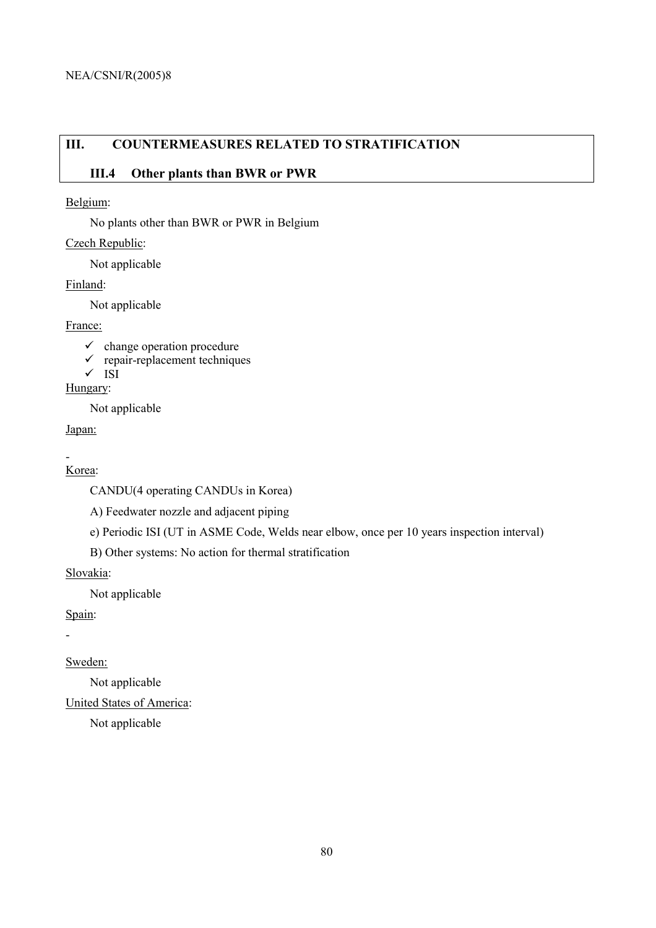## **III. COUNTERMEASURES RELATED TO STRATIFICATION**

### **III.4 Other plants than BWR or PWR**

### Belgium:

No plants other than BWR or PWR in Belgium

### Czech Republic:

Not applicable

### Finland:

Not applicable

## France:

- $\checkmark$  change operation procedure
- $\checkmark$  repair-replacement techniques
- $\sqrt{ISI}$

## Hungary:

Not applicable

## Japan:

- Korea:

CANDU(4 operating CANDUs in Korea)

A) Feedwater nozzle and adjacent piping

- e) Periodic ISI (UT in ASME Code, Welds near elbow, once per 10 years inspection interval)
- B) Other systems: No action for thermal stratification

Slovakia:

Not applicable

Spain:

-

Sweden:

Not applicable United States of America:

Not applicable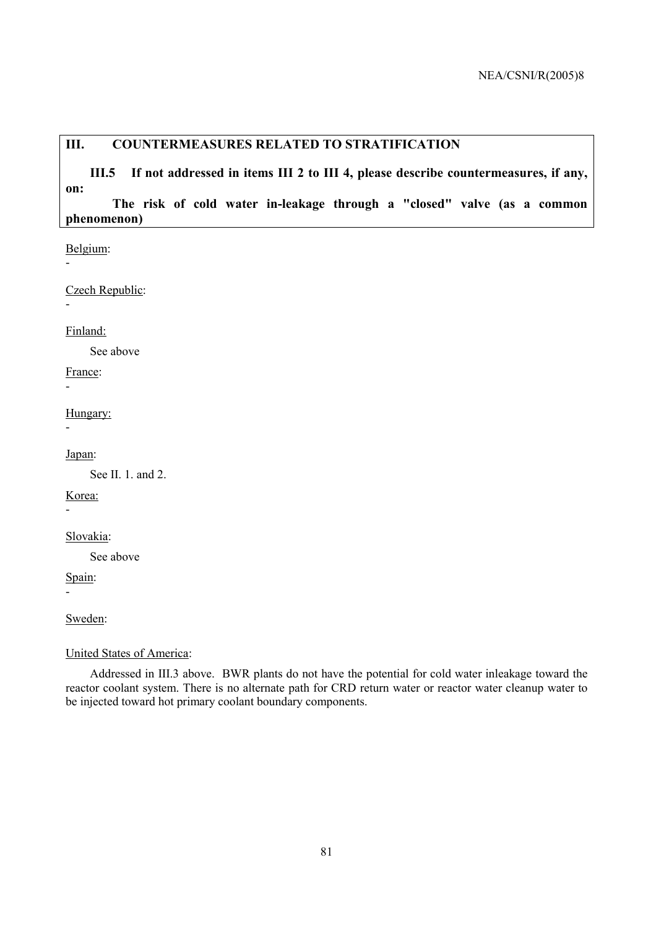## **III. COUNTERMEASURES RELATED TO STRATIFICATION**

**III.5 If not addressed in items III 2 to III 4, please describe countermeasures, if any, on: The risk of cold water in-leakage through a "closed" valve (as a common phenomenon)** 

### Belgium:

-

## Czech Republic:

-

## Finland:

See above

France:

## Hungary:

-

-

## Japan:

See II. 1. and 2.

## Korea:

-

## Slovakia:

See above

Spain: -

Sweden:

## United States of America:

Addressed in III.3 above. BWR plants do not have the potential for cold water inleakage toward the reactor coolant system. There is no alternate path for CRD return water or reactor water cleanup water to be injected toward hot primary coolant boundary components.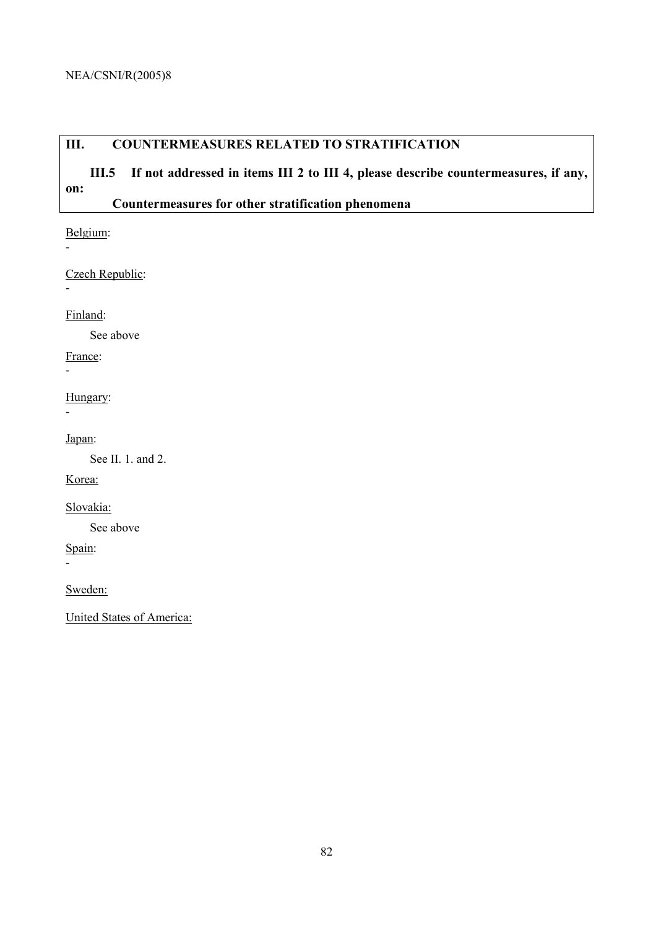## **III. COUNTERMEASURES RELATED TO STRATIFICATION**

## **III.5 If not addressed in items III 2 to III 4, please describe countermeasures, if any, on: Countermeasures for other stratification phenomena**

Belgium:

-

Czech Republic:

-

Finland:

See above

France:

-

Hungary:

-

Japan:

See II. 1. and 2.

Korea:

Slovakia:

See above

Spain:

-

Sweden:

United States of America: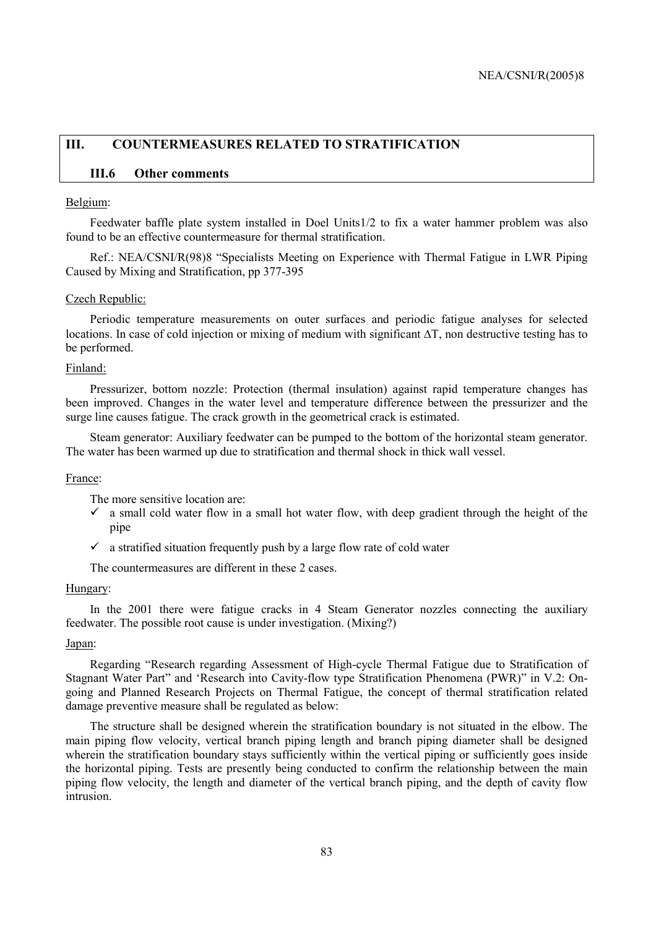## **III. COUNTERMEASURES RELATED TO STRATIFICATION**

#### **III.6 Other comments**

#### Belgium:

Feedwater baffle plate system installed in Doel Units1/2 to fix a water hammer problem was also found to be an effective countermeasure for thermal stratification.

Ref.: NEA/CSNI/R(98)8 "Specialists Meeting on Experience with Thermal Fatigue in LWR Piping Caused by Mixing and Stratification, pp 377-395

#### Czech Republic:

Periodic temperature measurements on outer surfaces and periodic fatigue analyses for selected locations. In case of cold injection or mixing of medium with significant ∆T, non destructive testing has to be performed.

#### Finland:

Pressurizer, bottom nozzle: Protection (thermal insulation) against rapid temperature changes has been improved. Changes in the water level and temperature difference between the pressurizer and the surge line causes fatigue. The crack growth in the geometrical crack is estimated.

Steam generator: Auxiliary feedwater can be pumped to the bottom of the horizontal steam generator. The water has been warmed up due to stratification and thermal shock in thick wall vessel.

#### France:

The more sensitive location are:

- $\checkmark$  a small cold water flow in a small hot water flow, with deep gradient through the height of the pipe
- $\checkmark$  a stratified situation frequently push by a large flow rate of cold water

The countermeasures are different in these 2 cases.

#### Hungary:

In the 2001 there were fatigue cracks in 4 Steam Generator nozzles connecting the auxiliary feedwater. The possible root cause is under investigation. (Mixing?)

#### Japan:

Regarding "Research regarding Assessment of High-cycle Thermal Fatigue due to Stratification of Stagnant Water Part" and 'Research into Cavity-flow type Stratification Phenomena (PWR)" in V.2: Ongoing and Planned Research Projects on Thermal Fatigue, the concept of thermal stratification related damage preventive measure shall be regulated as below:

The structure shall be designed wherein the stratification boundary is not situated in the elbow. The main piping flow velocity, vertical branch piping length and branch piping diameter shall be designed wherein the stratification boundary stays sufficiently within the vertical piping or sufficiently goes inside the horizontal piping. Tests are presently being conducted to confirm the relationship between the main piping flow velocity, the length and diameter of the vertical branch piping, and the depth of cavity flow intrusion.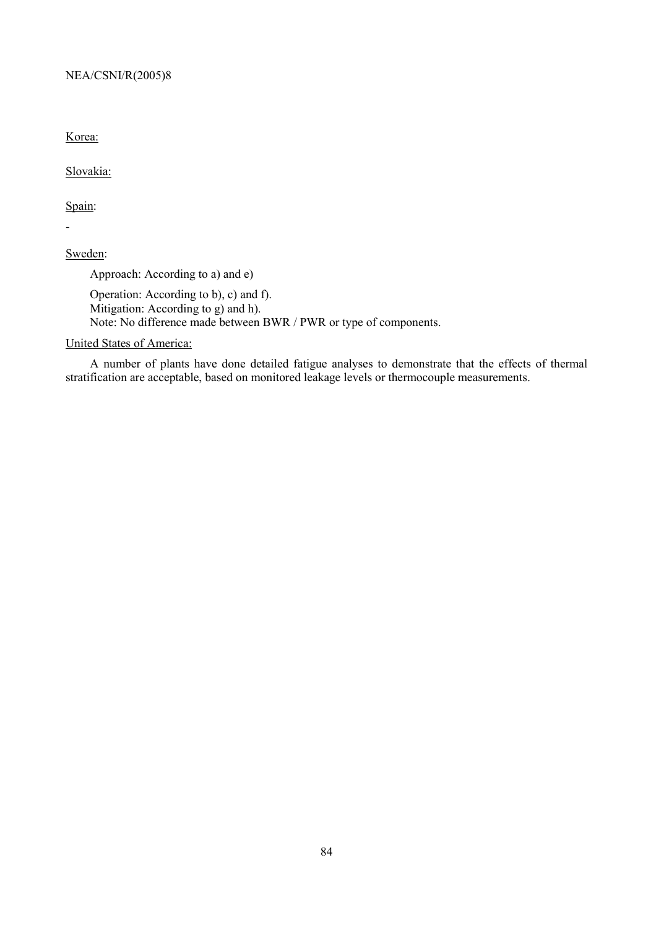Korea:

Slovakia:

Spain:

-

Sweden:

Approach: According to a) and e)

Operation: According to b), c) and f). Mitigation: According to g) and h). Note: No difference made between BWR / PWR or type of components.

United States of America:

A number of plants have done detailed fatigue analyses to demonstrate that the effects of thermal stratification are acceptable, based on monitored leakage levels or thermocouple measurements.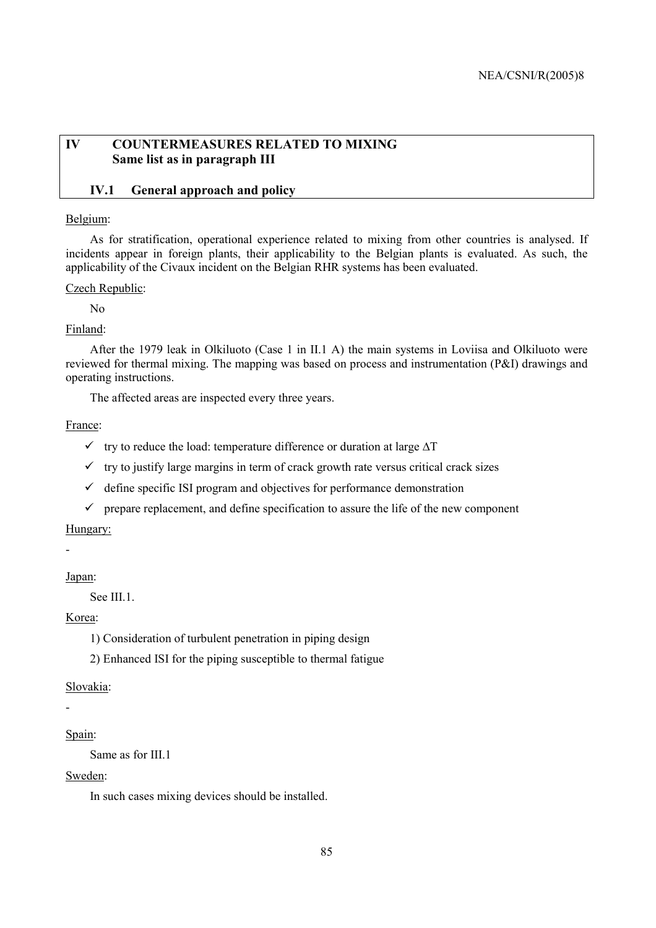## **IV COUNTERMEASURES RELATED TO MIXING Same list as in paragraph III**

### **IV.1 General approach and policy**

### Belgium:

As for stratification, operational experience related to mixing from other countries is analysed. If incidents appear in foreign plants, their applicability to the Belgian plants is evaluated. As such, the applicability of the Civaux incident on the Belgian RHR systems has been evaluated.

Czech Republic:

No

Finland:

After the 1979 leak in Olkiluoto (Case 1 in II.1 A) the main systems in Loviisa and Olkiluoto were reviewed for thermal mixing. The mapping was based on process and instrumentation (P&I) drawings and operating instructions.

The affected areas are inspected every three years.

France:

- $\checkmark$  try to reduce the load: temperature difference or duration at large  $\Delta T$
- $\checkmark$  try to justify large margins in term of crack growth rate versus critical crack sizes
- $\checkmark$  define specific ISI program and objectives for performance demonstration
- $\checkmark$  prepare replacement, and define specification to assure the life of the new component

#### Hungary:

-

Japan:

See III.1.

Korea:

1) Consideration of turbulent penetration in piping design

2) Enhanced ISI for the piping susceptible to thermal fatigue

Slovakia:

-

## Spain:

Same as for III.1

## Sweden:

In such cases mixing devices should be installed.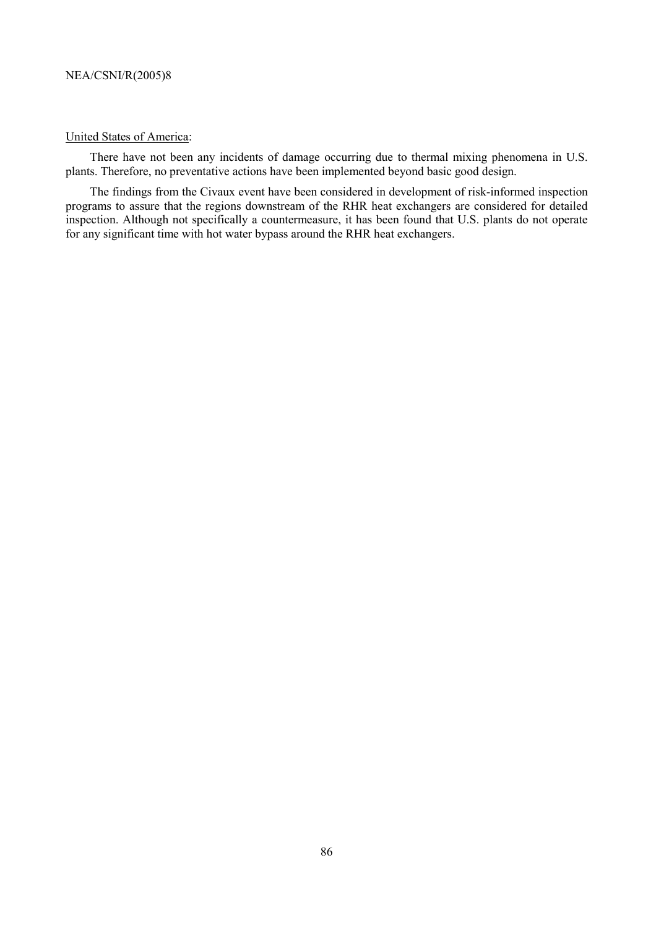### United States of America:

There have not been any incidents of damage occurring due to thermal mixing phenomena in U.S. plants. Therefore, no preventative actions have been implemented beyond basic good design.

The findings from the Civaux event have been considered in development of risk-informed inspection programs to assure that the regions downstream of the RHR heat exchangers are considered for detailed inspection. Although not specifically a countermeasure, it has been found that U.S. plants do not operate for any significant time with hot water bypass around the RHR heat exchangers.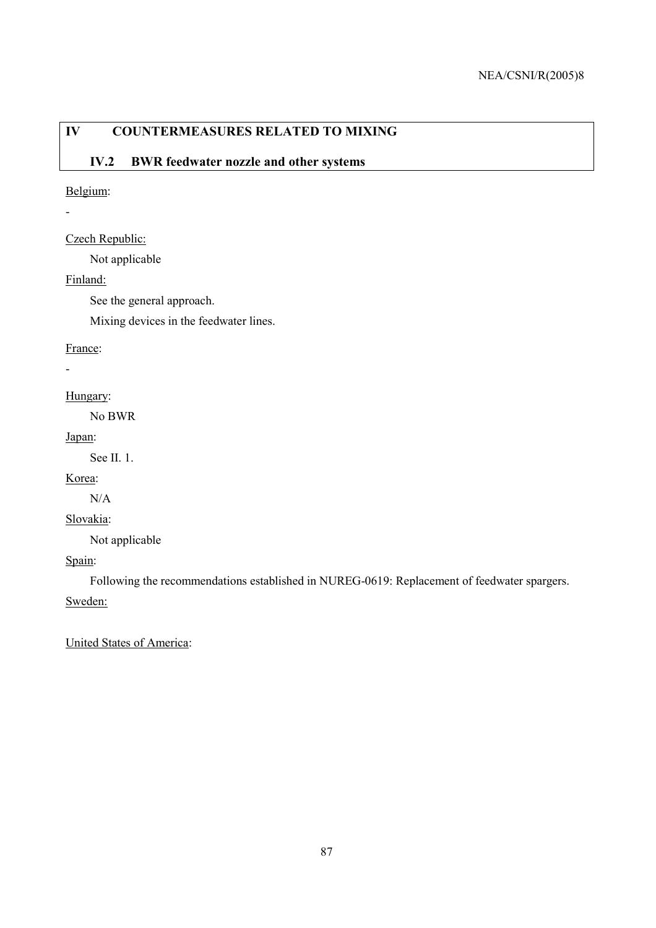## **IV.2 BWR feedwater nozzle and other systems**

## Belgium:

-

## Czech Republic:

Not applicable

### Finland:

See the general approach.

Mixing devices in the feedwater lines.

### France:

-

## Hungary:

No BWR

### Japan:

See II. 1.

## Korea:

 $N/A$ 

## Slovakia:

Not applicable

## Spain:

Following the recommendations established in NUREG-0619: Replacement of feedwater spargers. Sweden:

United States of America: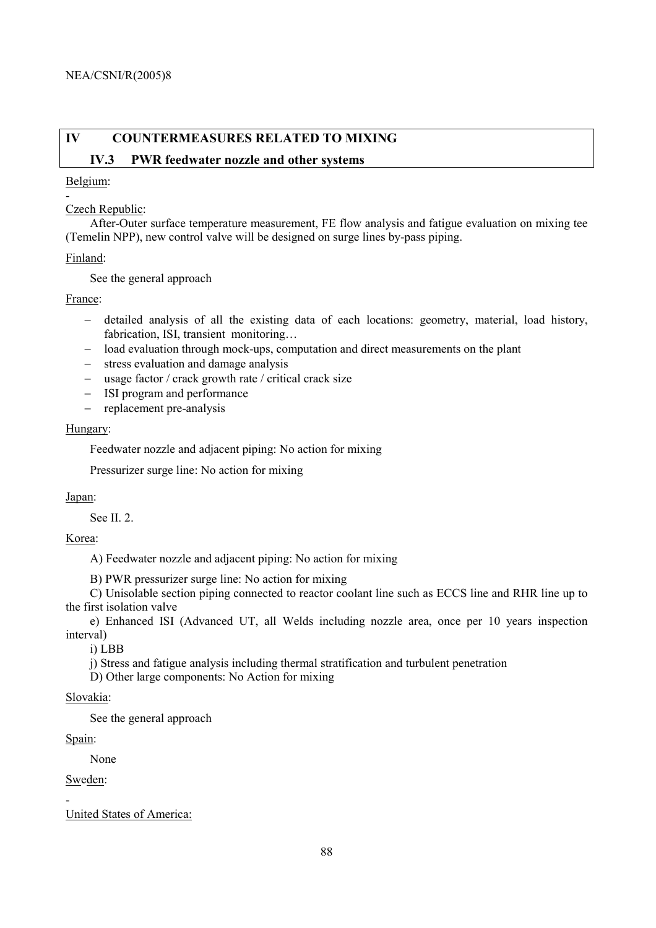## **IV.3 PWR feedwater nozzle and other systems**

### Belgium:

#### - Czech Republic:

After-Outer surface temperature measurement, FE flow analysis and fatigue evaluation on mixing tee (Temelin NPP), new control valve will be designed on surge lines by-pass piping.

### Finland:

See the general approach

### France:

- − detailed analysis of all the existing data of each locations: geometry, material, load history, fabrication, ISI, transient monitoring...
- − load evaluation through mock-ups, computation and direct measurements on the plant
- − stress evaluation and damage analysis
- − usage factor / crack growth rate / critical crack size
- − ISI program and performance
- − replacement pre-analysis

### Hungary:

Feedwater nozzle and adjacent piping: No action for mixing

Pressurizer surge line: No action for mixing

### Japan:

See II. 2.

Korea:

A) Feedwater nozzle and adjacent piping: No action for mixing

B) PWR pressurizer surge line: No action for mixing

C) Unisolable section piping connected to reactor coolant line such as ECCS line and RHR line up to the first isolation valve

e) Enhanced ISI (Advanced UT, all Welds including nozzle area, once per 10 years inspection interval)

i) LBB

j) Stress and fatigue analysis including thermal stratification and turbulent penetration

D) Other large components: No Action for mixing

### Slovakia:

See the general approach

### Spain:

None

Sweden:

- United States of America: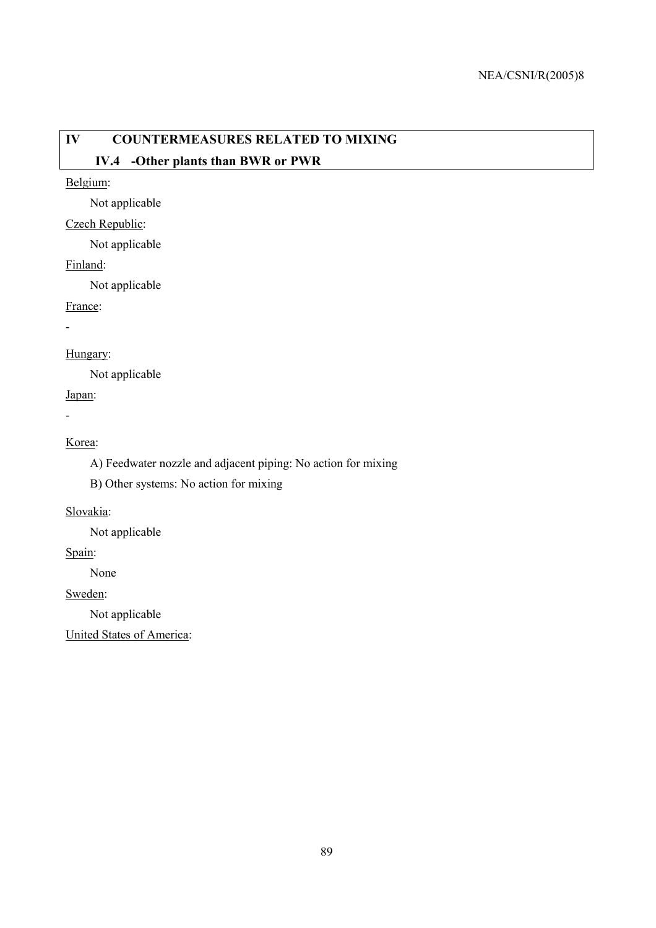## **IV.4 -Other plants than BWR or PWR**

## Belgium:

Not applicable

## Czech Republic:

Not applicable

## Finland:

Not applicable

France:

-

## Hungary:

Not applicable

Japan:

-

## Korea:

A) Feedwater nozzle and adjacent piping: No action for mixing

B) Other systems: No action for mixing

### Slovakia:

Not applicable

Spain:

None

Sweden:

Not applicable

United States of America: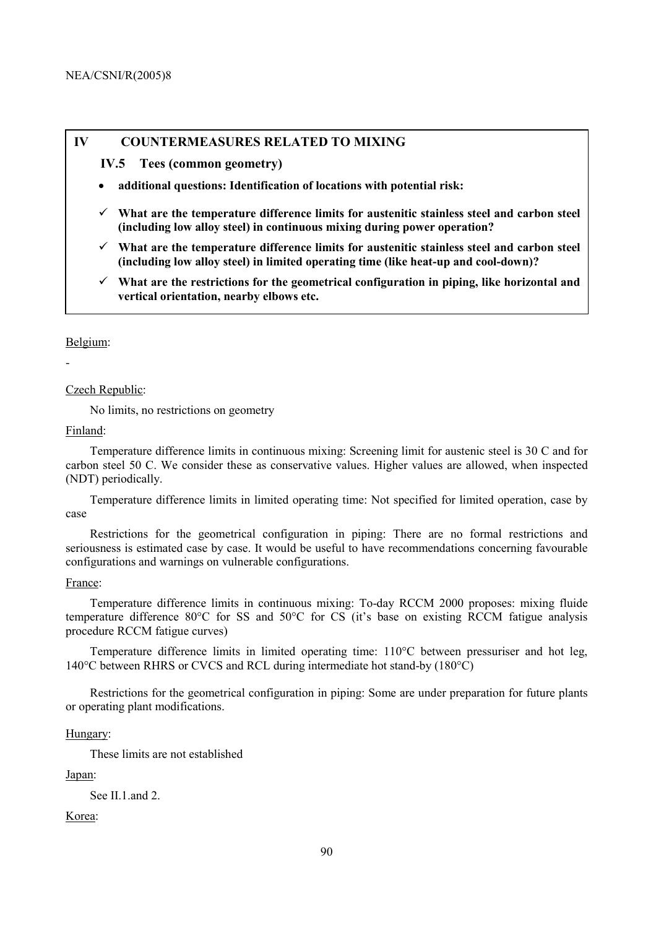**IV.5 Tees (common geometry)** 

- **additional questions: Identification of locations with potential risk:**
- $\checkmark$  What are the temperature difference limits for austenitic stainless steel and carbon steel **(including low alloy steel) in continuous mixing during power operation?**
- $\checkmark$  What are the temperature difference limits for austenitic stainless steel and carbon steel **(including low alloy steel) in limited operating time (like heat-up and cool-down)?**
- $\checkmark$  What are the restrictions for the geometrical configuration in piping, like horizontal and **vertical orientation, nearby elbows etc.**

#### Belgium:

-

#### Czech Republic:

No limits, no restrictions on geometry

#### Finland:

Temperature difference limits in continuous mixing: Screening limit for austenic steel is 30 C and for carbon steel 50 C. We consider these as conservative values. Higher values are allowed, when inspected (NDT) periodically.

Temperature difference limits in limited operating time: Not specified for limited operation, case by case

Restrictions for the geometrical configuration in piping: There are no formal restrictions and seriousness is estimated case by case. It would be useful to have recommendations concerning favourable configurations and warnings on vulnerable configurations.

#### France:

Temperature difference limits in continuous mixing: To-day RCCM 2000 proposes: mixing fluide temperature difference 80°C for SS and 50°C for CS (it's base on existing RCCM fatigue analysis procedure RCCM fatigue curves)

Temperature difference limits in limited operating time: 110°C between pressuriser and hot leg, 140°C between RHRS or CVCS and RCL during intermediate hot stand-by (180°C)

Restrictions for the geometrical configuration in piping: Some are under preparation for future plants or operating plant modifications.

### Hungary:

These limits are not established

### Japan:

See II.1 and 2.

Korea: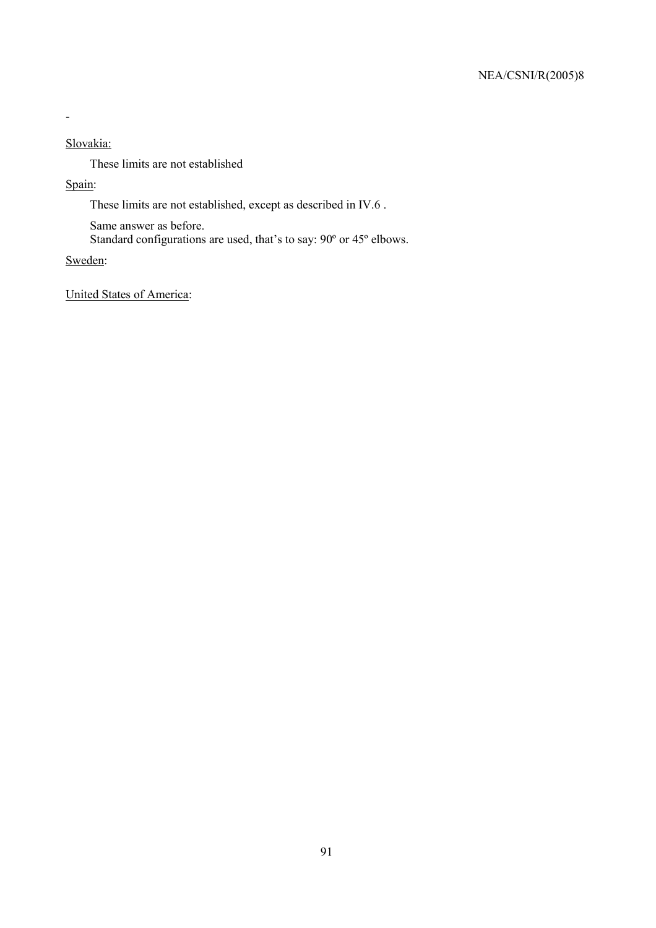## Slovakia:

-

These limits are not established

## Spain:

These limits are not established, except as described in IV.6 .

Same answer as before.

Standard configurations are used, that's to say: 90º or 45º elbows.

Sweden:

United States of America: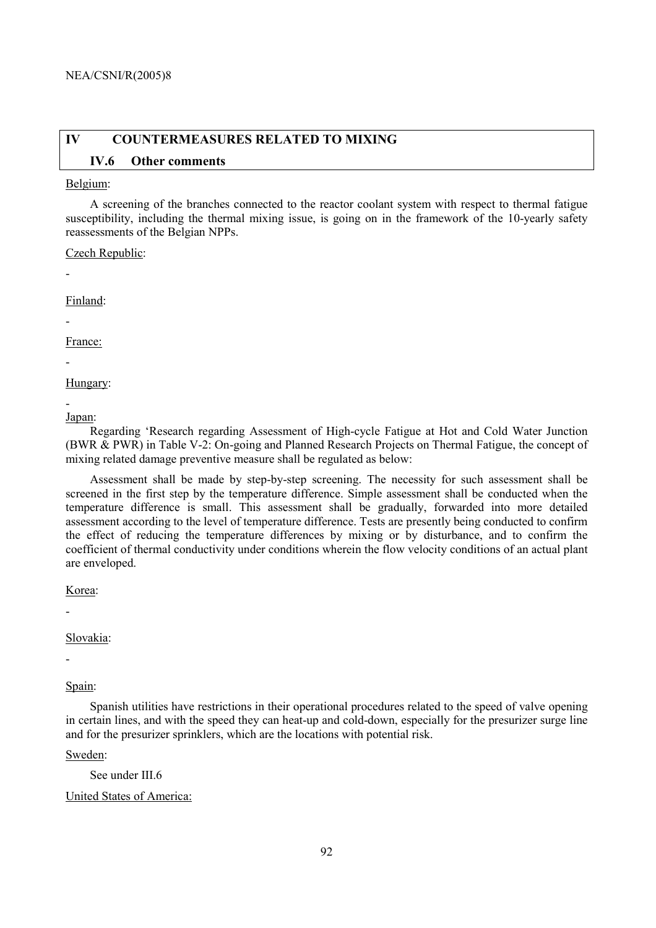### **IV.6 Other comments**

#### Belgium:

A screening of the branches connected to the reactor coolant system with respect to thermal fatigue susceptibility, including the thermal mixing issue, is going on in the framework of the 10-yearly safety reassessments of the Belgian NPPs.

Czech Republic:

-

Finland:

-

France:

-

Hungary:

- Japan:

Regarding 'Research regarding Assessment of High-cycle Fatigue at Hot and Cold Water Junction (BWR & PWR) in Table V-2: On-going and Planned Research Projects on Thermal Fatigue, the concept of mixing related damage preventive measure shall be regulated as below:

Assessment shall be made by step-by-step screening. The necessity for such assessment shall be screened in the first step by the temperature difference. Simple assessment shall be conducted when the temperature difference is small. This assessment shall be gradually, forwarded into more detailed assessment according to the level of temperature difference. Tests are presently being conducted to confirm the effect of reducing the temperature differences by mixing or by disturbance, and to confirm the coefficient of thermal conductivity under conditions wherein the flow velocity conditions of an actual plant are enveloped.

Korea:

-

Slovakia:

-

Spain:

Spanish utilities have restrictions in their operational procedures related to the speed of valve opening in certain lines, and with the speed they can heat-up and cold-down, especially for the presurizer surge line and for the presurizer sprinklers, which are the locations with potential risk.

Sweden:

See under III.6

United States of America: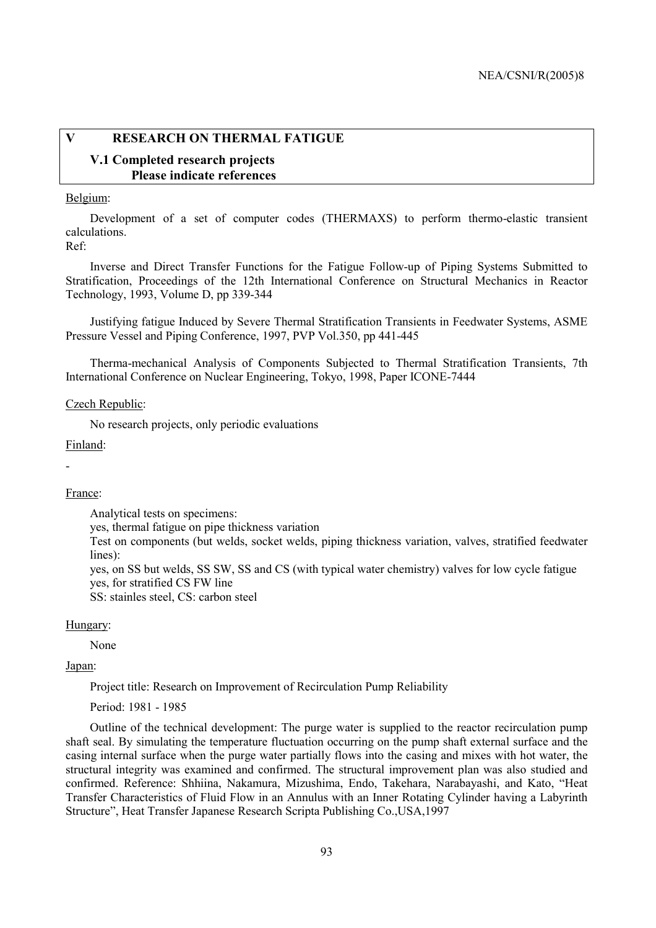## **V RESEARCH ON THERMAL FATIGUE**

### **V.1 Completed research projects Please indicate references**

### Belgium:

Development of a set of computer codes (THERMAXS) to perform thermo-elastic transient calculations.

Ref:

Inverse and Direct Transfer Functions for the Fatigue Follow-up of Piping Systems Submitted to Stratification, Proceedings of the 12th International Conference on Structural Mechanics in Reactor Technology, 1993, Volume D, pp 339-344

Justifying fatigue Induced by Severe Thermal Stratification Transients in Feedwater Systems, ASME Pressure Vessel and Piping Conference, 1997, PVP Vol.350, pp 441-445

Therma-mechanical Analysis of Components Subjected to Thermal Stratification Transients, 7th International Conference on Nuclear Engineering, Tokyo, 1998, Paper ICONE-7444

#### Czech Republic:

No research projects, only periodic evaluations

Finland:

-

France:

Analytical tests on specimens:

yes, thermal fatigue on pipe thickness variation

Test on components (but welds, socket welds, piping thickness variation, valves, stratified feedwater lines):

yes, on SS but welds, SS SW, SS and CS (with typical water chemistry) valves for low cycle fatigue yes, for stratified CS FW line

SS: stainles steel, CS: carbon steel

#### Hungary:

None

#### Japan:

Project title: Research on Improvement of Recirculation Pump Reliability

Period: 1981 - 1985

Outline of the technical development: The purge water is supplied to the reactor recirculation pump shaft seal. By simulating the temperature fluctuation occurring on the pump shaft external surface and the casing internal surface when the purge water partially flows into the casing and mixes with hot water, the structural integrity was examined and confirmed. The structural improvement plan was also studied and confirmed. Reference: Shhiina, Nakamura, Mizushima, Endo, Takehara, Narabayashi, and Kato, "Heat Transfer Characteristics of Fluid Flow in an Annulus with an Inner Rotating Cylinder having a Labyrinth Structure", Heat Transfer Japanese Research Scripta Publishing Co.,USA,1997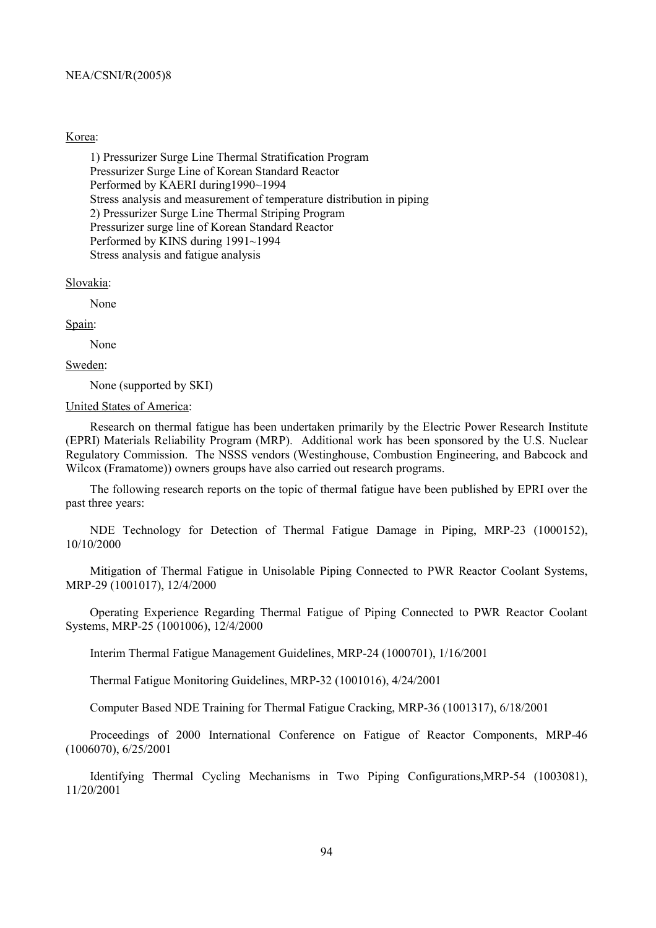### Korea:

1) Pressurizer Surge Line Thermal Stratification Program Pressurizer Surge Line of Korean Standard Reactor Performed by KAERI during1990~1994 Stress analysis and measurement of temperature distribution in piping 2) Pressurizer Surge Line Thermal Striping Program Pressurizer surge line of Korean Standard Reactor Performed by KINS during 1991~1994 Stress analysis and fatigue analysis

Slovakia:

None

Spain:

None

Sweden:

None (supported by SKI)

#### United States of America:

Research on thermal fatigue has been undertaken primarily by the Electric Power Research Institute (EPRI) Materials Reliability Program (MRP). Additional work has been sponsored by the U.S. Nuclear Regulatory Commission. The NSSS vendors (Westinghouse, Combustion Engineering, and Babcock and Wilcox (Framatome)) owners groups have also carried out research programs.

The following research reports on the topic of thermal fatigue have been published by EPRI over the past three years:

NDE Technology for Detection of Thermal Fatigue Damage in Piping, MRP-23 (1000152), 10/10/2000

Mitigation of Thermal Fatigue in Unisolable Piping Connected to PWR Reactor Coolant Systems, MRP-29 (1001017), 12/4/2000

Operating Experience Regarding Thermal Fatigue of Piping Connected to PWR Reactor Coolant Systems, MRP-25 (1001006), 12/4/2000

Interim Thermal Fatigue Management Guidelines, MRP-24 (1000701), 1/16/2001

Thermal Fatigue Monitoring Guidelines, MRP-32 (1001016), 4/24/2001

Computer Based NDE Training for Thermal Fatigue Cracking, MRP-36 (1001317), 6/18/2001

Proceedings of 2000 International Conference on Fatigue of Reactor Components, MRP-46 (1006070), 6/25/2001

Identifying Thermal Cycling Mechanisms in Two Piping Configurations,MRP-54 (1003081), 11/20/2001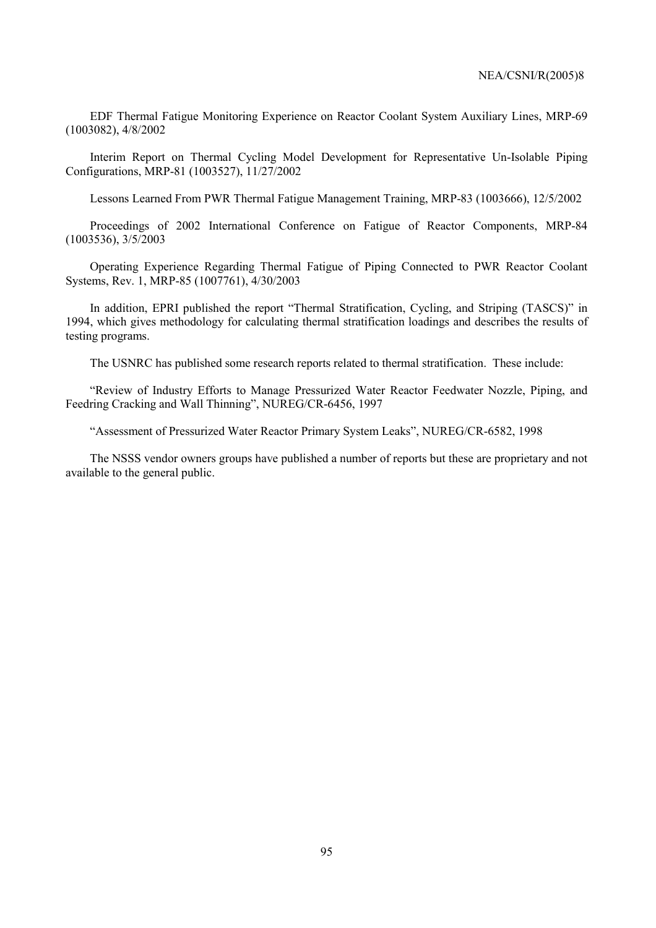EDF Thermal Fatigue Monitoring Experience on Reactor Coolant System Auxiliary Lines, MRP-69 (1003082), 4/8/2002

Interim Report on Thermal Cycling Model Development for Representative Un-Isolable Piping Configurations, MRP-81 (1003527), 11/27/2002

Lessons Learned From PWR Thermal Fatigue Management Training, MRP-83 (1003666), 12/5/2002

Proceedings of 2002 International Conference on Fatigue of Reactor Components, MRP-84 (1003536), 3/5/2003

Operating Experience Regarding Thermal Fatigue of Piping Connected to PWR Reactor Coolant Systems, Rev. 1, MRP-85 (1007761), 4/30/2003

In addition, EPRI published the report "Thermal Stratification, Cycling, and Striping (TASCS)" in 1994, which gives methodology for calculating thermal stratification loadings and describes the results of testing programs.

The USNRC has published some research reports related to thermal stratification. These include:

"Review of Industry Efforts to Manage Pressurized Water Reactor Feedwater Nozzle, Piping, and Feedring Cracking and Wall Thinning", NUREG/CR-6456, 1997

"Assessment of Pressurized Water Reactor Primary System Leaks", NUREG/CR-6582, 1998

The NSSS vendor owners groups have published a number of reports but these are proprietary and not available to the general public.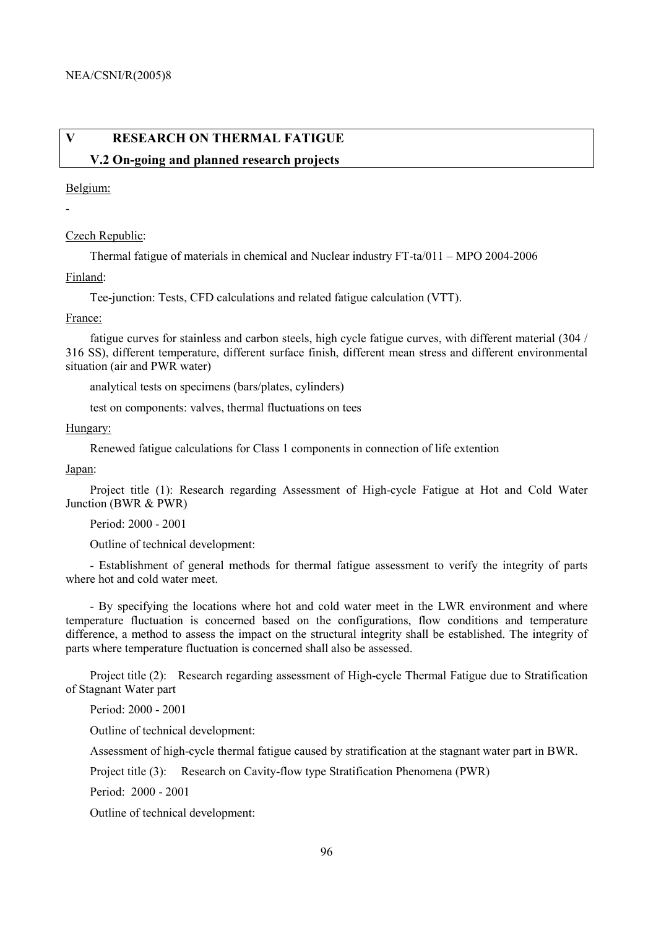# **V RESEARCH ON THERMAL FATIGUE**

### **V.2 On-going and planned research projects**

#### Belgium:

-

### Czech Republic:

Thermal fatigue of materials in chemical and Nuclear industry FT-ta/011 – MPO 2004-2006

#### Finland:

Tee-junction: Tests, CFD calculations and related fatigue calculation (VTT).

### France:

fatigue curves for stainless and carbon steels, high cycle fatigue curves, with different material (304 / 316 SS), different temperature, different surface finish, different mean stress and different environmental situation (air and PWR water)

analytical tests on specimens (bars/plates, cylinders)

test on components: valves, thermal fluctuations on tees

### Hungary:

Renewed fatigue calculations for Class 1 components in connection of life extention

#### Japan:

Project title (1): Research regarding Assessment of High-cycle Fatigue at Hot and Cold Water Junction (BWR & PWR)

Period: 2000 - 2001

Outline of technical development:

- Establishment of general methods for thermal fatigue assessment to verify the integrity of parts where hot and cold water meet.

- By specifying the locations where hot and cold water meet in the LWR environment and where temperature fluctuation is concerned based on the configurations, flow conditions and temperature difference, a method to assess the impact on the structural integrity shall be established. The integrity of parts where temperature fluctuation is concerned shall also be assessed.

Project title (2): Research regarding assessment of High-cycle Thermal Fatigue due to Stratification of Stagnant Water part

Period: 2000 - 2001

Outline of technical development:

Assessment of high-cycle thermal fatigue caused by stratification at the stagnant water part in BWR.

Project title (3): Research on Cavity-flow type Stratification Phenomena (PWR)

Period: 2000 - 2001

Outline of technical development: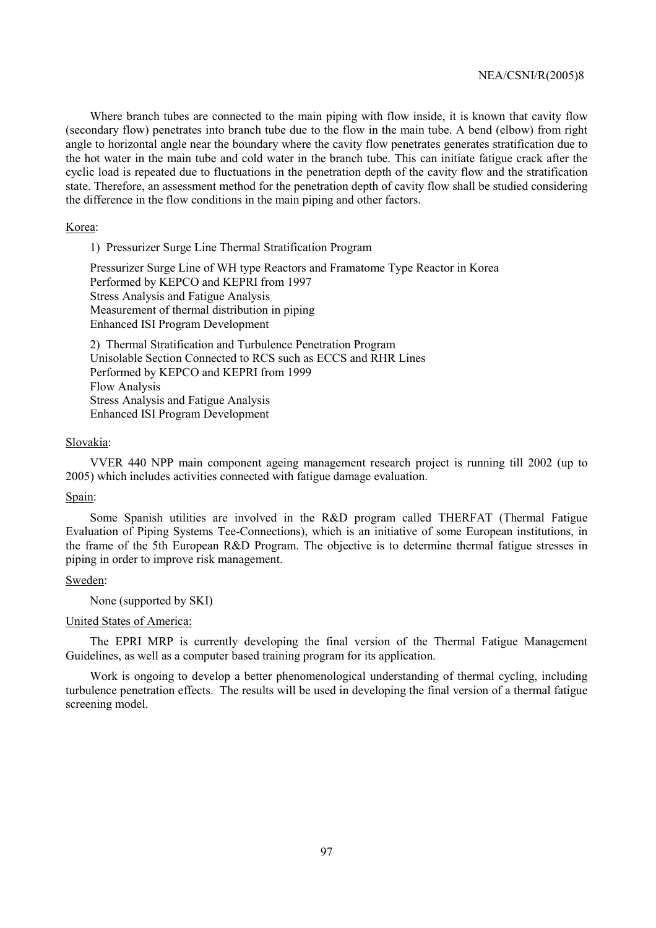Where branch tubes are connected to the main piping with flow inside, it is known that cavity flow (secondary flow) penetrates into branch tube due to the flow in the main tube. A bend (elbow) from right angle to horizontal angle near the boundary where the cavity flow penetrates generates stratification due to the hot water in the main tube and cold water in the branch tube. This can initiate fatigue crack after the cyclic load is repeated due to fluctuations in the penetration depth of the cavity flow and the stratification state. Therefore, an assessment method for the penetration depth of cavity flow shall be studied considering the difference in the flow conditions in the main piping and other factors.

#### Korea:

1) Pressurizer Surge Line Thermal Stratification Program

Pressurizer Surge Line of WH type Reactors and Framatome Type Reactor in Korea Performed by KEPCO and KEPRI from 1997 Stress Analysis and Fatigue Analysis Measurement of thermal distribution in piping Enhanced ISI Program Development

2) Thermal Stratification and Turbulence Penetration Program Unisolable Section Connected to RCS such as ECCS and RHR Lines Performed by KEPCO and KEPRI from 1999 Flow Analysis Stress Analysis and Fatigue Analysis Enhanced ISI Program Development

#### Slovakia:

VVER 440 NPP main component ageing management research project is running till 2002 (up to 2005) which includes activities connected with fatigue damage evaluation.

### Spain:

Some Spanish utilities are involved in the R&D program called THERFAT (Thermal Fatigue Evaluation of Piping Systems Tee-Connections), which is an initiative of some European institutions, in the frame of the 5th European R&D Program. The objective is to determine thermal fatigue stresses in piping in order to improve risk management.

#### Sweden:

None (supported by SKI)

### United States of America:

The EPRI MRP is currently developing the final version of the Thermal Fatigue Management Guidelines, as well as a computer based training program for its application.

Work is ongoing to develop a better phenomenological understanding of thermal cycling, including turbulence penetration effects. The results will be used in developing the final version of a thermal fatigue screening model.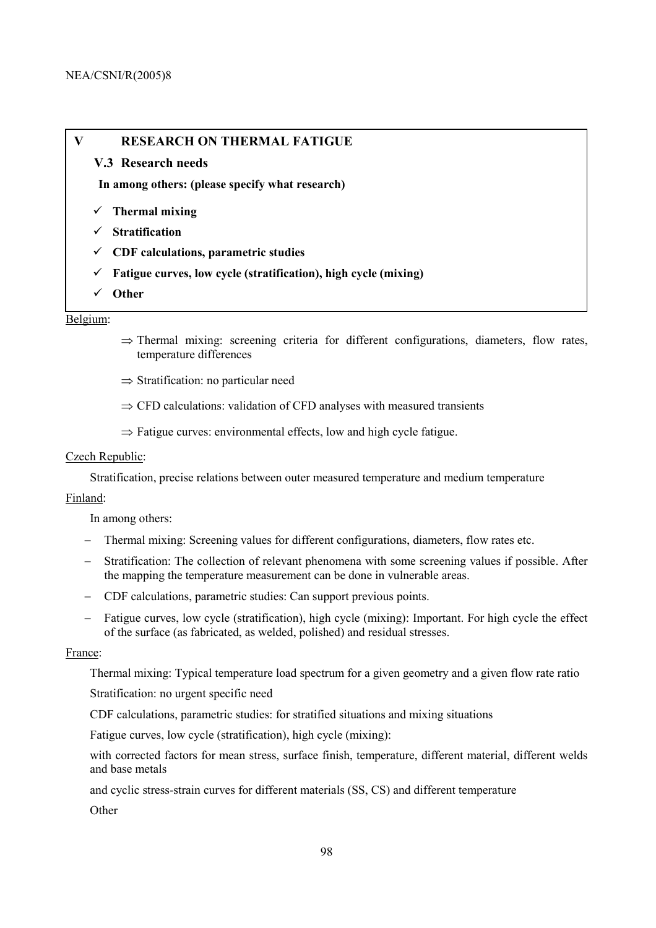## **V RESEARCH ON THERMAL FATIGUE**

### **V.3 Research needs**

**In among others: (please specify what research)** 

- $\checkmark$  Thermal mixing
- 9 **Stratification**
- 9 **CDF calculations, parametric studies**
- 9 **Fatigue curves, low cycle (stratification), high cycle (mixing)**
- 9 **Other**

### Belgium:

- ⇒ Thermal mixing: screening criteria for different configurations, diameters, flow rates, temperature differences
- ⇒ Stratification: no particular need
- $\Rightarrow$  CFD calculations: validation of CFD analyses with measured transients
- $\Rightarrow$  Fatigue curves: environmental effects, low and high cycle fatigue.

### Czech Republic:

Stratification, precise relations between outer measured temperature and medium temperature

#### Finland:

In among others:

- − Thermal mixing: Screening values for different configurations, diameters, flow rates etc.
- Stratification: The collection of relevant phenomena with some screening values if possible. After the mapping the temperature measurement can be done in vulnerable areas.
- − CDF calculations, parametric studies: Can support previous points.
- − Fatigue curves, low cycle (stratification), high cycle (mixing): Important. For high cycle the effect of the surface (as fabricated, as welded, polished) and residual stresses.

#### France:

Thermal mixing: Typical temperature load spectrum for a given geometry and a given flow rate ratio

Stratification: no urgent specific need

CDF calculations, parametric studies: for stratified situations and mixing situations

Fatigue curves, low cycle (stratification), high cycle (mixing):

with corrected factors for mean stress, surface finish, temperature, different material, different welds and base metals

and cyclic stress-strain curves for different materials (SS, CS) and different temperature

**Other**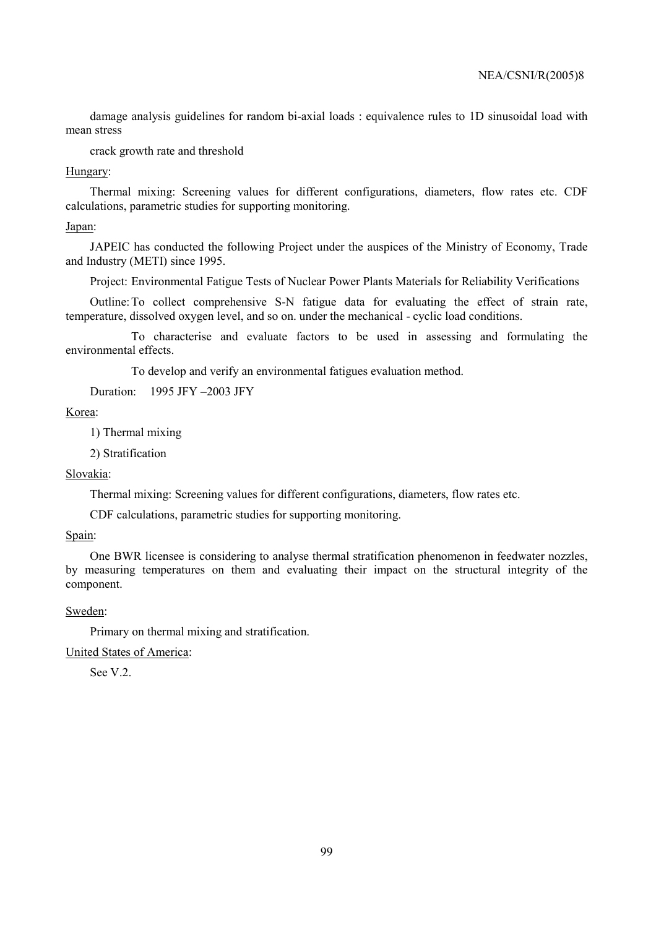damage analysis guidelines for random bi-axial loads : equivalence rules to 1D sinusoidal load with mean stress

crack growth rate and threshold

Hungary:

Thermal mixing: Screening values for different configurations, diameters, flow rates etc. CDF calculations, parametric studies for supporting monitoring.

Japan:

JAPEIC has conducted the following Project under the auspices of the Ministry of Economy, Trade and Industry (METI) since 1995.

Project: Environmental Fatigue Tests of Nuclear Power Plants Materials for Reliability Verifications

Outline: To collect comprehensive S-N fatigue data for evaluating the effect of strain rate, temperature, dissolved oxygen level, and so on. under the mechanical - cyclic load conditions.

 To characterise and evaluate factors to be used in assessing and formulating the environmental effects.

To develop and verify an environmental fatigues evaluation method.

Duration: 1995 JFY –2003 JFY

#### Korea:

1) Thermal mixing

2) Stratification

#### Slovakia:

Thermal mixing: Screening values for different configurations, diameters, flow rates etc.

CDF calculations, parametric studies for supporting monitoring.

#### Spain:

One BWR licensee is considering to analyse thermal stratification phenomenon in feedwater nozzles, by measuring temperatures on them and evaluating their impact on the structural integrity of the component.

#### Sweden:

Primary on thermal mixing and stratification.

United States of America:

See V.2.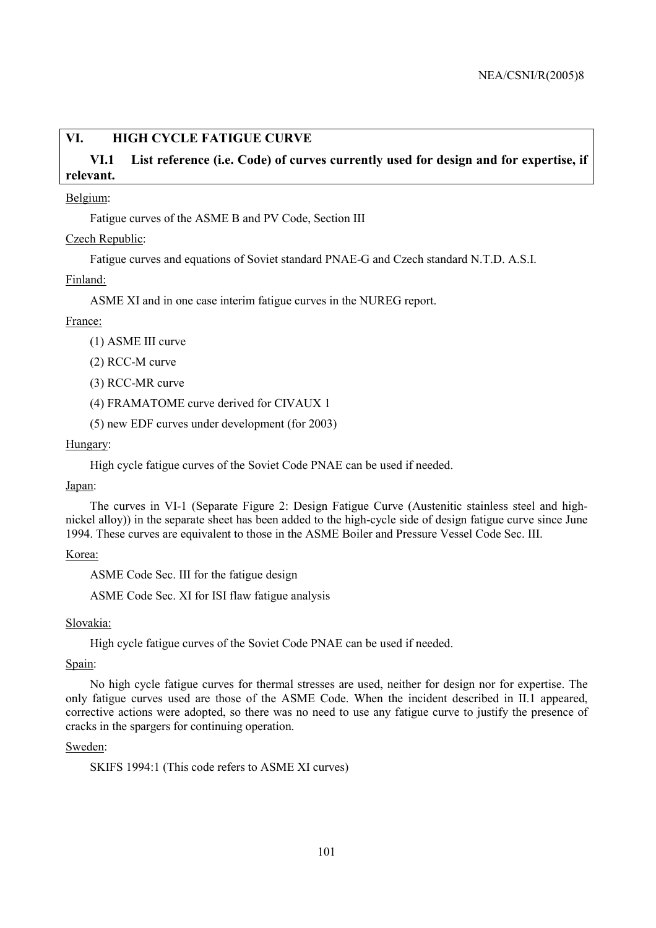## **VI. HIGH CYCLE FATIGUE CURVE**

## **VI.1 List reference (i.e. Code) of curves currently used for design and for expertise, if relevant.**

#### Belgium:

Fatigue curves of the ASME B and PV Code, Section III

#### Czech Republic:

Fatigue curves and equations of Soviet standard PNAE-G and Czech standard N.T.D. A.S.I.

#### Finland:

ASME XI and in one case interim fatigue curves in the NUREG report.

#### France:

- (1) ASME III curve
- (2) RCC-M curve
- (3) RCC-MR curve
- (4) FRAMATOME curve derived for CIVAUX 1
- (5) new EDF curves under development (for 2003)

#### Hungary:

High cycle fatigue curves of the Soviet Code PNAE can be used if needed.

#### Japan:

The curves in VI-1 (Separate Figure 2: Design Fatigue Curve (Austenitic stainless steel and highnickel alloy)) in the separate sheet has been added to the high-cycle side of design fatigue curve since June 1994. These curves are equivalent to those in the ASME Boiler and Pressure Vessel Code Sec. III.

#### Korea:

ASME Code Sec. III for the fatigue design

ASME Code Sec. XI for ISI flaw fatigue analysis

### Slovakia:

High cycle fatigue curves of the Soviet Code PNAE can be used if needed.

### Spain:

No high cycle fatigue curves for thermal stresses are used, neither for design nor for expertise. The only fatigue curves used are those of the ASME Code. When the incident described in II.1 appeared, corrective actions were adopted, so there was no need to use any fatigue curve to justify the presence of cracks in the spargers for continuing operation.

#### Sweden:

SKIFS 1994:1 (This code refers to ASME XI curves)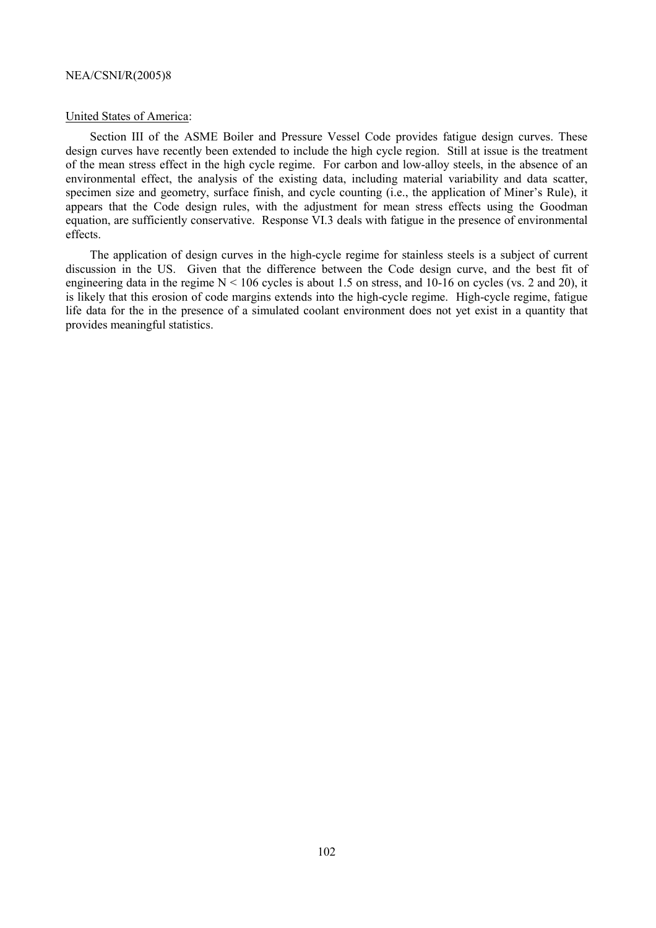#### United States of America:

Section III of the ASME Boiler and Pressure Vessel Code provides fatigue design curves. These design curves have recently been extended to include the high cycle region. Still at issue is the treatment of the mean stress effect in the high cycle regime. For carbon and low-alloy steels, in the absence of an environmental effect, the analysis of the existing data, including material variability and data scatter, specimen size and geometry, surface finish, and cycle counting (i.e., the application of Miner's Rule), it appears that the Code design rules, with the adjustment for mean stress effects using the Goodman equation, are sufficiently conservative. Response VI.3 deals with fatigue in the presence of environmental effects.

The application of design curves in the high-cycle regime for stainless steels is a subject of current discussion in the US. Given that the difference between the Code design curve, and the best fit of engineering data in the regime  $N < 106$  cycles is about 1.5 on stress, and 10-16 on cycles (vs. 2 and 20), it is likely that this erosion of code margins extends into the high-cycle regime. High-cycle regime, fatigue life data for the in the presence of a simulated coolant environment does not yet exist in a quantity that provides meaningful statistics.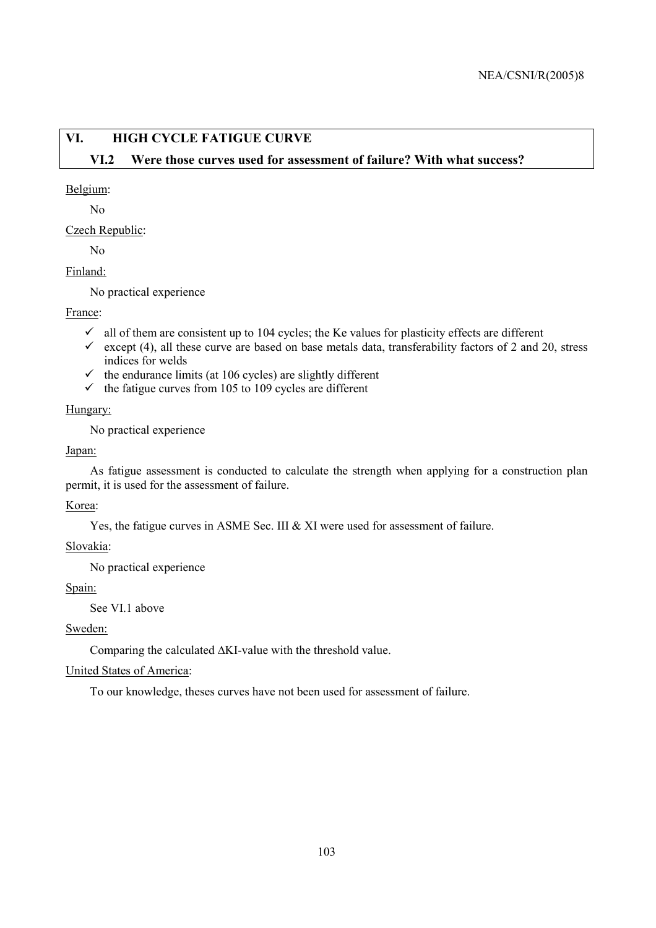## **VI. HIGH CYCLE FATIGUE CURVE**

### **VI.2 Were those curves used for assessment of failure? With what success?**

### Belgium:

No

### Czech Republic:

No

### Finland:

No practical experience

### France:

- $\checkmark$  all of them are consistent up to 104 cycles; the Ke values for plasticity effects are different
- $\checkmark$  except (4), all these curve are based on base metals data, transferability factors of 2 and 20, stress indices for welds
- $\checkmark$  the endurance limits (at 106 cycles) are slightly different
- $\checkmark$  the fatigue curves from 105 to 109 cycles are different

### Hungary:

No practical experience

### Japan:

As fatigue assessment is conducted to calculate the strength when applying for a construction plan permit, it is used for the assessment of failure.

## Korea:

Yes, the fatigue curves in ASME Sec. III & XI were used for assessment of failure.

### Slovakia:

No practical experience

### Spain:

See VI.1 above

### Sweden:

Comparing the calculated ∆KI-value with the threshold value.

### United States of America:

To our knowledge, theses curves have not been used for assessment of failure.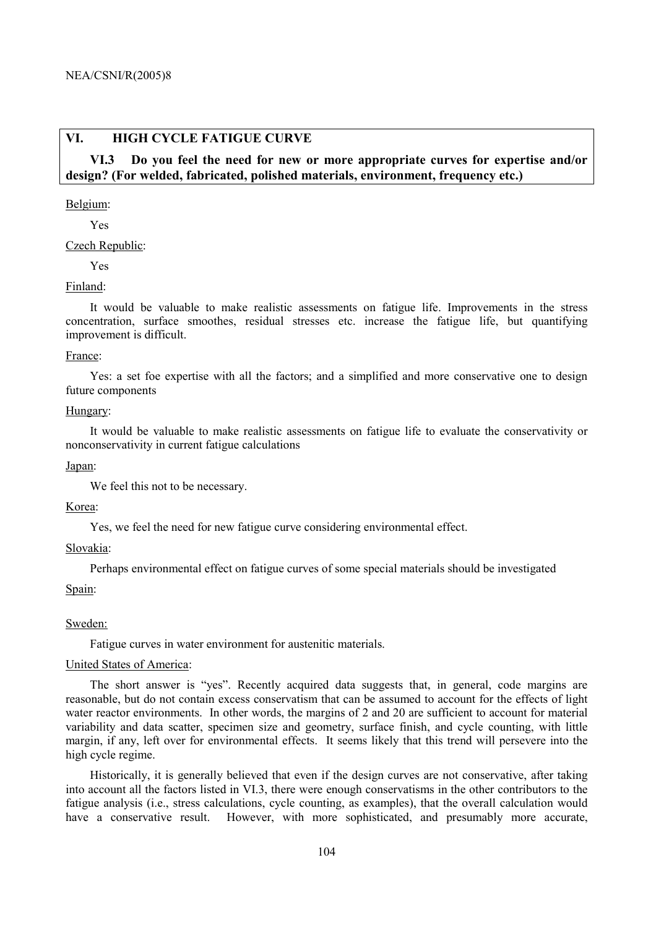### **VI. HIGH CYCLE FATIGUE CURVE**

### **VI.3 Do you feel the need for new or more appropriate curves for expertise and/or design? (For welded, fabricated, polished materials, environment, frequency etc.)**

Belgium:

Yes

Czech Republic:

Yes

### Finland:

It would be valuable to make realistic assessments on fatigue life. Improvements in the stress concentration, surface smoothes, residual stresses etc. increase the fatigue life, but quantifying improvement is difficult.

#### France:

Yes: a set foe expertise with all the factors; and a simplified and more conservative one to design future components

#### Hungary:

It would be valuable to make realistic assessments on fatigue life to evaluate the conservativity or nonconservativity in current fatigue calculations

Japan:

We feel this not to be necessary.

Korea:

Yes, we feel the need for new fatigue curve considering environmental effect.

### Slovakia:

Perhaps environmental effect on fatigue curves of some special materials should be investigated

### Spain:

#### Sweden:

Fatigue curves in water environment for austenitic materials.

#### United States of America:

The short answer is "yes". Recently acquired data suggests that, in general, code margins are reasonable, but do not contain excess conservatism that can be assumed to account for the effects of light water reactor environments. In other words, the margins of 2 and 20 are sufficient to account for material variability and data scatter, specimen size and geometry, surface finish, and cycle counting, with little margin, if any, left over for environmental effects. It seems likely that this trend will persevere into the high cycle regime.

Historically, it is generally believed that even if the design curves are not conservative, after taking into account all the factors listed in VI.3, there were enough conservatisms in the other contributors to the fatigue analysis (i.e., stress calculations, cycle counting, as examples), that the overall calculation would have a conservative result. However, with more sophisticated, and presumably more accurate,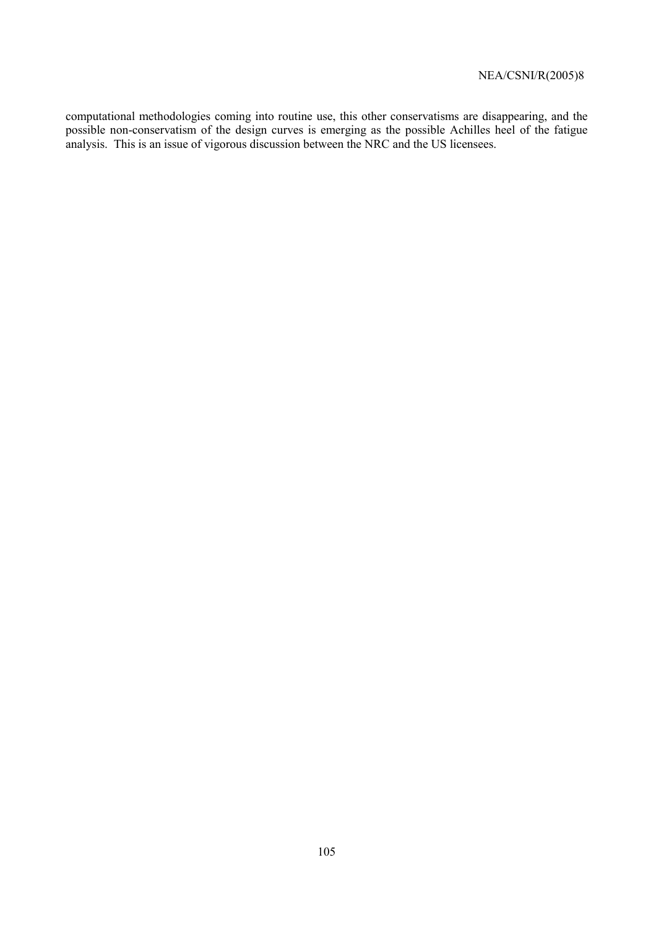computational methodologies coming into routine use, this other conservatisms are disappearing, and the possible non-conservatism of the design curves is emerging as the possible Achilles heel of the fatigue analysis. This is an issue of vigorous discussion between the NRC and the US licensees.